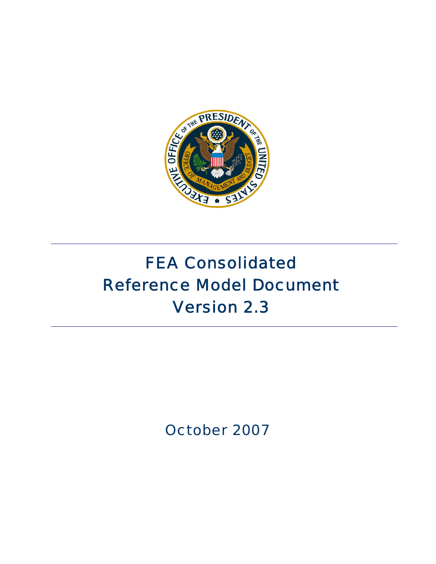

# FEA Consolidated Reference Model Document Version 2.3

October 2007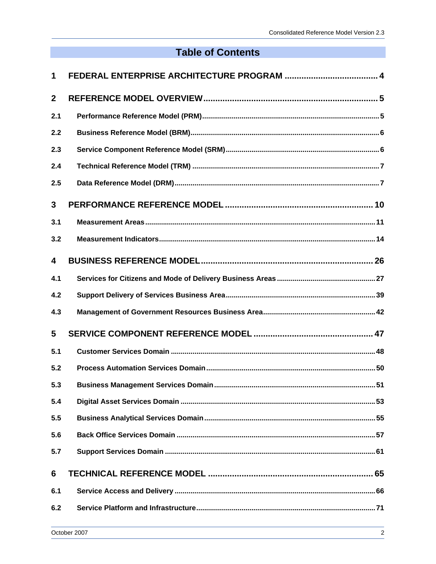# **Table of Contents**

| $\mathbf{1}$            |  |
|-------------------------|--|
| $\overline{2}$          |  |
| 2.1                     |  |
| 2.2                     |  |
| 2.3                     |  |
| 2.4                     |  |
| 2.5                     |  |
| 3                       |  |
| 3.1                     |  |
| 3.2                     |  |
| $\overline{\mathbf{4}}$ |  |
| 4.1                     |  |
| 4.2                     |  |
|                         |  |
| 4.3                     |  |
| 5                       |  |
| 5.1                     |  |
| 5.2                     |  |
| 5.3                     |  |
| 5.4                     |  |
| 5.5                     |  |
| 5.6                     |  |
| 5.7                     |  |
| 6                       |  |
| 6.1                     |  |
| 6.2                     |  |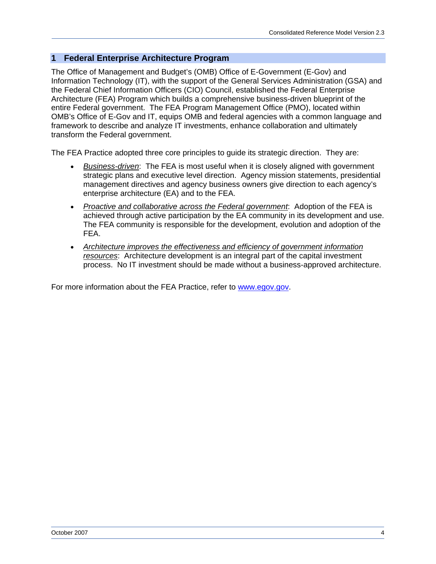## **1 Federal Enterprise Architecture Program**

The Office of Management and Budget's (OMB) Office of E-Government (E-Gov) and Information Technology (IT), with the support of the General Services Administration (GSA) and the Federal Chief Information Officers (CIO) Council, established the Federal Enterprise Architecture (FEA) Program which builds a comprehensive business-driven blueprint of the entire Federal government. The FEA Program Management Office (PMO), located within OMB's Office of E-Gov and IT, equips OMB and federal agencies with a common language and framework to describe and analyze IT investments, enhance collaboration and ultimately transform the Federal government.

The FEA Practice adopted three core principles to guide its strategic direction. They are:

- *Business-driven*: The FEA is most useful when it is closely aligned with government strategic plans and executive level direction. Agency mission statements, presidential management directives and agency business owners give direction to each agency's enterprise architecture (EA) and to the FEA.
- *Proactive and collaborative across the Federal government*: Adoption of the FEA is achieved through active participation by the EA community in its development and use. The FEA community is responsible for the development, evolution and adoption of the FEA.
- *Architecture improves the effectiveness and efficiency of government information resources*: Architecture development is an integral part of the capital investment process. No IT investment should be made without a business-approved architecture.

For more information about the FEA Practice, refer to www.egov.gov.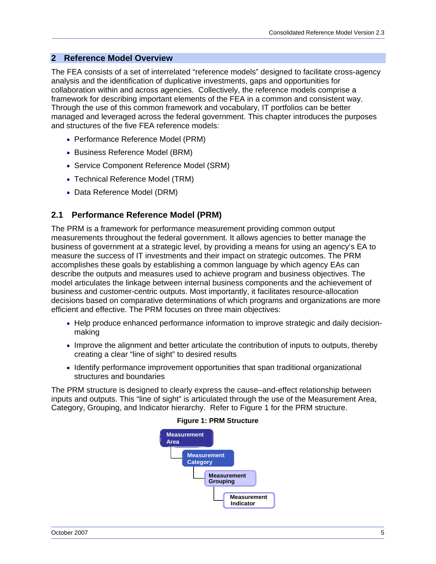## **2 Reference Model Overview**

The FEA consists of a set of interrelated "reference models" designed to facilitate cross-agency analysis and the identification of duplicative investments, gaps and opportunities for collaboration within and across agencies. Collectively, the reference models comprise a framework for describing important elements of the FEA in a common and consistent way. Through the use of this common framework and vocabulary, IT portfolios can be better managed and leveraged across the federal government. This chapter introduces the purposes and structures of the five FEA reference models:

- Performance Reference Model (PRM)
- Business Reference Model (BRM)
- Service Component Reference Model (SRM)
- Technical Reference Model (TRM)
- Data Reference Model (DRM)

## **2.1 Performance Reference Model (PRM)**

The PRM is a framework for performance measurement providing common output measurements throughout the federal government. It allows agencies to better manage the business of government at a strategic level, by providing a means for using an agency's EA to measure the success of IT investments and their impact on strategic outcomes. The PRM accomplishes these goals by establishing a common language by which agency EAs can describe the outputs and measures used to achieve program and business objectives. The model articulates the linkage between internal business components and the achievement of business and customer-centric outputs. Most importantly, it facilitates resource-allocation decisions based on comparative determinations of which programs and organizations are more efficient and effective. The PRM focuses on three main objectives:

- Help produce enhanced performance information to improve strategic and daily decisionmaking
- Improve the alignment and better articulate the contribution of inputs to outputs, thereby creating a clear "line of sight" to desired results
- Identify performance improvement opportunities that span traditional organizational structures and boundaries

The PRM structure is designed to clearly express the cause–and-effect relationship between inputs and outputs. This "line of sight" is articulated through the use of the Measurement Area, Category, Grouping, and Indicator hierarchy. Refer to Figure 1 for the PRM structure.



#### **Figure 1: PRM Structure**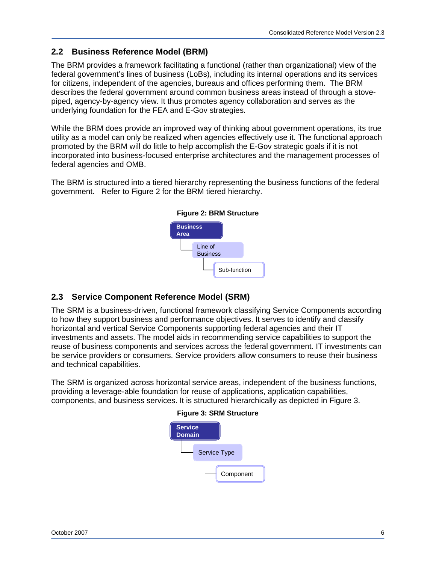# **2.2 Business Reference Model (BRM)**

The BRM provides a framework facilitating a functional (rather than organizational) view of the federal government's lines of business (LoBs), including its internal operations and its services for citizens, independent of the agencies, bureaus and offices performing them. The BRM describes the federal government around common business areas instead of through a stovepiped, agency-by-agency view. It thus promotes agency collaboration and serves as the underlying foundation for the FEA and E-Gov strategies.

While the BRM does provide an improved way of thinking about government operations, its true utility as a model can only be realized when agencies effectively use it. The functional approach promoted by the BRM will do little to help accomplish the E-Gov strategic goals if it is not incorporated into business-focused enterprise architectures and the management processes of federal agencies and OMB.

The BRM is structured into a tiered hierarchy representing the business functions of the federal government. Refer to Figure 2 for the BRM tiered hierarchy.



## **Figure 2: BRM Structure**

## **2.3 Service Component Reference Model (SRM)**

The SRM is a business-driven, functional framework classifying Service Components according to how they support business and performance objectives. It serves to identify and classify horizontal and vertical Service Components supporting federal agencies and their IT investments and assets. The model aids in recommending service capabilities to support the reuse of business components and services across the federal government. IT investments can be service providers or consumers. Service providers allow consumers to reuse their business and technical capabilities.

The SRM is organized across horizontal service areas, independent of the business functions, providing a leverage-able foundation for reuse of applications, application capabilities, components, and business services. It is structured hierarchically as depicted in Figure 3.



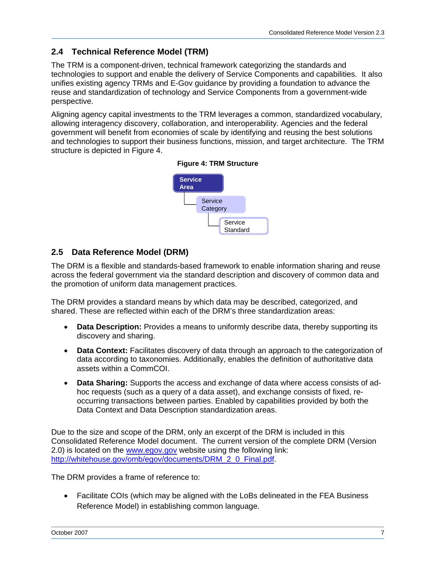# **2.4 Technical Reference Model (TRM)**

The TRM is a component-driven, technical framework categorizing the standards and technologies to support and enable the delivery of Service Components and capabilities. It also unifies existing agency TRMs and E-Gov guidance by providing a foundation to advance the reuse and standardization of technology and Service Components from a government-wide perspective.

Aligning agency capital investments to the TRM leverages a common, standardized vocabulary, allowing interagency discovery, collaboration, and interoperability. Agencies and the federal government will benefit from economies of scale by identifying and reusing the best solutions and technologies to support their business functions, mission, and target architecture. The TRM structure is depicted in Figure 4.



## **Figure 4: TRM Structure**

# **2.5 Data Reference Model (DRM)**

The DRM is a flexible and standards-based framework to enable information sharing and reuse across the federal government via the standard description and discovery of common data and the promotion of uniform data management practices.

The DRM provides a standard means by which data may be described, categorized, and shared. These are reflected within each of the DRM's three standardization areas:

- **Data Description:** Provides a means to uniformly describe data, thereby supporting its discovery and sharing.
- **Data Context:** Facilitates discovery of data through an approach to the categorization of data according to taxonomies. Additionally, enables the definition of authoritative data assets within a CommCOI.
- **Data Sharing:** Supports the access and exchange of data where access consists of adhoc requests (such as a query of a data asset), and exchange consists of fixed, reoccurring transactions between parties. Enabled by capabilities provided by both the Data Context and Data Description standardization areas.

Due to the size and scope of the DRM, only an excerpt of the DRM is included in this Consolidated Reference Model document. The current version of the complete DRM (Version 2.0) is located on the www.egov.gov website using the following link: http://whitehouse.gov/omb/egov/documents/DRM\_2\_0\_Final.pdf.

The DRM provides a frame of reference to:

• Facilitate COIs (which may be aligned with the LoBs delineated in the FEA Business Reference Model) in establishing common language.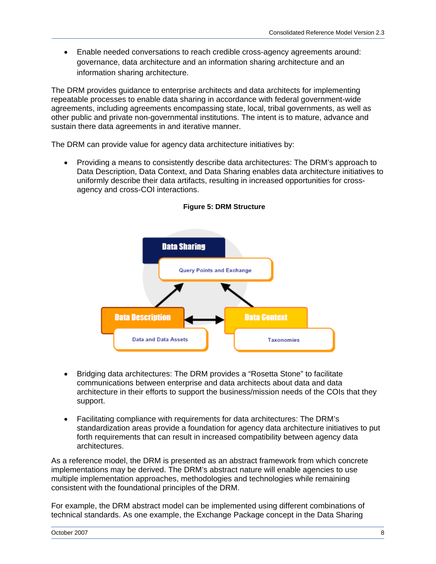• Enable needed conversations to reach credible cross-agency agreements around: governance, data architecture and an information sharing architecture and an information sharing architecture.

The DRM provides guidance to enterprise architects and data architects for implementing repeatable processes to enable data sharing in accordance with federal government-wide agreements, including agreements encompassing state, local, tribal governments, as well as other public and private non-governmental institutions. The intent is to mature, advance and sustain there data agreements in and iterative manner.

The DRM can provide value for agency data architecture initiatives by:

• Providing a means to consistently describe data architectures: The DRM's approach to Data Description, Data Context, and Data Sharing enables data architecture initiatives to uniformly describe their data artifacts, resulting in increased opportunities for crossagency and cross-COI interactions.



**Figure 5: DRM Structure** 

- Bridging data architectures: The DRM provides a "Rosetta Stone" to facilitate communications between enterprise and data architects about data and data architecture in their efforts to support the business/mission needs of the COIs that they support.
- Facilitating compliance with requirements for data architectures: The DRM's standardization areas provide a foundation for agency data architecture initiatives to put forth requirements that can result in increased compatibility between agency data architectures.

As a reference model, the DRM is presented as an abstract framework from which concrete implementations may be derived. The DRM's abstract nature will enable agencies to use multiple implementation approaches, methodologies and technologies while remaining consistent with the foundational principles of the DRM.

For example, the DRM abstract model can be implemented using different combinations of technical standards. As one example, the Exchange Package concept in the Data Sharing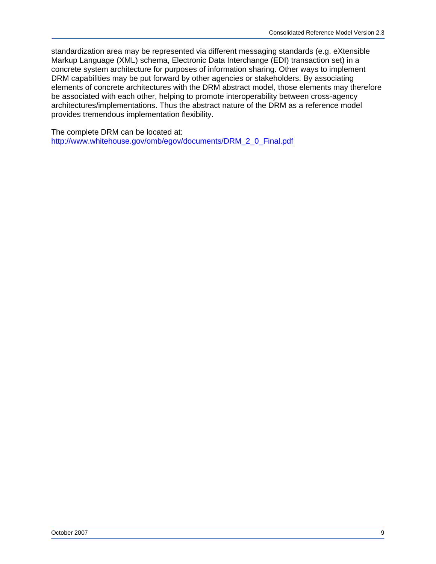standardization area may be represented via different messaging standards (e.g. eXtensible Markup Language (XML) schema, Electronic Data Interchange (EDI) transaction set) in a concrete system architecture for purposes of information sharing. Other ways to implement DRM capabilities may be put forward by other agencies or stakeholders. By associating elements of concrete architectures with the DRM abstract model, those elements may therefore be associated with each other, helping to promote interoperability between cross-agency architectures/implementations. Thus the abstract nature of the DRM as a reference model provides tremendous implementation flexibility.

The complete DRM can be located at: http://www.whitehouse.gov/omb/egov/documents/DRM\_2\_0\_Final.pdf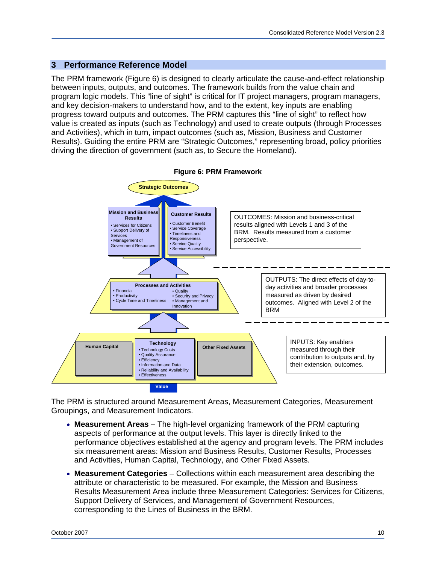## **3 Performance Reference Model**

The PRM framework (Figure 6) is designed to clearly articulate the cause-and-effect relationship between inputs, outputs, and outcomes. The framework builds from the value chain and program logic models. This "line of sight" is critical for IT project managers, program managers, and key decision-makers to understand how, and to the extent, key inputs are enabling progress toward outputs and outcomes. The PRM captures this "line of sight" to reflect how value is created as inputs (such as Technology) and used to create outputs (through Processes and Activities), which in turn, impact outcomes (such as, Mission, Business and Customer Results). Guiding the entire PRM are "Strategic Outcomes," representing broad, policy priorities driving the direction of government (such as, to Secure the Homeland).



**Figure 6: PRM Framework** 

The PRM is structured around Measurement Areas, Measurement Categories, Measurement Groupings, and Measurement Indicators.

- **Measurement Areas** The high-level organizing framework of the PRM capturing aspects of performance at the output levels. This layer is directly linked to the performance objectives established at the agency and program levels. The PRM includes six measurement areas: Mission and Business Results, Customer Results, Processes and Activities, Human Capital, Technology, and Other Fixed Assets.
- **Measurement Categories** Collections within each measurement area describing the attribute or characteristic to be measured. For example, the Mission and Business Results Measurement Area include three Measurement Categories: Services for Citizens, Support Delivery of Services, and Management of Government Resources, corresponding to the Lines of Business in the BRM.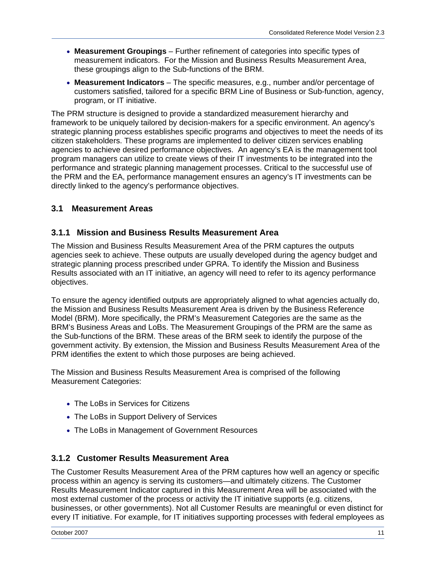- **Measurement Groupings** Further refinement of categories into specific types of measurement indicators. For the Mission and Business Results Measurement Area, these groupings align to the Sub-functions of the BRM.
- **Measurement Indicators** The specific measures, e.g., number and/or percentage of customers satisfied, tailored for a specific BRM Line of Business or Sub-function, agency, program, or IT initiative.

The PRM structure is designed to provide a standardized measurement hierarchy and framework to be uniquely tailored by decision-makers for a specific environment. An agency's strategic planning process establishes specific programs and objectives to meet the needs of its citizen stakeholders. These programs are implemented to deliver citizen services enabling agencies to achieve desired performance objectives. An agency's EA is the management tool program managers can utilize to create views of their IT investments to be integrated into the performance and strategic planning management processes. Critical to the successful use of the PRM and the EA, performance management ensures an agency's IT investments can be directly linked to the agency's performance objectives.

## **3.1 Measurement Areas**

## **3.1.1 Mission and Business Results Measurement Area**

The Mission and Business Results Measurement Area of the PRM captures the outputs agencies seek to achieve. These outputs are usually developed during the agency budget and strategic planning process prescribed under GPRA. To identify the Mission and Business Results associated with an IT initiative, an agency will need to refer to its agency performance objectives.

To ensure the agency identified outputs are appropriately aligned to what agencies actually do, the Mission and Business Results Measurement Area is driven by the Business Reference Model (BRM). More specifically, the PRM's Measurement Categories are the same as the BRM's Business Areas and LoBs. The Measurement Groupings of the PRM are the same as the Sub-functions of the BRM. These areas of the BRM seek to identify the purpose of the government activity. By extension, the Mission and Business Results Measurement Area of the PRM identifies the extent to which those purposes are being achieved.

The Mission and Business Results Measurement Area is comprised of the following Measurement Categories:

- The LoBs in Services for Citizens
- The LoBs in Support Delivery of Services
- The LoBs in Management of Government Resources

## **3.1.2 Customer Results Measurement Area**

The Customer Results Measurement Area of the PRM captures how well an agency or specific process within an agency is serving its customers—and ultimately citizens. The Customer Results Measurement Indicator captured in this Measurement Area will be associated with the most external customer of the process or activity the IT initiative supports (e.g. citizens, businesses, or other governments). Not all Customer Results are meaningful or even distinct for every IT initiative. For example, for IT initiatives supporting processes with federal employees as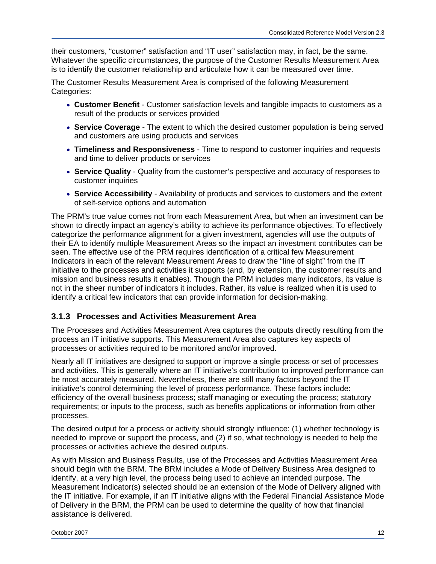their customers, "customer" satisfaction and "IT user" satisfaction may, in fact, be the same. Whatever the specific circumstances, the purpose of the Customer Results Measurement Area is to identify the customer relationship and articulate how it can be measured over time.

The Customer Results Measurement Area is comprised of the following Measurement Categories:

- **Customer Benefit** Customer satisfaction levels and tangible impacts to customers as a result of the products or services provided
- **Service Coverage** The extent to which the desired customer population is being served and customers are using products and services
- **Timeliness and Responsiveness** Time to respond to customer inquiries and requests and time to deliver products or services
- **Service Quality** Quality from the customer's perspective and accuracy of responses to customer inquiries
- **Service Accessibility** Availability of products and services to customers and the extent of self-service options and automation

The PRM's true value comes not from each Measurement Area, but when an investment can be shown to directly impact an agency's ability to achieve its performance objectives. To effectively categorize the performance alignment for a given investment, agencies will use the outputs of their EA to identify multiple Measurement Areas so the impact an investment contributes can be seen. The effective use of the PRM requires identification of a critical few Measurement Indicators in each of the relevant Measurement Areas to draw the "line of sight" from the IT initiative to the processes and activities it supports (and, by extension, the customer results and mission and business results it enables). Though the PRM includes many indicators, its value is not in the sheer number of indicators it includes. Rather, its value is realized when it is used to identify a critical few indicators that can provide information for decision-making.

## **3.1.3 Processes and Activities Measurement Area**

The Processes and Activities Measurement Area captures the outputs directly resulting from the process an IT initiative supports. This Measurement Area also captures key aspects of processes or activities required to be monitored and/or improved.

Nearly all IT initiatives are designed to support or improve a single process or set of processes and activities. This is generally where an IT initiative's contribution to improved performance can be most accurately measured. Nevertheless, there are still many factors beyond the IT initiative's control determining the level of process performance. These factors include: efficiency of the overall business process; staff managing or executing the process; statutory requirements; or inputs to the process, such as benefits applications or information from other processes.

The desired output for a process or activity should strongly influence: (1) whether technology is needed to improve or support the process, and (2) if so, what technology is needed to help the processes or activities achieve the desired outputs.

As with Mission and Business Results, use of the Processes and Activities Measurement Area should begin with the BRM. The BRM includes a Mode of Delivery Business Area designed to identify, at a very high level, the process being used to achieve an intended purpose. The Measurement Indicator(s) selected should be an extension of the Mode of Delivery aligned with the IT initiative. For example, if an IT initiative aligns with the Federal Financial Assistance Mode of Delivery in the BRM, the PRM can be used to determine the quality of how that financial assistance is delivered.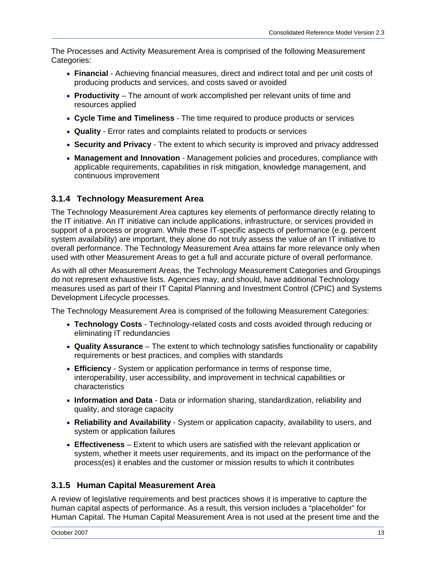The Processes and Activity Measurement Area is comprised of the following Measurement Categories:

- **Financial** Achieving financial measures, direct and indirect total and per unit costs of producing products and services, and costs saved or avoided
- **Productivity** The amount of work accomplished per relevant units of time and resources applied
- **Cycle Time and Timeliness** The time required to produce products or services
- **Quality** Error rates and complaints related to products or services
- **Security and Privacy** The extent to which security is improved and privacy addressed
- **Management and Innovation** Management policies and procedures, compliance with applicable requirements, capabilities in risk mitigation, knowledge management, and continuous improvement

## **3.1.4 Technology Measurement Area**

The Technology Measurement Area captures key elements of performance directly relating to the IT initiative. An IT initiative can include applications, infrastructure, or services provided in support of a process or program. While these IT-specific aspects of performance (e.g. percent system availability) are important, they alone do not truly assess the value of an IT initiative to overall performance. The Technology Measurement Area attains far more relevance only when used with other Measurement Areas to get a full and accurate picture of overall performance.

As with all other Measurement Areas, the Technology Measurement Categories and Groupings do not represent exhaustive lists. Agencies may, and should, have additional Technology measures used as part of their IT Capital Planning and Investment Control (CPIC) and Systems Development Lifecycle processes.

The Technology Measurement Area is comprised of the following Measurement Categories:

- **Technology Costs** Technology-related costs and costs avoided through reducing or eliminating IT redundancies
- **Quality Assurance** The extent to which technology satisfies functionality or capability requirements or best practices, and complies with standards
- **Efficiency** System or application performance in terms of response time, interoperability, user accessibility, and improvement in technical capabilities or characteristics
- **Information and Data** Data or information sharing, standardization, reliability and quality, and storage capacity
- **Reliability and Availability** System or application capacity, availability to users, and system or application failures
- **Effectiveness** Extent to which users are satisfied with the relevant application or system, whether it meets user requirements, and its impact on the performance of the process(es) it enables and the customer or mission results to which it contributes

## **3.1.5 Human Capital Measurement Area**

A review of legislative requirements and best practices shows it is imperative to capture the human capital aspects of performance. As a result, this version includes a "placeholder" for Human Capital. The Human Capital Measurement Area is not used at the present time and the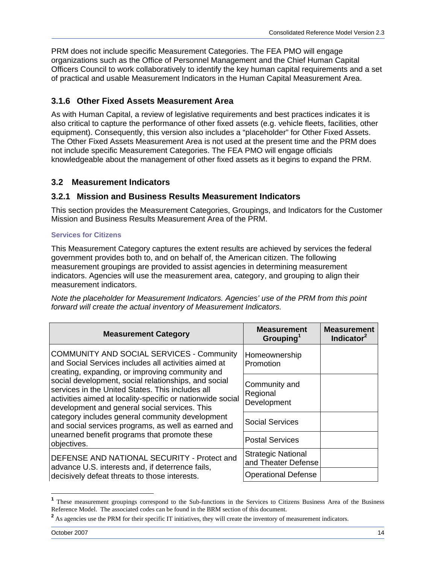PRM does not include specific Measurement Categories. The FEA PMO will engage organizations such as the Office of Personnel Management and the Chief Human Capital Officers Council to work collaboratively to identify the key human capital requirements and a set of practical and usable Measurement Indicators in the Human Capital Measurement Area.

# **3.1.6 Other Fixed Assets Measurement Area**

As with Human Capital, a review of legislative requirements and best practices indicates it is also critical to capture the performance of other fixed assets (e.g. vehicle fleets, facilities, other equipment). Consequently, this version also includes a "placeholder" for Other Fixed Assets. The Other Fixed Assets Measurement Area is not used at the present time and the PRM does not include specific Measurement Categories. The FEA PMO will engage officials knowledgeable about the management of other fixed assets as it begins to expand the PRM.

## **3.2 Measurement Indicators**

## **3.2.1 Mission and Business Results Measurement Indicators**

This section provides the Measurement Categories, Groupings, and Indicators for the Customer Mission and Business Results Measurement Area of the PRM.

## **Services for Citizens**

This Measurement Category captures the extent results are achieved by services the federal government provides both to, and on behalf of, the American citizen. The following measurement groupings are provided to assist agencies in determining measurement indicators. Agencies will use the measurement area, category, and grouping to align their measurement indicators.

*Note the placeholder for Measurement Indicators. Agencies' use of the PRM from this point forward will create the actual inventory of Measurement Indicators.* 

| <b>Measurement Category</b>                                                                                                                                                                                                                                                                                                                                                                                                                                                                                                                              | <b>Measurement</b><br>Grouping <sup>1</sup>      | <b>Measurement</b><br>Indicator $2$ |
|----------------------------------------------------------------------------------------------------------------------------------------------------------------------------------------------------------------------------------------------------------------------------------------------------------------------------------------------------------------------------------------------------------------------------------------------------------------------------------------------------------------------------------------------------------|--------------------------------------------------|-------------------------------------|
| COMMUNITY AND SOCIAL SERVICES - Community<br>and Social Services includes all activities aimed at<br>creating, expanding, or improving community and<br>social development, social relationships, and social<br>services in the United States. This includes all<br>activities aimed at locality-specific or nationwide social<br>development and general social services. This<br>category includes general community development<br>and social services programs, as well as earned and<br>unearned benefit programs that promote these<br>objectives. | Homeownership<br>Promotion                       |                                     |
|                                                                                                                                                                                                                                                                                                                                                                                                                                                                                                                                                          | Community and<br>Regional<br>Development         |                                     |
|                                                                                                                                                                                                                                                                                                                                                                                                                                                                                                                                                          | <b>Social Services</b>                           |                                     |
|                                                                                                                                                                                                                                                                                                                                                                                                                                                                                                                                                          | <b>Postal Services</b>                           |                                     |
| DEFENSE AND NATIONAL SECURITY - Protect and<br>advance U.S. interests and, if deterrence fails,                                                                                                                                                                                                                                                                                                                                                                                                                                                          | <b>Strategic National</b><br>and Theater Defense |                                     |
| decisively defeat threats to those interests.                                                                                                                                                                                                                                                                                                                                                                                                                                                                                                            | <b>Operational Defense</b>                       |                                     |

**<sup>1</sup>** These measurement groupings correspond to the Sub-functions in the Services to Citizens Business Area of the Business Reference Model. The associated codes can be found in the BRM section of this document.

 $\overline{a}$ 

<sup>&</sup>lt;sup>2</sup> As agencies use the PRM for their specific IT initiatives, they will create the inventory of measurement indicators.

October 2007 **14** 2007 **14** 2007 **14** 2008 **14** 2008 **14** 2008 **14** 2008 **14** 2008 **14** 2008 **14** 2007 **14** 2008 **14** 2008 **14** 2008 **14** 2008 **14** 2008 **14** 2008 **14** 2008 **14** 2008 **14** 2008 **14** 2008 **14** 2008 **14** 2008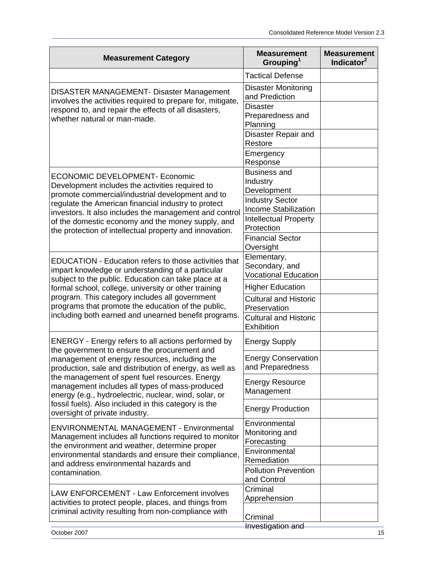| <b>Measurement Category</b>                                                                                                                                               | <b>Measurement</b><br>Grouping <sup>1</sup>                                | <b>Measurement</b><br>Indicator $2$ |
|---------------------------------------------------------------------------------------------------------------------------------------------------------------------------|----------------------------------------------------------------------------|-------------------------------------|
|                                                                                                                                                                           | <b>Tactical Defense</b>                                                    |                                     |
| DISASTER MANAGEMENT- Disaster Management                                                                                                                                  | <b>Disaster Monitoring</b><br>and Prediction                               |                                     |
| involves the activities required to prepare for, mitigate,<br>respond to, and repair the effects of all disasters,<br>whether natural or man-made.                        | <b>Disaster</b><br>Preparedness and<br>Planning                            |                                     |
|                                                                                                                                                                           | Disaster Repair and<br>Restore                                             |                                     |
|                                                                                                                                                                           | Emergency<br>Response                                                      |                                     |
| <b>ECONOMIC DEVELOPMENT- Economic</b><br>Development includes the activities required to<br>promote commercial/industrial development and to                              | <b>Business and</b><br>Industry<br>Development                             |                                     |
| regulate the American financial industry to protect<br>investors. It also includes the management and control                                                             | <b>Industry Sector</b><br>Income Stabilization                             |                                     |
| of the domestic economy and the money supply, and<br>the protection of intellectual property and innovation.                                                              | <b>Intellectual Property</b><br>Protection                                 |                                     |
|                                                                                                                                                                           | <b>Financial Sector</b><br>Oversight                                       |                                     |
| <b>EDUCATION - Education refers to those activities that</b><br>impart knowledge or understanding of a particular<br>subject to the public. Education can take place at a | Elementary,<br>Secondary, and<br><b>Vocational Education</b>               |                                     |
| formal school, college, university or other training                                                                                                                      | <b>Higher Education</b>                                                    |                                     |
| program. This category includes all government<br>programs that promote the education of the public,                                                                      | <b>Cultural and Historic</b><br>Preservation                               |                                     |
| including both earned and unearned benefit programs.                                                                                                                      | <b>Cultural and Historic</b><br>Exhibition                                 |                                     |
| ENERGY - Energy refers to all actions performed by<br>the government to ensure the procurement and                                                                        | <b>Energy Supply</b>                                                       |                                     |
| management of energy resources, including the<br>production, sale and distribution of energy, as well as                                                                  | <b>Energy Conservation</b><br>and Preparedness                             |                                     |
| the management of spent fuel resources. Energy<br>management includes all types of mass-produced<br>energy (e.g., hydroelectric, nuclear, wind, solar, or                 | <b>Energy Resource</b><br>Management                                       |                                     |
| fossil fuels). Also included in this category is the<br>oversight of private industry.                                                                                    | <b>Energy Production</b>                                                   |                                     |
| <b>ENVIRONMENTAL MANAGEMENT - Environmental</b><br>Management includes all functions required to monitor<br>the environment and weather, determine proper                 | Environmental<br>Monitoring and<br>Forecasting                             |                                     |
| environmental standards and ensure their compliance,<br>and address environmental hazards and<br>contamination.                                                           | Environmental<br>Remediation<br><b>Pollution Prevention</b><br>and Control |                                     |
| <b>LAW ENFORCEMENT - Law Enforcement involves</b><br>activities to protect people, places, and things from<br>criminal activity resulting from non-compliance with        | Criminal<br>Apprehension                                                   |                                     |
| October 2007                                                                                                                                                              | Criminal<br>Investigation and                                              | 15                                  |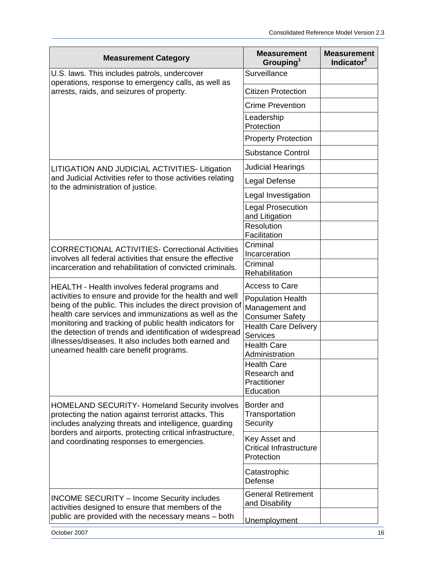| <b>Measurement Category</b>                                                                                                                                                     | <b>Measurement</b><br>Grouping <sup>1</sup>                          | <b>Measurement</b><br>Indicator <sup>2</sup> |
|---------------------------------------------------------------------------------------------------------------------------------------------------------------------------------|----------------------------------------------------------------------|----------------------------------------------|
| U.S. laws. This includes patrols, undercover                                                                                                                                    | Surveillance                                                         |                                              |
| operations, response to emergency calls, as well as<br>arrests, raids, and seizures of property.                                                                                | <b>Citizen Protection</b>                                            |                                              |
|                                                                                                                                                                                 | <b>Crime Prevention</b>                                              |                                              |
|                                                                                                                                                                                 | Leadership<br>Protection                                             |                                              |
|                                                                                                                                                                                 | <b>Property Protection</b>                                           |                                              |
|                                                                                                                                                                                 | <b>Substance Control</b>                                             |                                              |
| LITIGATION AND JUDICIAL ACTIVITIES- Litigation                                                                                                                                  | <b>Judicial Hearings</b>                                             |                                              |
| and Judicial Activities refer to those activities relating<br>to the administration of justice.                                                                                 | Legal Defense                                                        |                                              |
|                                                                                                                                                                                 | Legal Investigation                                                  |                                              |
|                                                                                                                                                                                 | <b>Legal Prosecution</b><br>and Litigation                           |                                              |
|                                                                                                                                                                                 | Resolution<br>Facilitation                                           |                                              |
| <b>CORRECTIONAL ACTIVITIES- Correctional Activities</b>                                                                                                                         | Criminal<br>Incarceration                                            |                                              |
| involves all federal activities that ensure the effective<br>incarceration and rehabilitation of convicted criminals.                                                           | Criminal<br>Rehabilitation                                           |                                              |
| HEALTH - Health involves federal programs and                                                                                                                                   | <b>Access to Care</b>                                                |                                              |
| activities to ensure and provide for the health and well<br>being of the public. This includes the direct provision of<br>health care services and immunizations as well as the | <b>Population Health</b><br>Management and<br><b>Consumer Safety</b> |                                              |
| monitoring and tracking of public health indicators for<br>the detection of trends and identification of widespread                                                             | <b>Health Care Delivery</b><br><b>Services</b>                       |                                              |
| illnesses/diseases. It also includes both earned and<br>unearned health care benefit programs.                                                                                  | <b>Health Care</b><br>Administration                                 |                                              |
|                                                                                                                                                                                 | <b>Health Care</b><br>Research and<br>Practitioner<br>Education      |                                              |
| <b>HOMELAND SECURITY- Homeland Security involves</b><br>protecting the nation against terrorist attacks. This<br>includes analyzing threats and intelligence, guarding          | Border and<br>Transportation<br>Security                             |                                              |
| borders and airports, protecting critical infrastructure,<br>and coordinating responses to emergencies.                                                                         | Key Asset and<br><b>Critical Infrastructure</b><br>Protection        |                                              |
|                                                                                                                                                                                 | Catastrophic<br>Defense                                              |                                              |
| <b>INCOME SECURITY - Income Security includes</b><br>activities designed to ensure that members of the                                                                          | <b>General Retirement</b><br>and Disability                          |                                              |
| public are provided with the necessary means - both                                                                                                                             | Unemployment                                                         |                                              |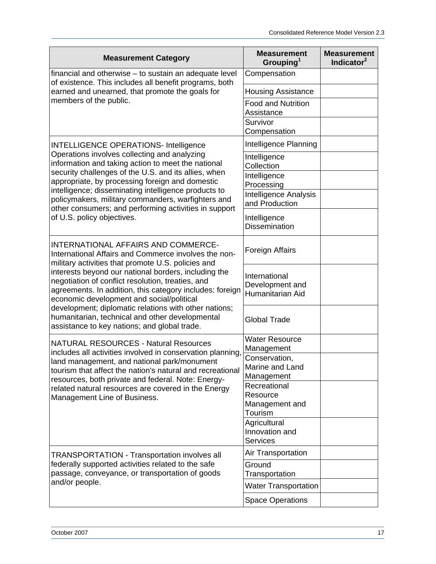| <b>Measurement Category</b>                                                                                                                                                                                                                           | <b>Measurement</b><br>Grouping <sup>1</sup>           | <b>Measurement</b><br>Indicator <sup>2</sup> |
|-------------------------------------------------------------------------------------------------------------------------------------------------------------------------------------------------------------------------------------------------------|-------------------------------------------------------|----------------------------------------------|
| financial and otherwise - to sustain an adequate level                                                                                                                                                                                                | Compensation                                          |                                              |
| of existence. This includes all benefit programs, both<br>earned and unearned, that promote the goals for                                                                                                                                             | <b>Housing Assistance</b>                             |                                              |
| members of the public.                                                                                                                                                                                                                                | <b>Food and Nutrition</b><br>Assistance               |                                              |
|                                                                                                                                                                                                                                                       | Survivor<br>Compensation                              |                                              |
| <b>INTELLIGENCE OPERATIONS- Intelligence</b>                                                                                                                                                                                                          | Intelligence Planning                                 |                                              |
| Operations involves collecting and analyzing<br>information and taking action to meet the national                                                                                                                                                    | Intelligence<br>Collection                            |                                              |
| security challenges of the U.S. and its allies, when<br>appropriate, by processing foreign and domestic                                                                                                                                               | Intelligence<br>Processing                            |                                              |
| intelligence; disseminating intelligence products to<br>policymakers, military commanders, warfighters and<br>other consumers; and performing activities in support                                                                                   | <b>Intelligence Analysis</b><br>and Production        |                                              |
| of U.S. policy objectives.                                                                                                                                                                                                                            | Intelligence<br><b>Dissemination</b>                  |                                              |
| INTERNATIONAL AFFAIRS AND COMMERCE-<br>International Affairs and Commerce involves the non-<br>military activities that promote U.S. policies and                                                                                                     | Foreign Affairs                                       |                                              |
| interests beyond our national borders, including the<br>negotiation of conflict resolution, treaties, and<br>agreements. In addition, this category includes: foreign<br>economic development and social/political                                    | International<br>Development and<br>Humanitarian Aid  |                                              |
| development; diplomatic relations with other nations;<br>humanitarian, technical and other developmental<br>assistance to key nations; and global trade.                                                                                              | <b>Global Trade</b>                                   |                                              |
| <b>NATURAL RESOURCES - Natural Resources</b><br>includes all activities involved in conservation planning,                                                                                                                                            | <b>Water Resource</b><br>Management                   |                                              |
| land management, and national park/monument<br>tourism that affect the nation's natural and recreational<br>resources, both private and federal. Note: Energy-<br>related natural resources are covered in the Energy<br>Management Line of Business. | Conservation,<br>Marine and Land<br>Management        |                                              |
|                                                                                                                                                                                                                                                       | Recreational<br>Resource<br>Management and<br>Tourism |                                              |
|                                                                                                                                                                                                                                                       | Agricultural<br>Innovation and<br><b>Services</b>     |                                              |
| <b>TRANSPORTATION - Transportation involves all</b>                                                                                                                                                                                                   | Air Transportation                                    |                                              |
| federally supported activities related to the safe<br>passage, conveyance, or transportation of goods                                                                                                                                                 | Ground<br>Transportation                              |                                              |
| and/or people.                                                                                                                                                                                                                                        | <b>Water Transportation</b>                           |                                              |
|                                                                                                                                                                                                                                                       | <b>Space Operations</b>                               |                                              |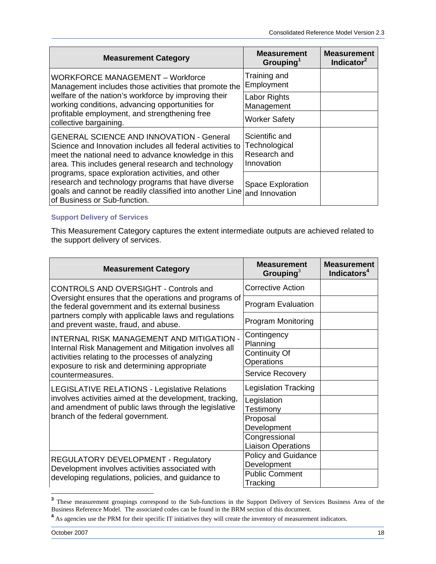| <b>Measurement Category</b>                                                                                                                                                                                                | <b>Measurement</b><br>Grouping <sup>1</sup>                   | <b>Measurement</b><br>Indicator $2$ |
|----------------------------------------------------------------------------------------------------------------------------------------------------------------------------------------------------------------------------|---------------------------------------------------------------|-------------------------------------|
| <b>WORKFORCE MANAGEMENT - Workforce</b><br>Management includes those activities that promote the                                                                                                                           | Training and<br>Employment                                    |                                     |
| welfare of the nation's workforce by improving their<br>working conditions, advancing opportunities for                                                                                                                    | Labor Rights<br>Management                                    |                                     |
| profitable employment, and strengthening free<br>collective bargaining.                                                                                                                                                    | <b>Worker Safety</b>                                          |                                     |
| <b>GENERAL SCIENCE AND INNOVATION - General</b><br>Science and Innovation includes all federal activities to<br>meet the national need to advance knowledge in this<br>area. This includes general research and technology | Scientific and<br>Technological<br>Research and<br>Innovation |                                     |
| programs, space exploration activities, and other<br>research and technology programs that have diverse<br>goals and cannot be readily classified into another Line<br>of Business or Sub-function.                        | <b>Space Exploration</b><br>and Innovation                    |                                     |

## **Support Delivery of Services**

This Measurement Category captures the extent intermediate outputs are achieved related to the support delivery of services.

| <b>Measurement Category</b>                                                                                                                               | <b>Measurement</b><br>Grouping $3$         | <b>Measurement</b><br>Indicators <sup>4</sup> |
|-----------------------------------------------------------------------------------------------------------------------------------------------------------|--------------------------------------------|-----------------------------------------------|
| CONTROLS AND OVERSIGHT - Controls and                                                                                                                     | Corrective Action                          |                                               |
| Oversight ensures that the operations and programs of<br>the federal government and its external business                                                 | <b>Program Evaluation</b>                  |                                               |
| partners comply with applicable laws and regulations<br>and prevent waste, fraud, and abuse.                                                              | <b>Program Monitoring</b>                  |                                               |
| <b>INTERNAL RISK MANAGEMENT AND MITIGATION -</b>                                                                                                          | Contingency<br>Planning                    |                                               |
| Internal Risk Management and Mitigation involves all<br>activities relating to the processes of analyzing<br>exposure to risk and determining appropriate | Continuity Of<br>Operations                |                                               |
| countermeasures.                                                                                                                                          | <b>Service Recovery</b>                    |                                               |
| LEGISLATIVE RELATIONS - Legislative Relations                                                                                                             | <b>Legislation Tracking</b>                |                                               |
| involves activities aimed at the development, tracking,<br>and amendment of public laws through the legislative<br>branch of the federal government.      | Legislation<br>Testimony                   |                                               |
|                                                                                                                                                           | Proposal<br>Development                    |                                               |
|                                                                                                                                                           | Congressional<br><b>Liaison Operations</b> |                                               |
| <b>REGULATORY DEVELOPMENT - Regulatory</b>                                                                                                                | Policy and Guidance                        |                                               |
| Development involves activities associated with                                                                                                           | Development<br><b>Public Comment</b>       |                                               |
| developing regulations, policies, and guidance to                                                                                                         | Tracking                                   |                                               |

<sup>&</sup>lt;sup>3</sup> These measurement groupings correspond to the Sub-functions in the Support Delivery of Services Business Area of the Business Reference Model. The associated codes can be found in the BRM section of this document.

<sup>&</sup>lt;sup>4</sup> As agencies use the PRM for their specific IT initiatives they will create the inventory of measurement indicators.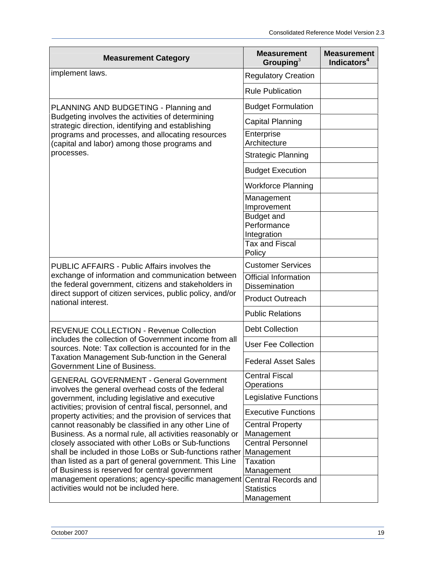| <b>Measurement Category</b>                                                                                        | <b>Measurement</b><br>Grouping $3$                  | <b>Measurement</b><br>Indicators <sup>4</sup> |
|--------------------------------------------------------------------------------------------------------------------|-----------------------------------------------------|-----------------------------------------------|
| implement laws.                                                                                                    | <b>Regulatory Creation</b>                          |                                               |
|                                                                                                                    | <b>Rule Publication</b>                             |                                               |
| PLANNING AND BUDGETING - Planning and                                                                              | <b>Budget Formulation</b>                           |                                               |
| Budgeting involves the activities of determining<br>strategic direction, identifying and establishing              | Capital Planning                                    |                                               |
| programs and processes, and allocating resources<br>(capital and labor) among those programs and                   | Enterprise<br>Architecture                          |                                               |
| processes.                                                                                                         | <b>Strategic Planning</b>                           |                                               |
|                                                                                                                    | <b>Budget Execution</b>                             |                                               |
|                                                                                                                    | <b>Workforce Planning</b>                           |                                               |
|                                                                                                                    | Management<br>Improvement                           |                                               |
|                                                                                                                    | <b>Budget and</b><br>Performance<br>Integration     |                                               |
|                                                                                                                    | Tax and Fiscal<br>Policy                            |                                               |
| <b>PUBLIC AFFAIRS - Public Affairs involves the</b>                                                                | <b>Customer Services</b>                            |                                               |
| exchange of information and communication between<br>the federal government, citizens and stakeholders in          | <b>Official Information</b><br><b>Dissemination</b> |                                               |
| direct support of citizen services, public policy, and/or<br>national interest.                                    | <b>Product Outreach</b>                             |                                               |
|                                                                                                                    | <b>Public Relations</b>                             |                                               |
| <b>REVENUE COLLECTION - Revenue Collection</b>                                                                     | <b>Debt Collection</b>                              |                                               |
| includes the collection of Government income from all<br>sources. Note: Tax collection is accounted for in the     | <b>User Fee Collection</b>                          |                                               |
| Taxation Management Sub-function in the General<br>Government Line of Business.                                    | <b>Federal Asset Sales</b>                          |                                               |
| <b>GENERAL GOVERNMENT - General Government</b><br>involves the general overhead costs of the federal               | <b>Central Fiscal</b><br>Operations                 |                                               |
| government, including legislative and executive                                                                    | <b>Legislative Functions</b>                        |                                               |
| activities; provision of central fiscal, personnel, and<br>property activities; and the provision of services that | <b>Executive Functions</b>                          |                                               |
| cannot reasonably be classified in any other Line of                                                               | <b>Central Property</b><br>Management               |                                               |
| Business. As a normal rule, all activities reasonably or<br>closely associated with other LoBs or Sub-functions    | <b>Central Personnel</b>                            |                                               |
| shall be included in those LoBs or Sub-functions rather                                                            | Management                                          |                                               |
| than listed as a part of general government. This Line<br>of Business is reserved for central government           | <b>Taxation</b><br>Management                       |                                               |
| management operations; agency-specific management                                                                  | <b>Central Records and</b>                          |                                               |
| activities would not be included here.                                                                             | <b>Statistics</b><br>Management                     |                                               |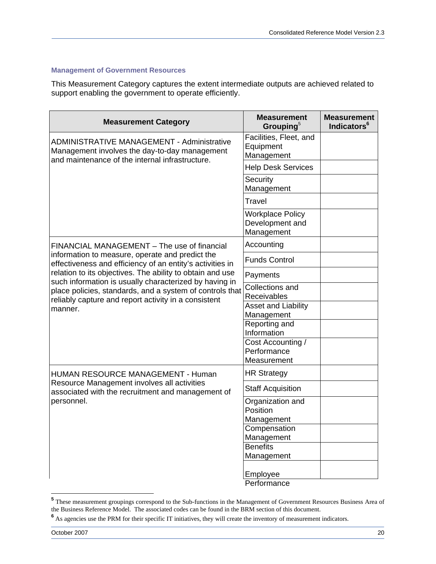#### **Management of Government Resources**

This Measurement Category captures the extent intermediate outputs are achieved related to support enabling the government to operate efficiently.

| <b>Measurement Category</b>                                                                                                                                                | <b>Measurement</b><br>Grouping $5$                       | <b>Measurement</b><br>Indicators <sup>6</sup> |
|----------------------------------------------------------------------------------------------------------------------------------------------------------------------------|----------------------------------------------------------|-----------------------------------------------|
| <b>ADMINISTRATIVE MANAGEMENT - Administrative</b><br>Management involves the day-to-day management<br>and maintenance of the internal infrastructure.                      | Facilities, Fleet, and<br>Equipment<br>Management        |                                               |
|                                                                                                                                                                            | <b>Help Desk Services</b>                                |                                               |
|                                                                                                                                                                            | Security<br>Management                                   |                                               |
|                                                                                                                                                                            | Travel                                                   |                                               |
|                                                                                                                                                                            | <b>Workplace Policy</b><br>Development and<br>Management |                                               |
| FINANCIAL MANAGEMENT - The use of financial                                                                                                                                | Accounting                                               |                                               |
| information to measure, operate and predict the<br>effectiveness and efficiency of an entity's activities in                                                               | <b>Funds Control</b>                                     |                                               |
| relation to its objectives. The ability to obtain and use                                                                                                                  | Payments                                                 |                                               |
| such information is usually characterized by having in<br>place policies, standards, and a system of controls that<br>reliably capture and report activity in a consistent | <b>Collections and</b><br>Receivables                    |                                               |
| manner.                                                                                                                                                                    | <b>Asset and Liability</b><br>Management                 |                                               |
|                                                                                                                                                                            | Reporting and<br>Information                             |                                               |
|                                                                                                                                                                            | Cost Accounting /<br>Performance<br>Measurement          |                                               |
| HUMAN RESOURCE MANAGEMENT - Human                                                                                                                                          | <b>HR Strategy</b>                                       |                                               |
| Resource Management involves all activities<br>associated with the recruitment and management of                                                                           | <b>Staff Acquisition</b>                                 |                                               |
| personnel.                                                                                                                                                                 | Organization and<br>Position<br>Management               |                                               |
|                                                                                                                                                                            | Compensation<br>Management                               |                                               |
|                                                                                                                                                                            | <b>Benefits</b><br>Management                            |                                               |
|                                                                                                                                                                            | Employee<br>Performance                                  |                                               |

<sup>&</sup>lt;sup>5</sup><br><sup>5</sup> These measurement groupings correspond to the Sub-functions in the Management of Government Resources Business Area of the Business Reference Model. The associated codes can be found in the BRM section of this document.

<sup>&</sup>lt;sup>6</sup> As agencies use the PRM for their specific IT initiatives, they will create the inventory of measurement indicators.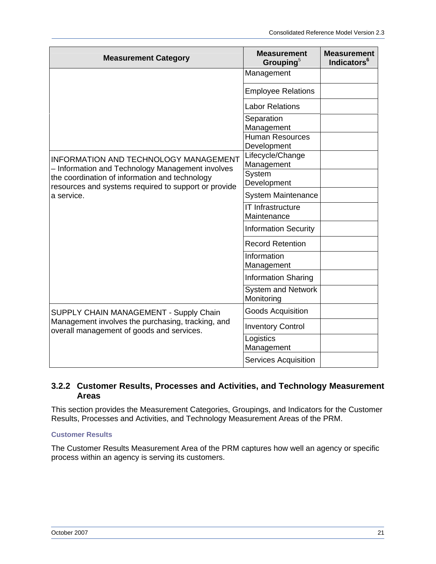| <b>Measurement Category</b>                                                                                                                                | <b>Measurement</b><br>Grouping $5$      | <b>Measurement</b><br>Indicators <sup>6</sup> |
|------------------------------------------------------------------------------------------------------------------------------------------------------------|-----------------------------------------|-----------------------------------------------|
|                                                                                                                                                            | Management                              |                                               |
|                                                                                                                                                            | <b>Employee Relations</b>               |                                               |
|                                                                                                                                                            | <b>Labor Relations</b>                  |                                               |
|                                                                                                                                                            | Separation<br>Management                |                                               |
|                                                                                                                                                            | <b>Human Resources</b><br>Development   |                                               |
| <b>INFORMATION AND TECHNOLOGY MANAGEMENT</b>                                                                                                               | Lifecycle/Change<br>Management          |                                               |
| - Information and Technology Management involves<br>the coordination of information and technology<br>resources and systems required to support or provide | System<br>Development                   |                                               |
| a service.                                                                                                                                                 | <b>System Maintenance</b>               |                                               |
|                                                                                                                                                            | IT Infrastructure<br>Maintenance        |                                               |
|                                                                                                                                                            | <b>Information Security</b>             |                                               |
|                                                                                                                                                            | <b>Record Retention</b>                 |                                               |
|                                                                                                                                                            | Information<br>Management               |                                               |
|                                                                                                                                                            | <b>Information Sharing</b>              |                                               |
|                                                                                                                                                            | <b>System and Network</b><br>Monitoring |                                               |
| SUPPLY CHAIN MANAGEMENT - Supply Chain                                                                                                                     | Goods Acquisition                       |                                               |
| Management involves the purchasing, tracking, and<br>overall management of goods and services.                                                             | <b>Inventory Control</b>                |                                               |
|                                                                                                                                                            | Logistics<br>Management                 |                                               |
|                                                                                                                                                            | <b>Services Acquisition</b>             |                                               |

# **3.2.2 Customer Results, Processes and Activities, and Technology Measurement Areas**

This section provides the Measurement Categories, Groupings, and Indicators for the Customer Results, Processes and Activities, and Technology Measurement Areas of the PRM.

## **Customer Results**

The Customer Results Measurement Area of the PRM captures how well an agency or specific process within an agency is serving its customers.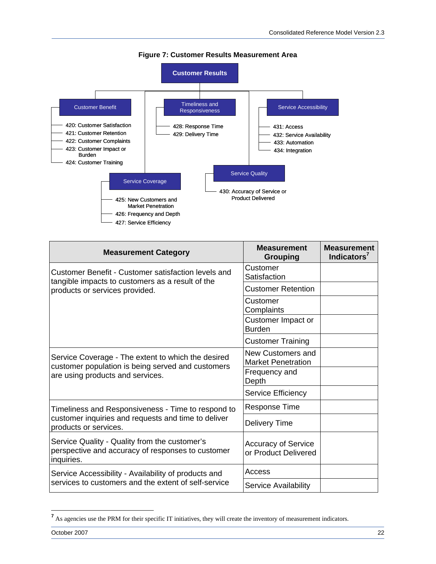

**Measurement Category Measurement Grouping Measurement Indicators<sup>7</sup>** Customer Satisfaction Customer Retention **Customer** Complaints Customer Impact or Burden Customer Benefit - Customer satisfaction levels and tangible impacts to customers as a result of the products or services provided. Customer Training New Customers and Market Penetration Frequency and Depth Service Coverage - The extent to which the desired customer population is being served and customers are using products and services. Service Efficiency Timeliness and Responsiveness - Time to respond to Response Time customer inquiries and requests and time to deliver products or services. Service Quality - Quality from the customer's perspective and accuracy of responses to customer inquiries. Accuracy of Service or Product Delivered Service Accessibility - Availability of products and **Access** services to customers and the extent of self-service  $\overline{\phantom{a}}$  Service Availability

 $\overline{a}$ 

<sup>&</sup>lt;sup>7</sup> As agencies use the PRM for their specific IT initiatives, they will create the inventory of measurement indicators.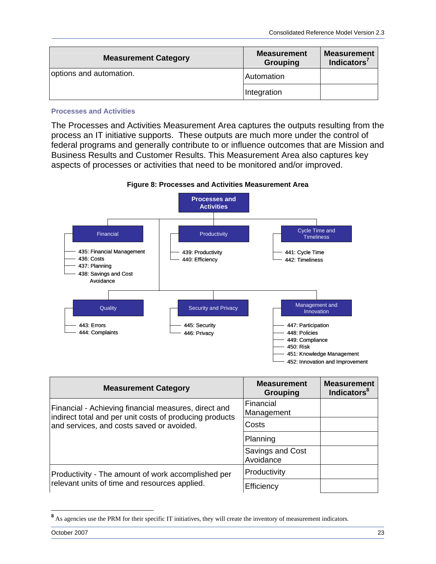| <b>Measurement Category</b> | <b>Measurement</b><br>Grouping | Measurement<br>Indicators <sup>7</sup> |
|-----------------------------|--------------------------------|----------------------------------------|
| options and automation.     | Automation                     |                                        |
|                             | Integration                    |                                        |

#### **Processes and Activities**

The Processes and Activities Measurement Area captures the outputs resulting from the process an IT initiative supports. These outputs are much more under the control of federal programs and generally contribute to or influence outcomes that are Mission and Business Results and Customer Results. This Measurement Area also captures key aspects of processes or activities that need to be monitored and/or improved.



**Figure 8: Processes and Activities Measurement Area** 

| <b>Measurement Category</b>                                                                                                                                  | <b>Measurement</b><br>Grouping | <b>Measurement</b><br>Indicators <sup>8</sup> |
|--------------------------------------------------------------------------------------------------------------------------------------------------------------|--------------------------------|-----------------------------------------------|
| Financial - Achieving financial measures, direct and<br>indirect total and per unit costs of producing products<br>and services, and costs saved or avoided. | Financial<br>Management        |                                               |
|                                                                                                                                                              | Costs                          |                                               |
|                                                                                                                                                              | Planning                       |                                               |
|                                                                                                                                                              | Savings and Cost<br>Avoidance  |                                               |
| Productivity - The amount of work accomplished per<br>relevant units of time and resources applied.                                                          | Productivity                   |                                               |
|                                                                                                                                                              | Efficiency                     |                                               |

<sup>&</sup>lt;sup>8</sup> As agencies use the PRM for their specific IT initiatives, they will create the inventory of measurement indicators.

 $\overline{a}$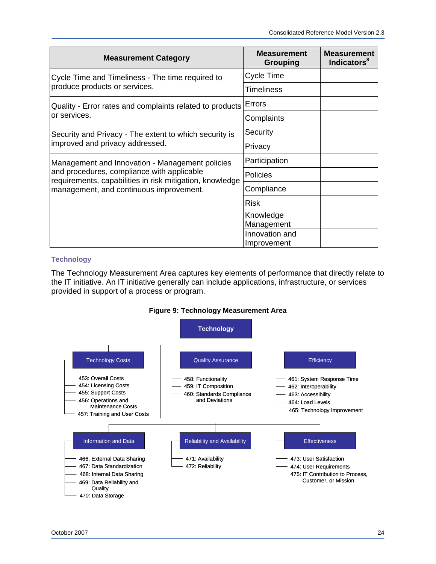| <b>Measurement Category</b>                                                                                                                                                                          | <b>Measurement</b><br>Grouping | <b>Measurement</b><br>Indicators <sup>8</sup> |
|------------------------------------------------------------------------------------------------------------------------------------------------------------------------------------------------------|--------------------------------|-----------------------------------------------|
| Cycle Time and Timeliness - The time required to<br>produce products or services.                                                                                                                    | Cycle Time                     |                                               |
|                                                                                                                                                                                                      | <b>Timeliness</b>              |                                               |
| Quality - Error rates and complaints related to products<br>or services.                                                                                                                             | Errors                         |                                               |
|                                                                                                                                                                                                      | Complaints                     |                                               |
| Security and Privacy - The extent to which security is<br>improved and privacy addressed.                                                                                                            | Security                       |                                               |
|                                                                                                                                                                                                      | Privacy                        |                                               |
| Management and Innovation - Management policies<br>and procedures, compliance with applicable<br>requirements, capabilities in risk mitigation, knowledge<br>management, and continuous improvement. | Participation                  |                                               |
|                                                                                                                                                                                                      | <b>Policies</b>                |                                               |
|                                                                                                                                                                                                      | Compliance                     |                                               |
|                                                                                                                                                                                                      | <b>Risk</b>                    |                                               |
|                                                                                                                                                                                                      | Knowledge                      |                                               |
|                                                                                                                                                                                                      | Management                     |                                               |
|                                                                                                                                                                                                      | Innovation and                 |                                               |
|                                                                                                                                                                                                      | Improvement                    |                                               |

## **Technology**

The Technology Measurement Area captures key elements of performance that directly relate to the IT initiative. An IT initiative generally can include applications, infrastructure, or services provided in support of a process or program.



#### **Figure 9: Technology Measurement Area**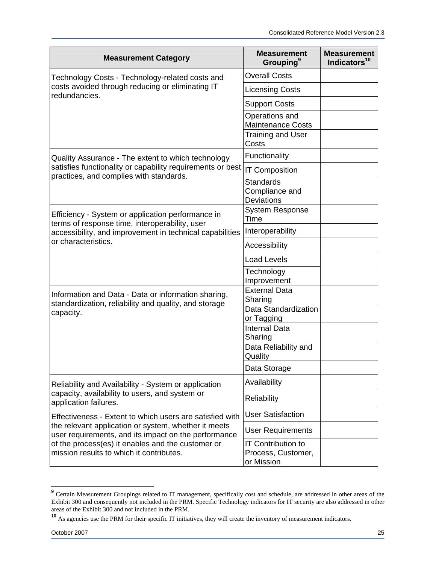| <b>Measurement Category</b>                                                                                                                                              | <b>Measurement</b><br>Grouping                                | <b>Measurement</b><br>Indicators <sup>10</sup> |
|--------------------------------------------------------------------------------------------------------------------------------------------------------------------------|---------------------------------------------------------------|------------------------------------------------|
| Technology Costs - Technology-related costs and<br>costs avoided through reducing or eliminating IT<br>redundancies.                                                     | <b>Overall Costs</b>                                          |                                                |
|                                                                                                                                                                          | <b>Licensing Costs</b>                                        |                                                |
|                                                                                                                                                                          | <b>Support Costs</b>                                          |                                                |
|                                                                                                                                                                          | Operations and<br><b>Maintenance Costs</b>                    |                                                |
|                                                                                                                                                                          | <b>Training and User</b><br>Costs                             |                                                |
| Quality Assurance - The extent to which technology                                                                                                                       | Functionality                                                 |                                                |
| satisfies functionality or capability requirements or best<br>practices, and complies with standards.                                                                    | <b>IT Composition</b>                                         |                                                |
|                                                                                                                                                                          | <b>Standards</b><br>Compliance and<br><b>Deviations</b>       |                                                |
| Efficiency - System or application performance in                                                                                                                        | <b>System Response</b><br>Time                                |                                                |
| terms of response time, interoperability, user<br>accessibility, and improvement in technical capabilities                                                               | Interoperability                                              |                                                |
| or characteristics.                                                                                                                                                      | Accessibility                                                 |                                                |
|                                                                                                                                                                          | <b>Load Levels</b>                                            |                                                |
|                                                                                                                                                                          | Technology<br>Improvement                                     |                                                |
| Information and Data - Data or information sharing,<br>standardization, reliability and quality, and storage<br>capacity.                                                | <b>External Data</b><br>Sharing                               |                                                |
|                                                                                                                                                                          | Data Standardization<br>or Tagging                            |                                                |
|                                                                                                                                                                          | <b>Internal Data</b><br>Sharing                               |                                                |
|                                                                                                                                                                          | Data Reliability and<br>Quality                               |                                                |
|                                                                                                                                                                          | Data Storage                                                  |                                                |
| Reliability and Availability - System or application                                                                                                                     | Availability                                                  |                                                |
| capacity, availability to users, and system or<br>application failures.                                                                                                  | Reliability                                                   |                                                |
| Effectiveness - Extent to which users are satisfied with<br>the relevant application or system, whether it meets<br>user requirements, and its impact on the performance | <b>User Satisfaction</b>                                      |                                                |
|                                                                                                                                                                          | <b>User Requirements</b>                                      |                                                |
| of the process(es) it enables and the customer or<br>mission results to which it contributes.                                                                            | <b>IT Contribution to</b><br>Process, Customer,<br>or Mission |                                                |

<sup>&</sup>lt;sup>9</sup> Certain Measurement Groupings related to IT management, specifically cost and schedule, are addressed in other areas of the Exhibit 300 and consequently not included in the PRM. Specific Technology indicators for IT security are also addressed in other areas of the Exhibit 300 and not included in the PRM.

**<sup>10</sup>** As agencies use the PRM for their specific IT initiatives, they will create the inventory of measurement indicators.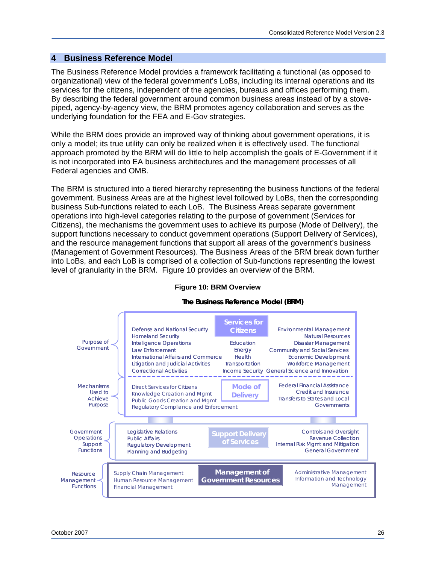#### **4 Business Reference Model**

The Business Reference Model provides a framework facilitating a functional (as opposed to organizational) view of the federal government's LoBs, including its internal operations and its services for the citizens, independent of the agencies, bureaus and offices performing them. By describing the federal government around common business areas instead of by a stovepiped, agency-by-agency view, the BRM promotes agency collaboration and serves as the underlying foundation for the FEA and E-Gov strategies.

While the BRM does provide an improved way of thinking about government operations, it is only a model; its true utility can only be realized when it is effectively used. The functional approach promoted by the BRM will do little to help accomplish the goals of E-Government if it is not incorporated into EA business architectures and the management processes of all Federal agencies and OMB.

The BRM is structured into a tiered hierarchy representing the business functions of the federal government. Business Areas are at the highest level followed by LoBs, then the corresponding business Sub-functions related to each LoB. The Business Areas separate government operations into high-level categories relating to the purpose of government (Services for Citizens), the mechanisms the government uses to achieve its purpose (Mode of Delivery), the support functions necessary to conduct government operations (Support Delivery of Services), and the resource management functions that support all areas of the government's business (Management of Government Resources). The Business Areas of the BRM break down further into LoBs, and each LoB is comprised of a collection of Sub-functions representing the lowest level of granularity in the BRM. Figure 10 provides an overview of the BRM.



## **Figure 10: BRM Overview**

#### **The Business Reference Model (BRM)**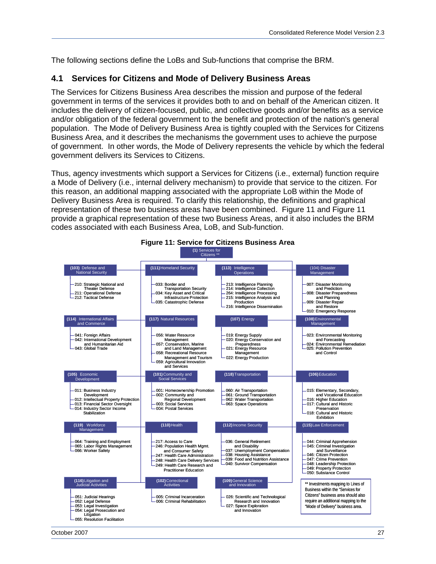The following sections define the LoBs and Sub-functions that comprise the BRM.

# **4.1 Services for Citizens and Mode of Delivery Business Areas**

The Services for Citizens Business Area describes the mission and purpose of the federal government in terms of the services it provides both to and on behalf of the American citizen. It includes the delivery of citizen-focused, public, and collective goods and/or benefits as a service and/or obligation of the federal government to the benefit and protection of the nation's general population. The Mode of Delivery Business Area is tightly coupled with the Services for Citizens Business Area, and it describes the mechanisms the government uses to achieve the purpose of government. In other words, the Mode of Delivery represents the vehicle by which the federal government delivers its Services to Citizens.

Thus, agency investments which support a Services for Citizens (i.e., external) function require a Mode of Delivery (i.e., internal delivery mechanism) to provide that service to the citizen. For this reason, an additional mapping associated with the appropriate LoB within the Mode of Delivery Business Area is required. To clarify this relationship, the definitions and graphical representation of these two business areas have been combined. Figure 11 and Figure 11 provide a graphical representation of these two Business Areas, and it also includes the BRM codes associated with each Business Area, LoB, and Sub-function.

| Citizens <sup>**</sup>                                                                                                                                            |                                                                                                                                                                                                                         |                                                                                                                                                                               |                                                                                                                                                                                                                       |  |
|-------------------------------------------------------------------------------------------------------------------------------------------------------------------|-------------------------------------------------------------------------------------------------------------------------------------------------------------------------------------------------------------------------|-------------------------------------------------------------------------------------------------------------------------------------------------------------------------------|-----------------------------------------------------------------------------------------------------------------------------------------------------------------------------------------------------------------------|--|
| (103) Defense and<br><b>National Security</b>                                                                                                                     | (111) Homeland Security                                                                                                                                                                                                 | (113) Intelligence<br>Operations                                                                                                                                              | (104) Disaster<br>Management                                                                                                                                                                                          |  |
| 210: Strategic National and<br><b>Theater Defense</b><br>211: Operational Defense<br>212: Tactical Defense                                                        | 033: Border and<br><b>Transportation Security</b><br>034: Key Asset and Critical<br>Infrastructure Protection<br>035: Catastrophic Defense                                                                              | 213: Intelligence Planning<br>214: Intelligence Collection<br>264: Intelligence Processing<br>215: Intelligence Analysis and<br>Production<br>216: Intelligence Dissemination | 007: Disaster Monitoring<br>and Prediction<br>008: Disaster Preparedness<br>and Planning<br>009: Disaster Repair<br>and Restore<br>010: Emergency Response                                                            |  |
| (114) International Affairs<br>and Commerce                                                                                                                       | (117) Natural Resources                                                                                                                                                                                                 | $(107)$ Energy                                                                                                                                                                | (108) Environmental<br>Management                                                                                                                                                                                     |  |
| 041: Foreign Affairs<br>042: International Development<br>and Humanitarian Aid<br>043: Global Trade                                                               | 056: Water Resource<br>Management<br>057: Conservation, Marine<br>and Land Management<br>058: Recreational Resource<br>Management and Tourism<br>059: Agricultural Innovation<br>and Services                           | 019: Energy Supply<br>020: Energy Conservation and<br>Preparedness<br>021: Energy Resource<br>Management<br>022: Energy Production                                            | 023: Environmental Monitoring<br>and Forecasting<br>024: Environmental Remediation<br>025: Pollution Prevention<br>and Control                                                                                        |  |
| (105) Economic<br>Development                                                                                                                                     | (101) Community and<br><b>Social Services</b>                                                                                                                                                                           | (118) Transportation                                                                                                                                                          | (106) Education                                                                                                                                                                                                       |  |
| 011: Business Industry<br>Development<br>012: Intellectual Property Protection<br>013: Financial Sector Oversight<br>014: Industry Sector Income<br>Stabilization | 001: Homeownership Promotion<br>002: Community and<br><b>Regional Development</b><br>003: Social Services<br>004: Postal Services                                                                                       | 060: Air Transportation<br>061: Ground Transportation<br>062: Water Transportation<br>063: Space Operations                                                                   | 015: Elementary, Secondary,<br>and Vocational Education<br>016: Higher Education<br>017: Cultural and Historic<br>Preservation<br>018: Cultural and Historic<br>Exhibition                                            |  |
| (119) Workforce<br>Management                                                                                                                                     | $(110)$ Health                                                                                                                                                                                                          | (112) Income Security                                                                                                                                                         | (115) Law Enforcement                                                                                                                                                                                                 |  |
| 064: Training and Employment<br>065: Labor Rights Management<br>066: Worker Safety                                                                                | 217: Access to Care<br>246: Population Health Mgmt.<br>and Consumer Safety<br>-247: Health Care Administration<br>248: Health Care Delivery Services<br>-249: Health Care Research and<br><b>Practitioner Education</b> | 036: General Retirement<br>and Disability<br>037: Unemployment Compensation<br>038: Housing Assistance<br>039: Food and Nutrition Assistance<br>040: Survivor Compensation    | 044: Criminal Apprehension<br>045: Criminal Investigation<br>and Surveillance<br>046: Citizen Protection<br>047: Crime Prevention<br>048: Leadership Protection<br>049: Property Protection<br>050: Substance Control |  |
| (116) Litigation and<br><b>Judicial Activities</b>                                                                                                                | (102) Correctional<br><b>Activities</b>                                                                                                                                                                                 | (109) General Science<br>and Innovation                                                                                                                                       | ** Investments mapping to Lines of<br>Business within the "Services for                                                                                                                                               |  |
| 051: Judicial Hearings<br>052: Legal Defense<br>053: Legal Investigation<br>054: Legal Prosecution and<br>Litigation<br>055: Resolution Facilitation              | 005: Criminal Incarceration<br>006: Criminal Rehabilitation                                                                                                                                                             | 026: Scientific and Technological<br>Research and Innovation<br>027: Space Exploration<br>and Innovation                                                                      | Citizens" business area should also<br>require an additional mapping to the<br>"Mode of Delivery" business area.                                                                                                      |  |

#### **Figure 11: Service for Citizens Business Area (1)** Services for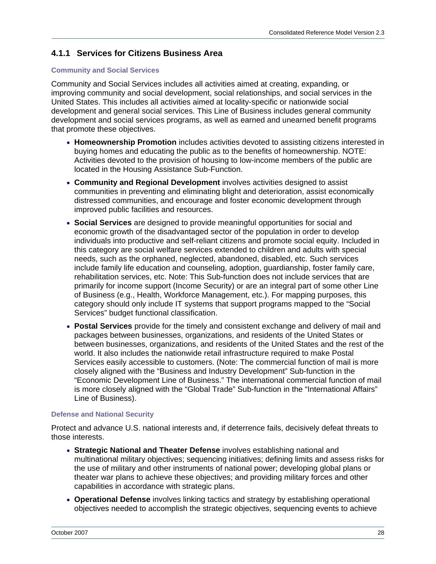# **4.1.1 Services for Citizens Business Area**

## **Community and Social Services**

Community and Social Services includes all activities aimed at creating, expanding, or improving community and social development, social relationships, and social services in the United States. This includes all activities aimed at locality-specific or nationwide social development and general social services. This Line of Business includes general community development and social services programs, as well as earned and unearned benefit programs that promote these objectives.

- **Homeownership Promotion** includes activities devoted to assisting citizens interested in buying homes and educating the public as to the benefits of homeownership. NOTE: Activities devoted to the provision of housing to low-income members of the public are located in the Housing Assistance Sub-Function.
- **Community and Regional Development** involves activities designed to assist communities in preventing and eliminating blight and deterioration, assist economically distressed communities, and encourage and foster economic development through improved public facilities and resources.
- **Social Services** are designed to provide meaningful opportunities for social and economic growth of the disadvantaged sector of the population in order to develop individuals into productive and self-reliant citizens and promote social equity. Included in this category are social welfare services extended to children and adults with special needs, such as the orphaned, neglected, abandoned, disabled, etc. Such services include family life education and counseling, adoption, guardianship, foster family care, rehabilitation services, etc. Note: This Sub-function does not include services that are primarily for income support (Income Security) or are an integral part of some other Line of Business (e.g., Health, Workforce Management, etc.). For mapping purposes, this category should only include IT systems that support programs mapped to the "Social Services" budget functional classification.
- **Postal Services** provide for the timely and consistent exchange and delivery of mail and packages between businesses, organizations, and residents of the United States or between businesses, organizations, and residents of the United States and the rest of the world. It also includes the nationwide retail infrastructure required to make Postal Services easily accessible to customers. (Note: The commercial function of mail is more closely aligned with the "Business and Industry Development" Sub-function in the "Economic Development Line of Business." The international commercial function of mail is more closely aligned with the "Global Trade" Sub-function in the "International Affairs" Line of Business).

#### **Defense and National Security**

Protect and advance U.S. national interests and, if deterrence fails, decisively defeat threats to those interests.

- **Strategic National and Theater Defense** involves establishing national and multinational military objectives; sequencing initiatives; defining limits and assess risks for the use of military and other instruments of national power; developing global plans or theater war plans to achieve these objectives; and providing military forces and other capabilities in accordance with strategic plans.
- **Operational Defense** involves linking tactics and strategy by establishing operational objectives needed to accomplish the strategic objectives, sequencing events to achieve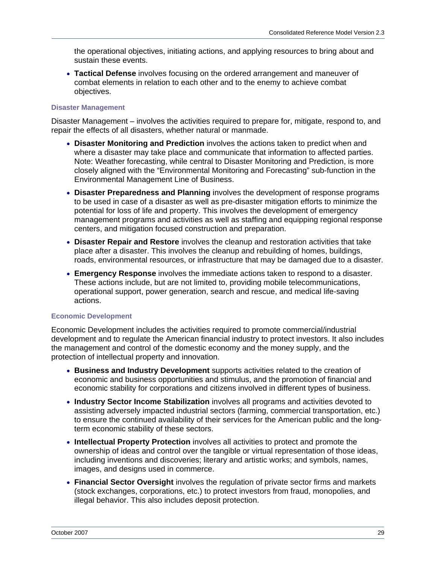the operational objectives, initiating actions, and applying resources to bring about and sustain these events.

• **Tactical Defense** involves focusing on the ordered arrangement and maneuver of combat elements in relation to each other and to the enemy to achieve combat objectives.

#### **Disaster Management**

Disaster Management – involves the activities required to prepare for, mitigate, respond to, and repair the effects of all disasters, whether natural or manmade.

- **Disaster Monitoring and Prediction** involves the actions taken to predict when and where a disaster may take place and communicate that information to affected parties. Note: Weather forecasting, while central to Disaster Monitoring and Prediction, is more closely aligned with the "Environmental Monitoring and Forecasting" sub-function in the Environmental Management Line of Business.
- **Disaster Preparedness and Planning** involves the development of response programs to be used in case of a disaster as well as pre-disaster mitigation efforts to minimize the potential for loss of life and property. This involves the development of emergency management programs and activities as well as staffing and equipping regional response centers, and mitigation focused construction and preparation.
- **Disaster Repair and Restore** involves the cleanup and restoration activities that take place after a disaster. This involves the cleanup and rebuilding of homes, buildings, roads, environmental resources, or infrastructure that may be damaged due to a disaster.
- **Emergency Response** involves the immediate actions taken to respond to a disaster. These actions include, but are not limited to, providing mobile telecommunications, operational support, power generation, search and rescue, and medical life-saving actions.

#### **Economic Development**

Economic Development includes the activities required to promote commercial/industrial development and to regulate the American financial industry to protect investors. It also includes the management and control of the domestic economy and the money supply, and the protection of intellectual property and innovation.

- **Business and Industry Development** supports activities related to the creation of economic and business opportunities and stimulus, and the promotion of financial and economic stability for corporations and citizens involved in different types of business.
- **Industry Sector Income Stabilization** involves all programs and activities devoted to assisting adversely impacted industrial sectors (farming, commercial transportation, etc.) to ensure the continued availability of their services for the American public and the longterm economic stability of these sectors.
- **Intellectual Property Protection** involves all activities to protect and promote the ownership of ideas and control over the tangible or virtual representation of those ideas, including inventions and discoveries; literary and artistic works; and symbols, names, images, and designs used in commerce.
- **Financial Sector Oversight** involves the regulation of private sector firms and markets (stock exchanges, corporations, etc.) to protect investors from fraud, monopolies, and illegal behavior. This also includes deposit protection.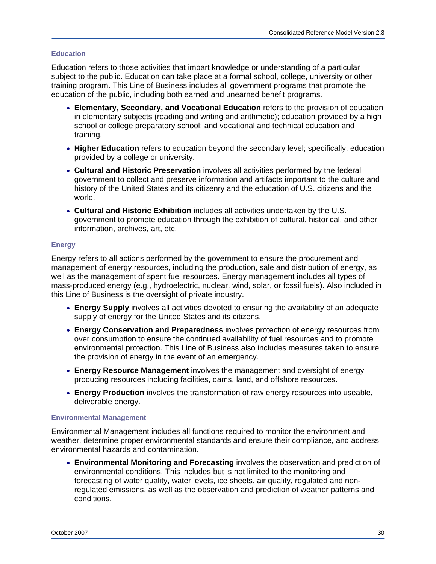## **Education**

Education refers to those activities that impart knowledge or understanding of a particular subject to the public. Education can take place at a formal school, college, university or other training program. This Line of Business includes all government programs that promote the education of the public, including both earned and unearned benefit programs.

- **Elementary, Secondary, and Vocational Education** refers to the provision of education in elementary subjects (reading and writing and arithmetic); education provided by a high school or college preparatory school; and vocational and technical education and training.
- **Higher Education** refers to education beyond the secondary level; specifically, education provided by a college or university.
- **Cultural and Historic Preservation** involves all activities performed by the federal government to collect and preserve information and artifacts important to the culture and history of the United States and its citizenry and the education of U.S. citizens and the world.
- **Cultural and Historic Exhibition** includes all activities undertaken by the U.S. government to promote education through the exhibition of cultural, historical, and other information, archives, art, etc.

## **Energy**

Energy refers to all actions performed by the government to ensure the procurement and management of energy resources, including the production, sale and distribution of energy, as well as the management of spent fuel resources. Energy management includes all types of mass-produced energy (e.g., hydroelectric, nuclear, wind, solar, or fossil fuels). Also included in this Line of Business is the oversight of private industry.

- **Energy Supply** involves all activities devoted to ensuring the availability of an adequate supply of energy for the United States and its citizens.
- **Energy Conservation and Preparedness** involves protection of energy resources from over consumption to ensure the continued availability of fuel resources and to promote environmental protection. This Line of Business also includes measures taken to ensure the provision of energy in the event of an emergency.
- **Energy Resource Management** involves the management and oversight of energy producing resources including facilities, dams, land, and offshore resources.
- **Energy Production** involves the transformation of raw energy resources into useable, deliverable energy.

#### **Environmental Management**

Environmental Management includes all functions required to monitor the environment and weather, determine proper environmental standards and ensure their compliance, and address environmental hazards and contamination.

• **Environmental Monitoring and Forecasting** involves the observation and prediction of environmental conditions. This includes but is not limited to the monitoring and forecasting of water quality, water levels, ice sheets, air quality, regulated and nonregulated emissions, as well as the observation and prediction of weather patterns and conditions.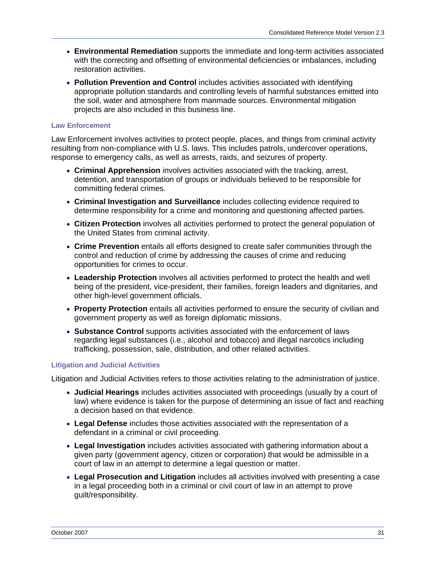- **Environmental Remediation** supports the immediate and long-term activities associated with the correcting and offsetting of environmental deficiencies or imbalances, including restoration activities.
- **Pollution Prevention and Control** includes activities associated with identifying appropriate pollution standards and controlling levels of harmful substances emitted into the soil, water and atmosphere from manmade sources. Environmental mitigation projects are also included in this business line.

## **Law Enforcement**

Law Enforcement involves activities to protect people, places, and things from criminal activity resulting from non-compliance with U.S. laws. This includes patrols, undercover operations, response to emergency calls, as well as arrests, raids, and seizures of property.

- **Criminal Apprehension** involves activities associated with the tracking, arrest, detention, and transportation of groups or individuals believed to be responsible for committing federal crimes.
- **Criminal Investigation and Surveillance** includes collecting evidence required to determine responsibility for a crime and monitoring and questioning affected parties.
- **Citizen Protection** involves all activities performed to protect the general population of the United States from criminal activity.
- **Crime Prevention** entails all efforts designed to create safer communities through the control and reduction of crime by addressing the causes of crime and reducing opportunities for crimes to occur.
- **Leadership Protection** involves all activities performed to protect the health and well being of the president, vice-president, their families, foreign leaders and dignitaries, and other high-level government officials.
- **Property Protection** entails all activities performed to ensure the security of civilian and government property as well as foreign diplomatic missions.
- **Substance Control** supports activities associated with the enforcement of laws regarding legal substances (i.e., alcohol and tobacco) and illegal narcotics including trafficking, possession, sale, distribution, and other related activities.

#### **Litigation and Judicial Activities**

Litigation and Judicial Activities refers to those activities relating to the administration of justice.

- **Judicial Hearings** includes activities associated with proceedings (usually by a court of law) where evidence is taken for the purpose of determining an issue of fact and reaching a decision based on that evidence.
- **Legal Defense** includes those activities associated with the representation of a defendant in a criminal or civil proceeding.
- **Legal Investigation** includes activities associated with gathering information about a given party (government agency, citizen or corporation) that would be admissible in a court of law in an attempt to determine a legal question or matter.
- **Legal Prosecution and Litigation** includes all activities involved with presenting a case in a legal proceeding both in a criminal or civil court of law in an attempt to prove guilt/responsibility.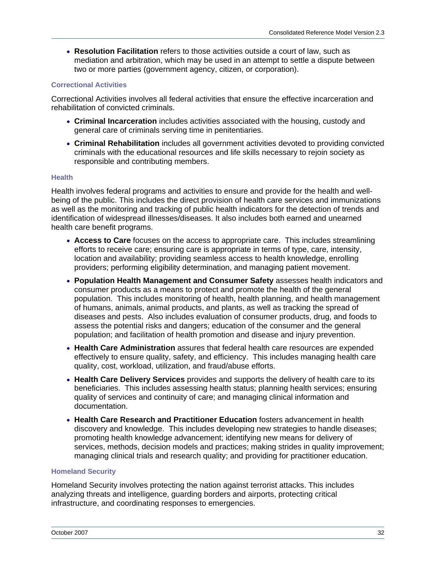• **Resolution Facilitation** refers to those activities outside a court of law, such as mediation and arbitration, which may be used in an attempt to settle a dispute between two or more parties (government agency, citizen, or corporation).

#### **Correctional Activities**

Correctional Activities involves all federal activities that ensure the effective incarceration and rehabilitation of convicted criminals.

- **Criminal Incarceration** includes activities associated with the housing, custody and general care of criminals serving time in penitentiaries.
- **Criminal Rehabilitation** includes all government activities devoted to providing convicted criminals with the educational resources and life skills necessary to rejoin society as responsible and contributing members.

#### **Health**

Health involves federal programs and activities to ensure and provide for the health and wellbeing of the public. This includes the direct provision of health care services and immunizations as well as the monitoring and tracking of public health indicators for the detection of trends and identification of widespread illnesses/diseases. It also includes both earned and unearned health care benefit programs.

- **Access to Care** focuses on the access to appropriate care.This includes streamlining efforts to receive care; ensuring care is appropriate in terms of type, care, intensity, location and availability; providing seamless access to health knowledge, enrolling providers; performing eligibility determination, and managing patient movement.
- **Population Health Management and Consumer Safety** assesses health indicators and consumer products as a means to protect and promote the health of the general population. This includes monitoring of health, health planning, and health management of humans, animals, animal products, and plants, as well as tracking the spread of diseases and pests. Also includes evaluation of consumer products, drug, and foods to assess the potential risks and dangers; education of the consumer and the general population; and facilitation of health promotion and disease and injury prevention.
- **Health Care Administration** assures that federal health care resources are expended effectively to ensure quality, safety, and efficiency. This includes managing health care quality, cost, workload, utilization, and fraud/abuse efforts.
- **Health Care Delivery Services** provides and supports the delivery of health care to its beneficiaries. This includes assessing health status; planning health services; ensuring quality of services and continuity of care; and managing clinical information and documentation.
- **Health Care Research and Practitioner Education** fosters advancement in health discovery and knowledge. This includes developing new strategies to handle diseases; promoting health knowledge advancement; identifying new means for delivery of services, methods, decision models and practices; making strides in quality improvement; managing clinical trials and research quality; and providing for practitioner education.

#### **Homeland Security**

Homeland Security involves protecting the nation against terrorist attacks. This includes analyzing threats and intelligence, guarding borders and airports, protecting critical infrastructure, and coordinating responses to emergencies.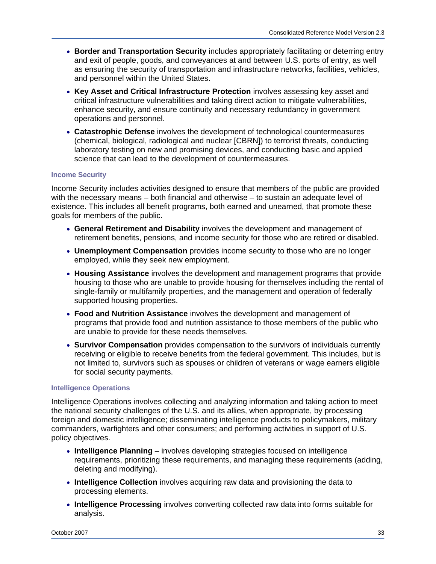- **Border and Transportation Security** includes appropriately facilitating or deterring entry and exit of people, goods, and conveyances at and between U.S. ports of entry, as well as ensuring the security of transportation and infrastructure networks, facilities, vehicles, and personnel within the United States.
- **Key Asset and Critical Infrastructure Protection** involves assessing key asset and critical infrastructure vulnerabilities and taking direct action to mitigate vulnerabilities, enhance security, and ensure continuity and necessary redundancy in government operations and personnel.
- **Catastrophic Defense** involves the development of technological countermeasures (chemical, biological, radiological and nuclear [CBRN]) to terrorist threats, conducting laboratory testing on new and promising devices, and conducting basic and applied science that can lead to the development of countermeasures.

## **Income Security**

Income Security includes activities designed to ensure that members of the public are provided with the necessary means – both financial and otherwise – to sustain an adequate level of existence. This includes all benefit programs, both earned and unearned, that promote these goals for members of the public.

- **General Retirement and Disability** involves the development and management of retirement benefits, pensions, and income security for those who are retired or disabled.
- **Unemployment Compensation** provides income security to those who are no longer employed, while they seek new employment.
- **Housing Assistance** involves the development and management programs that provide housing to those who are unable to provide housing for themselves including the rental of single-family or multifamily properties, and the management and operation of federally supported housing properties.
- **Food and Nutrition Assistance** involves the development and management of programs that provide food and nutrition assistance to those members of the public who are unable to provide for these needs themselves.
- **Survivor Compensation** provides compensation to the survivors of individuals currently receiving or eligible to receive benefits from the federal government. This includes, but is not limited to, survivors such as spouses or children of veterans or wage earners eligible for social security payments.

## **Intelligence Operations**

Intelligence Operations involves collecting and analyzing information and taking action to meet the national security challenges of the U.S. and its allies, when appropriate, by processing foreign and domestic intelligence; disseminating intelligence products to policymakers, military commanders, warfighters and other consumers; and performing activities in support of U.S. policy objectives.

- **Intelligence Planning** involves developing strategies focused on intelligence requirements, prioritizing these requirements, and managing these requirements (adding, deleting and modifying).
- **Intelligence Collection** involves acquiring raw data and provisioning the data to processing elements.
- **Intelligence Processing** involves converting collected raw data into forms suitable for analysis.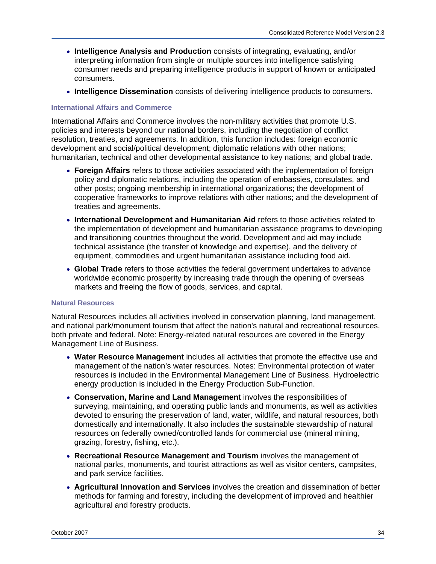- **Intelligence Analysis and Production** consists of integrating, evaluating, and/or interpreting information from single or multiple sources into intelligence satisfying consumer needs and preparing intelligence products in support of known or anticipated consumers.
- **Intelligence Dissemination** consists of delivering intelligence products to consumers.

#### **International Affairs and Commerce**

International Affairs and Commerce involves the non-military activities that promote U.S. policies and interests beyond our national borders, including the negotiation of conflict resolution, treaties, and agreements. In addition, this function includes: foreign economic development and social/political development; diplomatic relations with other nations; humanitarian, technical and other developmental assistance to key nations; and global trade.

- **Foreign Affairs** refers to those activities associated with the implementation of foreign policy and diplomatic relations, including the operation of embassies, consulates, and other posts; ongoing membership in international organizations; the development of cooperative frameworks to improve relations with other nations; and the development of treaties and agreements.
- **International Development and Humanitarian Aid** refers to those activities related to the implementation of development and humanitarian assistance programs to developing and transitioning countries throughout the world. Development and aid may include technical assistance (the transfer of knowledge and expertise), and the delivery of equipment, commodities and urgent humanitarian assistance including food aid.
- **Global Trade** refers to those activities the federal government undertakes to advance worldwide economic prosperity by increasing trade through the opening of overseas markets and freeing the flow of goods, services, and capital.

#### **Natural Resources**

Natural Resources includes all activities involved in conservation planning, land management, and national park/monument tourism that affect the nation's natural and recreational resources, both private and federal. Note: Energy-related natural resources are covered in the Energy Management Line of Business.

- **Water Resource Management** includes all activities that promote the effective use and management of the nation's water resources. Notes: Environmental protection of water resources is included in the Environmental Management Line of Business. Hydroelectric energy production is included in the Energy Production Sub-Function.
- **Conservation, Marine and Land Management** involves the responsibilities of surveying, maintaining, and operating public lands and monuments, as well as activities devoted to ensuring the preservation of land, water, wildlife, and natural resources, both domestically and internationally. It also includes the sustainable stewardship of natural resources on federally owned/controlled lands for commercial use (mineral mining, grazing, forestry, fishing, etc.).
- **Recreational Resource Management and Tourism** involves the management of national parks, monuments, and tourist attractions as well as visitor centers, campsites, and park service facilities.
- **Agricultural Innovation and Services** involves the creation and dissemination of better methods for farming and forestry, including the development of improved and healthier agricultural and forestry products.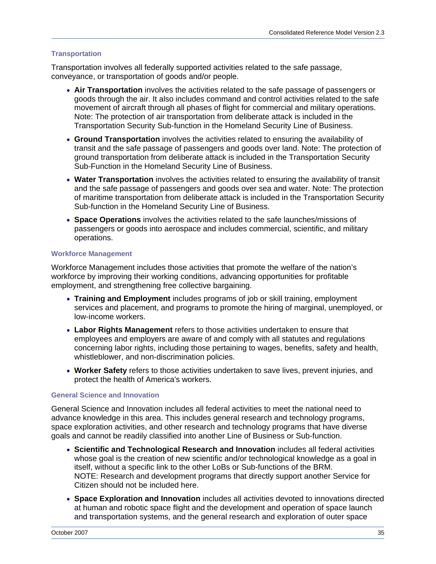## **Transportation**

Transportation involves all federally supported activities related to the safe passage, conveyance, or transportation of goods and/or people.

- **Air Transportation** involves the activities related to the safe passage of passengers or goods through the air. It also includes command and control activities related to the safe movement of aircraft through all phases of flight for commercial and military operations. Note: The protection of air transportation from deliberate attack is included in the Transportation Security Sub-function in the Homeland Security Line of Business.
- **Ground Transportation** involves the activities related to ensuring the availability of transit and the safe passage of passengers and goods over land. Note: The protection of ground transportation from deliberate attack is included in the Transportation Security Sub-Function in the Homeland Security Line of Business.
- **Water Transportation** involves the activities related to ensuring the availability of transit and the safe passage of passengers and goods over sea and water. Note: The protection of maritime transportation from deliberate attack is included in the Transportation Security Sub-function in the Homeland Security Line of Business.
- **Space Operations** involves the activities related to the safe launches/missions of passengers or goods into aerospace and includes commercial, scientific, and military operations.

#### **Workforce Management**

Workforce Management includes those activities that promote the welfare of the nation's workforce by improving their working conditions, advancing opportunities for profitable employment, and strengthening free collective bargaining.

- **Training and Employment** includes programs of job or skill training, employment services and placement, and programs to promote the hiring of marginal, unemployed, or low-income workers.
- **Labor Rights Management** refers to those activities undertaken to ensure that employees and employers are aware of and comply with all statutes and regulations concerning labor rights, including those pertaining to wages, benefits, safety and health, whistleblower, and non-discrimination policies.
- **Worker Safety** refers to those activities undertaken to save lives, prevent injuries, and protect the health of America's workers.

#### **General Science and Innovation**

General Science and Innovation includes all federal activities to meet the national need to advance knowledge in this area. This includes general research and technology programs, space exploration activities, and other research and technology programs that have diverse goals and cannot be readily classified into another Line of Business or Sub-function.

- **Scientific and Technological Research and Innovation** includes all federal activities whose goal is the creation of new scientific and/or technological knowledge as a goal in itself, without a specific link to the other LoBs or Sub-functions of the BRM. NOTE: Research and development programs that directly support another Service for Citizen should not be included here.
- **Space Exploration and Innovation** includes all activities devoted to innovations directed at human and robotic space flight and the development and operation of space launch and transportation systems, and the general research and exploration of outer space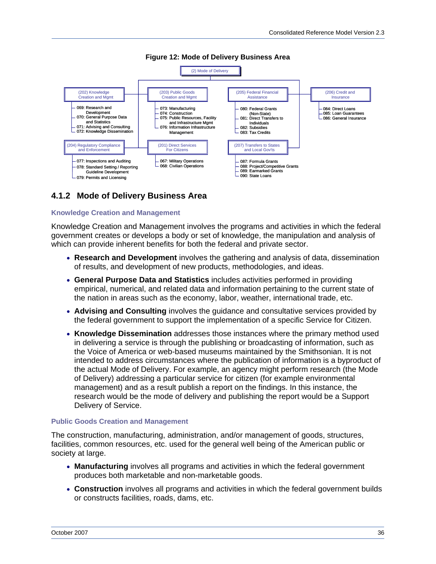

**Figure 12: Mode of Delivery Business Area** 

## **4.1.2 Mode of Delivery Business Area**

#### **Knowledge Creation and Management**

Knowledge Creation and Management involves the programs and activities in which the federal government creates or develops a body or set of knowledge, the manipulation and analysis of which can provide inherent benefits for both the federal and private sector.

- **Research and Development** involves the gathering and analysis of data, dissemination of results, and development of new products, methodologies, and ideas.
- **General Purpose Data and Statistics** includes activities performed in providing empirical, numerical, and related data and information pertaining to the current state of the nation in areas such as the economy, labor, weather, international trade, etc.
- **Advising and Consulting** involves the guidance and consultative services provided by the federal government to support the implementation of a specific Service for Citizen.
- **Knowledge Dissemination** addresses those instances where the primary method used in delivering a service is through the publishing or broadcasting of information, such as the Voice of America or web-based museums maintained by the Smithsonian. It is not intended to address circumstances where the publication of information is a byproduct of the actual Mode of Delivery. For example, an agency might perform research (the Mode of Delivery) addressing a particular service for citizen (for example environmental management) and as a result publish a report on the findings. In this instance, the research would be the mode of delivery and publishing the report would be a Support Delivery of Service.

#### **Public Goods Creation and Management**

The construction, manufacturing, administration, and/or management of goods, structures, facilities, common resources, etc. used for the general well being of the American public or society at large.

- **Manufacturing** involves all programs and activities in which the federal government produces both marketable and non-marketable goods.
- **Construction** involves all programs and activities in which the federal government builds or constructs facilities, roads, dams, etc.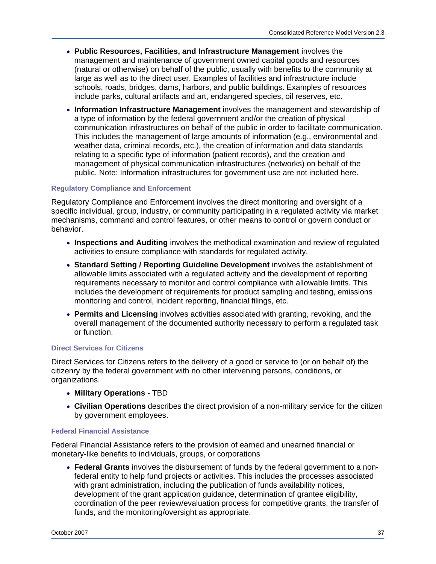- **Public Resources, Facilities, and Infrastructure Management** involves the management and maintenance of government owned capital goods and resources (natural or otherwise) on behalf of the public, usually with benefits to the community at large as well as to the direct user. Examples of facilities and infrastructure include schools, roads, bridges, dams, harbors, and public buildings. Examples of resources include parks, cultural artifacts and art, endangered species, oil reserves, etc.
- **Information Infrastructure Management** involves the management and stewardship of a type of information by the federal government and/or the creation of physical communication infrastructures on behalf of the public in order to facilitate communication. This includes the management of large amounts of information (e.g., environmental and weather data, criminal records, etc.), the creation of information and data standards relating to a specific type of information (patient records), and the creation and management of physical communication infrastructures (networks) on behalf of the public. Note: Information infrastructures for government use are not included here.

## **Regulatory Compliance and Enforcement**

Regulatory Compliance and Enforcement involves the direct monitoring and oversight of a specific individual, group, industry, or community participating in a regulated activity via market mechanisms, command and control features, or other means to control or govern conduct or behavior.

- **Inspections and Auditing** involves the methodical examination and review of regulated activities to ensure compliance with standards for regulated activity.
- **Standard Setting / Reporting Guideline Development** involves the establishment of allowable limits associated with a regulated activity and the development of reporting requirements necessary to monitor and control compliance with allowable limits. This includes the development of requirements for product sampling and testing, emissions monitoring and control, incident reporting, financial filings, etc.
- **Permits and Licensing** involves activities associated with granting, revoking, and the overall management of the documented authority necessary to perform a regulated task or function.

### **Direct Services for Citizens**

Direct Services for Citizens refers to the delivery of a good or service to (or on behalf of) the citizenry by the federal government with no other intervening persons, conditions, or organizations.

- **Military Operations** TBD
- **Civilian Operations** describes the direct provision of a non-military service for the citizen by government employees.

# **Federal Financial Assistance**

Federal Financial Assistance refers to the provision of earned and unearned financial or monetary-like benefits to individuals, groups, or corporations

• **Federal Grants** involves the disbursement of funds by the federal government to a nonfederal entity to help fund projects or activities. This includes the processes associated with grant administration, including the publication of funds availability notices, development of the grant application guidance, determination of grantee eligibility, coordination of the peer review/evaluation process for competitive grants, the transfer of funds, and the monitoring/oversight as appropriate.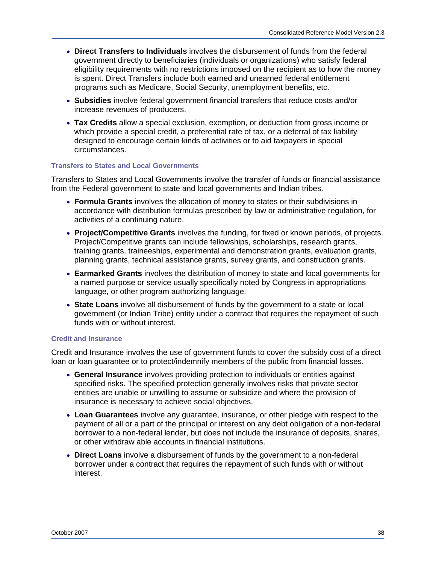- **Direct Transfers to Individuals** involves the disbursement of funds from the federal government directly to beneficiaries (individuals or organizations) who satisfy federal eligibility requirements with no restrictions imposed on the recipient as to how the money is spent. Direct Transfers include both earned and unearned federal entitlement programs such as Medicare, Social Security, unemployment benefits, etc.
- **Subsidies** involve federal government financial transfers that reduce costs and/or increase revenues of producers.
- **Tax Credits** allow a special exclusion, exemption, or deduction from gross income or which provide a special credit, a preferential rate of tax, or a deferral of tax liability designed to encourage certain kinds of activities or to aid taxpayers in special circumstances.

## **Transfers to States and Local Governments**

Transfers to States and Local Governments involve the transfer of funds or financial assistance from the Federal government to state and local governments and Indian tribes.

- **Formula Grants** involves the allocation of money to states or their subdivisions in accordance with distribution formulas prescribed by law or administrative regulation, for activities of a continuing nature.
- **Project/Competitive Grants** involves the funding, for fixed or known periods, of projects. Project/Competitive grants can include fellowships, scholarships, research grants, training grants, traineeships, experimental and demonstration grants, evaluation grants, planning grants, technical assistance grants, survey grants, and construction grants.
- **Earmarked Grants** involves the distribution of money to state and local governments for a named purpose or service usually specifically noted by Congress in appropriations language, or other program authorizing language.
- **State Loans** involve all disbursement of funds by the government to a state or local government (or Indian Tribe) entity under a contract that requires the repayment of such funds with or without interest.

### **Credit and Insurance**

Credit and Insurance involves the use of government funds to cover the subsidy cost of a direct loan or loan guarantee or to protect/indemnify members of the public from financial losses.

- **General Insurance** involves providing protection to individuals or entities against specified risks. The specified protection generally involves risks that private sector entities are unable or unwilling to assume or subsidize and where the provision of insurance is necessary to achieve social objectives.
- **Loan Guarantees** involve any guarantee, insurance, or other pledge with respect to the payment of all or a part of the principal or interest on any debt obligation of a non-federal borrower to a non-federal lender, but does not include the insurance of deposits, shares, or other withdraw able accounts in financial institutions.
- **Direct Loans** involve a disbursement of funds by the government to a non-federal borrower under a contract that requires the repayment of such funds with or without interest.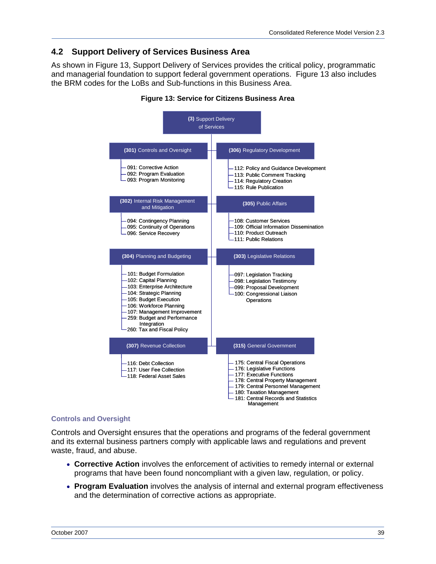# **4.2 Support Delivery of Services Business Area**

As shown in Figure 13, Support Delivery of Services provides the critical policy, programmatic and managerial foundation to support federal government operations. Figure 13 also includes the BRM codes for the LoBs and Sub-functions in this Business Area.

| (3) Support Delivery                                                                                                                                                                                                                                                             | of Services                                                                                                                                                                                                                                              |
|----------------------------------------------------------------------------------------------------------------------------------------------------------------------------------------------------------------------------------------------------------------------------------|----------------------------------------------------------------------------------------------------------------------------------------------------------------------------------------------------------------------------------------------------------|
| (301) Controls and Oversight                                                                                                                                                                                                                                                     | (306) Regulatory Development                                                                                                                                                                                                                             |
| 091: Corrective Action<br>092: Program Evaluation<br>093: Program Monitoring                                                                                                                                                                                                     | 112: Policy and Guidance Development<br>113: Public Comment Tracking<br>114: Regulatory Creation<br>115: Rule Publication                                                                                                                                |
| (302) Internal Risk Management<br>and Mitigation                                                                                                                                                                                                                                 | (305) Public Affairs                                                                                                                                                                                                                                     |
| 094: Contingency Planning<br>095: Continuity of Operations<br>096: Service Recovery                                                                                                                                                                                              | 108: Customer Services<br>109: Official Information Dissemination<br>-110: Product Outreach<br>111: Public Relations                                                                                                                                     |
| (304) Planning and Budgeting                                                                                                                                                                                                                                                     | (303) Legislative Relations                                                                                                                                                                                                                              |
| -101: Budget Formulation<br>102: Capital Planning<br>-103: Enterprise Architecture<br>-104: Strategic Planning<br>-105: Budget Execution<br>-106: Workforce Planning<br>-107: Management Improvement<br>259: Budget and Performance<br>Integration<br>260: Tax and Fiscal Policy | 097: Legislation Tracking<br>098: Legislation Testimony<br>-099: Proposal Development<br>-100: Congressional Liaison<br>Operations                                                                                                                       |
| (307) Revenue Collection                                                                                                                                                                                                                                                         | (315) General Government                                                                                                                                                                                                                                 |
| 116: Debt Collection<br>117: User Fee Collection<br>118: Federal Asset Sales                                                                                                                                                                                                     | - 175: Central Fiscal Operations<br>- 176: Legislative Functions<br>- 177: Executive Functions<br>178: Central Property Management<br>179: Central Personnel Management<br>180: Taxation Management<br>181: Central Records and Statistics<br>Management |

### **Figure 13: Service for Citizens Business Area**

### **Controls and Oversight**

Controls and Oversight ensures that the operations and programs of the federal government and its external business partners comply with applicable laws and regulations and prevent waste, fraud, and abuse.

- **Corrective Action** involves the enforcement of activities to remedy internal or external programs that have been found noncompliant with a given law, regulation, or policy.
- **Program Evaluation** involves the analysis of internal and external program effectiveness and the determination of corrective actions as appropriate.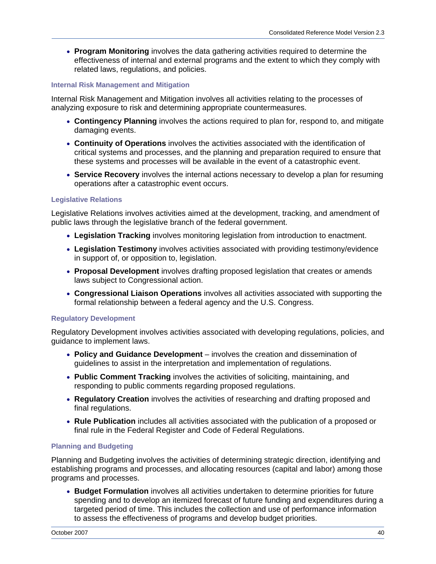• **Program Monitoring** involves the data gathering activities required to determine the effectiveness of internal and external programs and the extent to which they comply with related laws, regulations, and policies.

#### **Internal Risk Management and Mitigation**

Internal Risk Management and Mitigation involves all activities relating to the processes of analyzing exposure to risk and determining appropriate countermeasures.

- **Contingency Planning** involves the actions required to plan for, respond to, and mitigate damaging events.
- **Continuity of Operations** involves the activities associated with the identification of critical systems and processes, and the planning and preparation required to ensure that these systems and processes will be available in the event of a catastrophic event.
- **Service Recovery** involves the internal actions necessary to develop a plan for resuming operations after a catastrophic event occurs.

### **Legislative Relations**

Legislative Relations involves activities aimed at the development, tracking, and amendment of public laws through the legislative branch of the federal government.

- **Legislation Tracking** involves monitoring legislation from introduction to enactment.
- **Legislation Testimony** involves activities associated with providing testimony/evidence in support of, or opposition to, legislation.
- **Proposal Development** involves drafting proposed legislation that creates or amends laws subject to Congressional action.
- **Congressional Liaison Operations** involves all activities associated with supporting the formal relationship between a federal agency and the U.S. Congress.

#### **Regulatory Development**

Regulatory Development involves activities associated with developing regulations, policies, and guidance to implement laws.

- **Policy and Guidance Development** involves the creation and dissemination of guidelines to assist in the interpretation and implementation of regulations.
- **Public Comment Tracking** involves the activities of soliciting, maintaining, and responding to public comments regarding proposed regulations.
- **Regulatory Creation** involves the activities of researching and drafting proposed and final regulations.
- **Rule Publication** includes all activities associated with the publication of a proposed or final rule in the Federal Register and Code of Federal Regulations.

### **Planning and Budgeting**

Planning and Budgeting involves the activities of determining strategic direction, identifying and establishing programs and processes, and allocating resources (capital and labor) among those programs and processes.

• **Budget Formulation** involves all activities undertaken to determine priorities for future spending and to develop an itemized forecast of future funding and expenditures during a targeted period of time. This includes the collection and use of performance information to assess the effectiveness of programs and develop budget priorities.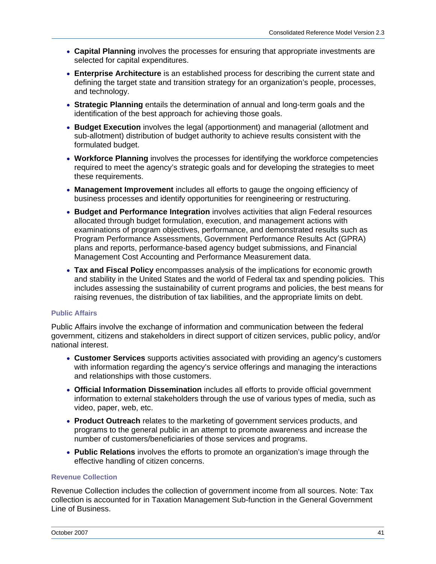- **Capital Planning** involves the processes for ensuring that appropriate investments are selected for capital expenditures.
- **Enterprise Architecture** is an established process for describing the current state and defining the target state and transition strategy for an organization's people, processes, and technology.
- **Strategic Planning** entails the determination of annual and long-term goals and the identification of the best approach for achieving those goals.
- **Budget Execution** involves the legal (apportionment) and managerial (allotment and sub-allotment) distribution of budget authority to achieve results consistent with the formulated budget.
- **Workforce Planning** involves the processes for identifying the workforce competencies required to meet the agency's strategic goals and for developing the strategies to meet these requirements.
- **Management Improvement** includes all efforts to gauge the ongoing efficiency of business processes and identify opportunities for reengineering or restructuring.
- **Budget and Performance Integration** involves activities that align Federal resources allocated through budget formulation, execution, and management actions with examinations of program objectives, performance, and demonstrated results such as Program Performance Assessments, Government Performance Results Act (GPRA) plans and reports, performance-based agency budget submissions, and Financial Management Cost Accounting and Performance Measurement data.
- **Tax and Fiscal Policy** encompasses analysis of the implications for economic growth and stability in the United States and the world of Federal tax and spending policies. This includes assessing the sustainability of current programs and policies, the best means for raising revenues, the distribution of tax liabilities, and the appropriate limits on debt.

### **Public Affairs**

Public Affairs involve the exchange of information and communication between the federal government, citizens and stakeholders in direct support of citizen services, public policy, and/or national interest.

- **Customer Services** supports activities associated with providing an agency's customers with information regarding the agency's service offerings and managing the interactions and relationships with those customers.
- **Official Information Dissemination** includes all efforts to provide official government information to external stakeholders through the use of various types of media, such as video, paper, web, etc.
- **Product Outreach** relates to the marketing of government services products, and programs to the general public in an attempt to promote awareness and increase the number of customers/beneficiaries of those services and programs.
- **Public Relations** involves the efforts to promote an organization's image through the effective handling of citizen concerns.

### **Revenue Collection**

Revenue Collection includes the collection of government income from all sources. Note: Tax collection is accounted for in Taxation Management Sub-function in the General Government Line of Business.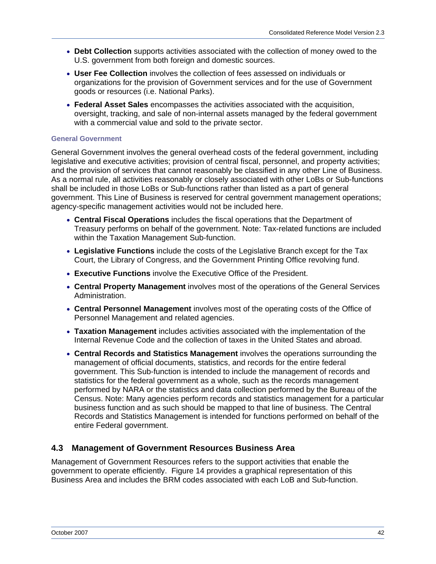- **Debt Collection** supports activities associated with the collection of money owed to the U.S. government from both foreign and domestic sources.
- **User Fee Collection** involves the collection of fees assessed on individuals or organizations for the provision of Government services and for the use of Government goods or resources (i.e. National Parks).
- **Federal Asset Sales** encompasses the activities associated with the acquisition, oversight, tracking, and sale of non-internal assets managed by the federal government with a commercial value and sold to the private sector.

### **General Government**

General Government involves the general overhead costs of the federal government, including legislative and executive activities; provision of central fiscal, personnel, and property activities; and the provision of services that cannot reasonably be classified in any other Line of Business. As a normal rule, all activities reasonably or closely associated with other LoBs or Sub-functions shall be included in those LoBs or Sub-functions rather than listed as a part of general government. This Line of Business is reserved for central government management operations; agency-specific management activities would not be included here.

- **Central Fiscal Operations** includes the fiscal operations that the Department of Treasury performs on behalf of the government. Note: Tax-related functions are included within the Taxation Management Sub-function.
- **Legislative Functions** include the costs of the Legislative Branch except for the Tax Court, the Library of Congress, and the Government Printing Office revolving fund.
- **Executive Functions** involve the Executive Office of the President.
- **Central Property Management** involves most of the operations of the General Services Administration.
- **Central Personnel Management** involves most of the operating costs of the Office of Personnel Management and related agencies.
- **Taxation Management** includes activities associated with the implementation of the Internal Revenue Code and the collection of taxes in the United States and abroad.
- **Central Records and Statistics Management** involves the operations surrounding the management of official documents, statistics, and records for the entire federal government. This Sub-function is intended to include the management of records and statistics for the federal government as a whole, such as the records management performed by NARA or the statistics and data collection performed by the Bureau of the Census. Note: Many agencies perform records and statistics management for a particular business function and as such should be mapped to that line of business. The Central Records and Statistics Management is intended for functions performed on behalf of the entire Federal government.

# **4.3 Management of Government Resources Business Area**

Management of Government Resources refers to the support activities that enable the government to operate efficiently. Figure 14 provides a graphical representation of this Business Area and includes the BRM codes associated with each LoB and Sub-function.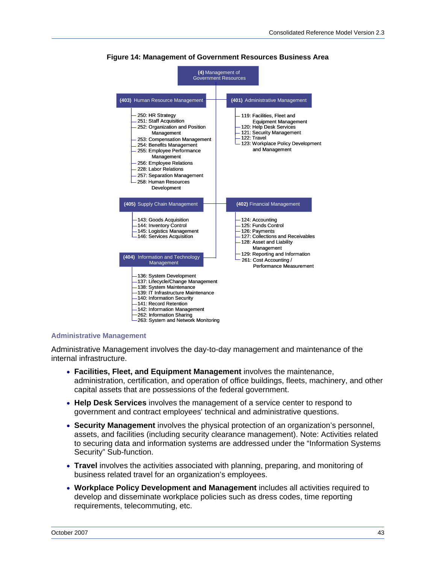

**Figure 14: Management of Government Resources Business Area** 

#### **Administrative Management**

Administrative Management involves the day-to-day management and maintenance of the internal infrastructure.

- **Facilities, Fleet, and Equipment Management** involves the maintenance, administration, certification, and operation of office buildings, fleets, machinery, and other capital assets that are possessions of the federal government.
- **Help Desk Services** involves the management of a service center to respond to government and contract employees' technical and administrative questions.
- **Security Management** involves the physical protection of an organization's personnel, assets, and facilities (including security clearance management). Note: Activities related to securing data and information systems are addressed under the "Information Systems Security" Sub-function.
- **Travel** involves the activities associated with planning, preparing, and monitoring of business related travel for an organization's employees.
- **Workplace Policy Development and Management** includes all activities required to develop and disseminate workplace policies such as dress codes, time reporting requirements, telecommuting, etc.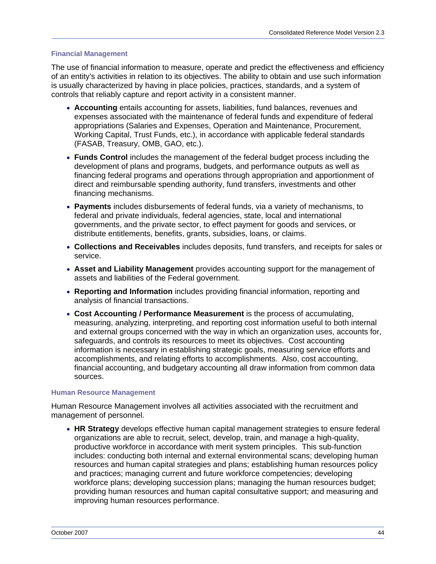## **Financial Management**

The use of financial information to measure, operate and predict the effectiveness and efficiency of an entity's activities in relation to its objectives. The ability to obtain and use such information is usually characterized by having in place policies, practices, standards, and a system of controls that reliably capture and report activity in a consistent manner.

- **Accounting** entails accounting for assets, liabilities, fund balances, revenues and expenses associated with the maintenance of federal funds and expenditure of federal appropriations (Salaries and Expenses, Operation and Maintenance, Procurement, Working Capital, Trust Funds, etc.), in accordance with applicable federal standards (FASAB, Treasury, OMB, GAO, etc.).
- **Funds Control** includes the management of the federal budget process including the development of plans and programs, budgets, and performance outputs as well as financing federal programs and operations through appropriation and apportionment of direct and reimbursable spending authority, fund transfers, investments and other financing mechanisms.
- **Payments** includes disbursements of federal funds, via a variety of mechanisms, to federal and private individuals, federal agencies, state, local and international governments, and the private sector, to effect payment for goods and services, or distribute entitlements, benefits, grants, subsidies, loans, or claims.
- **Collections and Receivables** includes deposits, fund transfers, and receipts for sales or service.
- **Asset and Liability Management** provides accounting support for the management of assets and liabilities of the Federal government.
- **Reporting and Information** includes providing financial information, reporting and analysis of financial transactions.
- **Cost Accounting / Performance Measurement** is the process of accumulating, measuring, analyzing, interpreting, and reporting cost information useful to both internal and external groups concerned with the way in which an organization uses, accounts for, safeguards, and controls its resources to meet its objectives. Cost accounting information is necessary in establishing strategic goals, measuring service efforts and accomplishments, and relating efforts to accomplishments. Also, cost accounting, financial accounting, and budgetary accounting all draw information from common data sources.

### **Human Resource Management**

Human Resource Management involves all activities associated with the recruitment and management of personnel.

• **HR Strategy** develops effective human capital management strategies to ensure federal organizations are able to recruit, select, develop, train, and manage a high-quality, productive workforce in accordance with merit system principles. This sub-function includes: conducting both internal and external environmental scans; developing human resources and human capital strategies and plans; establishing human resources policy and practices; managing current and future workforce competencies; developing workforce plans; developing succession plans; managing the human resources budget; providing human resources and human capital consultative support; and measuring and improving human resources performance.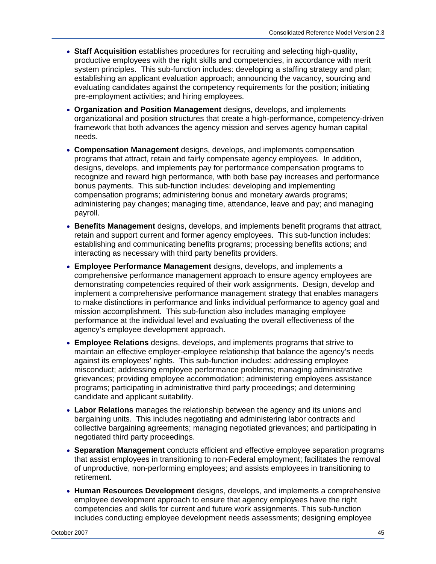- **Staff Acquisition** establishes procedures for recruiting and selecting high-quality, productive employees with the right skills and competencies, in accordance with merit system principles. This sub-function includes: developing a staffing strategy and plan; establishing an applicant evaluation approach; announcing the vacancy, sourcing and evaluating candidates against the competency requirements for the position; initiating pre-employment activities; and hiring employees.
- **Organization and Position Management** designs, develops, and implements organizational and position structures that create a high-performance, competency-driven framework that both advances the agency mission and serves agency human capital needs.
- **Compensation Management** designs, develops, and implements compensation programs that attract, retain and fairly compensate agency employees. In addition, designs, develops, and implements pay for performance compensation programs to recognize and reward high performance, with both base pay increases and performance bonus payments. This sub-function includes: developing and implementing compensation programs; administering bonus and monetary awards programs; administering pay changes; managing time, attendance, leave and pay; and managing payroll.
- **Benefits Management** designs, develops, and implements benefit programs that attract, retain and support current and former agency employees. This sub-function includes: establishing and communicating benefits programs; processing benefits actions; and interacting as necessary with third party benefits providers.
- **Employee Performance Management** designs, develops, and implements a comprehensive performance management approach to ensure agency employees are demonstrating competencies required of their work assignments. Design, develop and implement a comprehensive performance management strategy that enables managers to make distinctions in performance and links individual performance to agency goal and mission accomplishment. This sub-function also includes managing employee performance at the individual level and evaluating the overall effectiveness of the agency's employee development approach.
- **Employee Relations** designs, develops, and implements programs that strive to maintain an effective employer-employee relationship that balance the agency's needs against its employees' rights. This sub-function includes: addressing employee misconduct; addressing employee performance problems; managing administrative grievances; providing employee accommodation; administering employees assistance programs; participating in administrative third party proceedings; and determining candidate and applicant suitability.
- **Labor Relations** manages the relationship between the agency and its unions and bargaining units. This includes negotiating and administering labor contracts and collective bargaining agreements; managing negotiated grievances; and participating in negotiated third party proceedings.
- **Separation Management** conducts efficient and effective employee separation programs that assist employees in transitioning to non-Federal employment; facilitates the removal of unproductive, non-performing employees; and assists employees in transitioning to retirement.
- **Human Resources Development** designs, develops, and implements a comprehensive employee development approach to ensure that agency employees have the right competencies and skills for current and future work assignments. This sub-function includes conducting employee development needs assessments; designing employee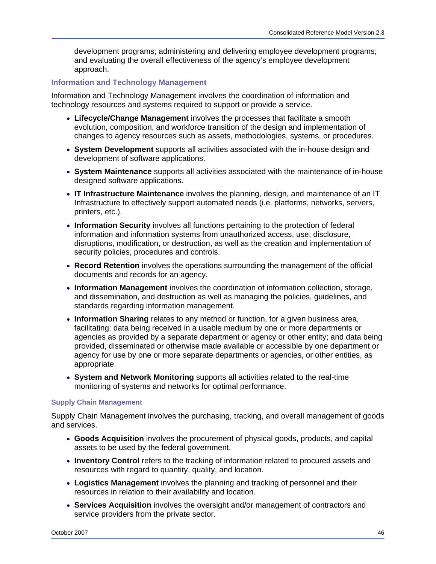development programs; administering and delivering employee development programs; and evaluating the overall effectiveness of the agency's employee development approach.

## **Information and Technology Management**

Information and Technology Management involves the coordination of information and technology resources and systems required to support or provide a service.

- **Lifecycle/Change Management** involves the processes that facilitate a smooth evolution, composition, and workforce transition of the design and implementation of changes to agency resources such as assets, methodologies, systems, or procedures.
- **System Development** supports all activities associated with the in-house design and development of software applications.
- **System Maintenance** supports all activities associated with the maintenance of in-house designed software applications.
- **IT Infrastructure Maintenance** involves the planning, design, and maintenance of an IT Infrastructure to effectively support automated needs (i.e. platforms, networks, servers, printers, etc.).
- **Information Security** involves all functions pertaining to the protection of federal information and information systems from unauthorized access, use, disclosure, disruptions, modification, or destruction, as well as the creation and implementation of security policies, procedures and controls.
- **Record Retention** involves the operations surrounding the management of the official documents and records for an agency.
- **Information Management** involves the coordination of information collection, storage, and dissemination, and destruction as well as managing the policies, guidelines, and standards regarding information management.
- **Information Sharing** relates to any method or function, for a given business area, facilitating: data being received in a usable medium by one or more departments or agencies as provided by a separate department or agency or other entity; and data being provided, disseminated or otherwise made available or accessible by one department or agency for use by one or more separate departments or agencies, or other entities, as appropriate.
- **System and Network Monitoring** supports all activities related to the real-time monitoring of systems and networks for optimal performance.

### **Supply Chain Management**

Supply Chain Management involves the purchasing, tracking, and overall management of goods and services.

- **Goods Acquisition** involves the procurement of physical goods, products, and capital assets to be used by the federal government.
- **Inventory Control** refers to the tracking of information related to procured assets and resources with regard to quantity, quality, and location.
- **Logistics Management** involves the planning and tracking of personnel and their resources in relation to their availability and location.
- **Services Acquisition** involves the oversight and/or management of contractors and service providers from the private sector.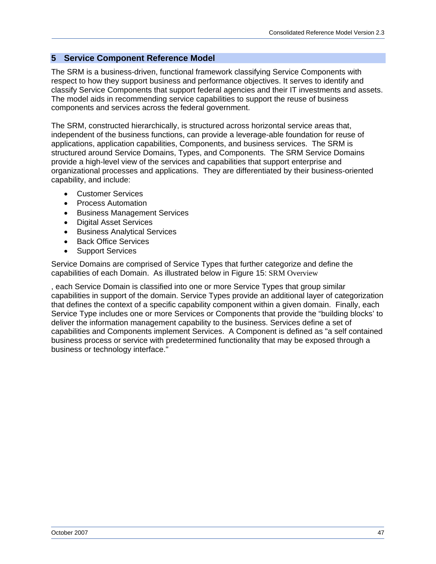# **5 Service Component Reference Model**

The SRM is a business-driven, functional framework classifying Service Components with respect to how they support business and performance objectives. It serves to identify and classify Service Components that support federal agencies and their IT investments and assets. The model aids in recommending service capabilities to support the reuse of business components and services across the federal government.

The SRM, constructed hierarchically, is structured across horizontal service areas that, independent of the business functions, can provide a leverage-able foundation for reuse of applications, application capabilities, Components, and business services. The SRM is structured around Service Domains, Types, and Components. The SRM Service Domains provide a high-level view of the services and capabilities that support enterprise and organizational processes and applications. They are differentiated by their business-oriented capability, and include:

- Customer Services
- Process Automation
- Business Management Services
- Digital Asset Services
- Business Analytical Services
- Back Office Services
- Support Services

Service Domains are comprised of Service Types that further categorize and define the capabilities of each Domain. As illustrated below in Figure 15: SRM Overview

, each Service Domain is classified into one or more Service Types that group similar capabilities in support of the domain. Service Types provide an additional layer of categorization that defines the context of a specific capability component within a given domain. Finally, each Service Type includes one or more Services or Components that provide the "building blocks' to deliver the information management capability to the business. Services define a set of capabilities and Components implement Services. A Component is defined as "a self contained business process or service with predetermined functionality that may be exposed through a business or technology interface."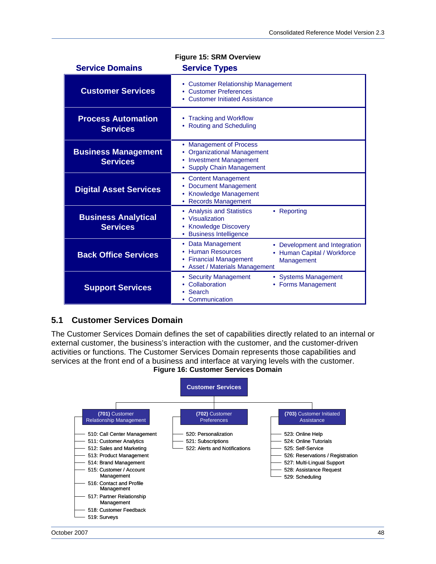| <b>Service Domains</b>                        | <b>Service Types</b>                                                                                                                                                                                       |
|-----------------------------------------------|------------------------------------------------------------------------------------------------------------------------------------------------------------------------------------------------------------|
| <b>Customer Services</b>                      | <b>Customer Relationship Management</b><br>$\bullet$<br><b>Customer Preferences</b><br>• Customer Initiated Assistance                                                                                     |
| <b>Process Automation</b><br><b>Services</b>  | • Tracking and Workflow<br>• Routing and Scheduling                                                                                                                                                        |
| <b>Business Management</b><br><b>Services</b> | <b>Management of Process</b><br>٠<br><b>Organizational Management</b><br>• Investment Management<br><b>Supply Chain Management</b><br>۰                                                                    |
| <b>Digital Asset Services</b>                 | • Content Management<br><b>Document Management</b><br>٠<br><b>Knowledge Management</b><br>٠<br>• Records Management                                                                                        |
| <b>Business Analytical</b><br><b>Services</b> | • Analysis and Statistics<br>• Reporting<br>Visualization<br>$\bullet$<br><b>Knowledge Discovery</b><br>۰<br>• Business Intelligence                                                                       |
| <b>Back Office Services</b>                   | • Data Management<br>• Development and Integration<br><b>Human Resources</b><br>$\bullet$<br>Human Capital / Workforce<br><b>Financial Management</b><br>٠<br>Management<br>• Asset / Materials Management |
| <b>Support Services</b>                       | • Systems Management<br>• Security Management<br>• Forms Management<br>Collaboration<br>Search<br>• Communication                                                                                          |

# **5.1 Customer Services Domain**

The Customer Services Domain defines the set of capabilities directly related to an internal or external customer, the business's interaction with the customer, and the customer-driven activities or functions. The Customer Services Domain represents those capabilities and services at the front end of a business and interface at varying levels with the customer. **Figure 16: Customer Services Domain** 

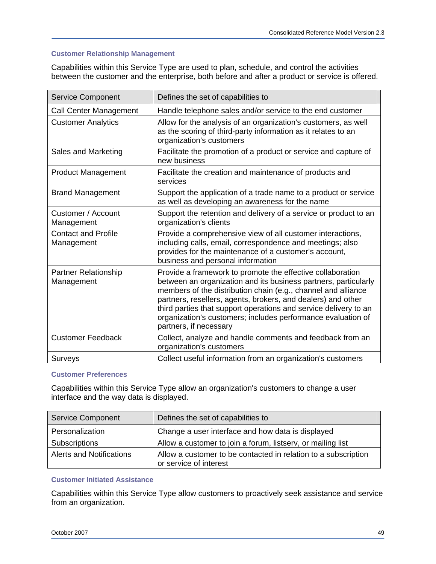## **Customer Relationship Management**

Capabilities within this Service Type are used to plan, schedule, and control the activities between the customer and the enterprise, both before and after a product or service is offered.

| <b>Service Component</b>                  | Defines the set of capabilities to                                                                                                                                                                                                                                                                                                                                                                                           |
|-------------------------------------------|------------------------------------------------------------------------------------------------------------------------------------------------------------------------------------------------------------------------------------------------------------------------------------------------------------------------------------------------------------------------------------------------------------------------------|
| <b>Call Center Management</b>             | Handle telephone sales and/or service to the end customer                                                                                                                                                                                                                                                                                                                                                                    |
| <b>Customer Analytics</b>                 | Allow for the analysis of an organization's customers, as well<br>as the scoring of third-party information as it relates to an<br>organization's customers                                                                                                                                                                                                                                                                  |
| Sales and Marketing                       | Facilitate the promotion of a product or service and capture of<br>new business                                                                                                                                                                                                                                                                                                                                              |
| <b>Product Management</b>                 | Facilitate the creation and maintenance of products and<br>services                                                                                                                                                                                                                                                                                                                                                          |
| <b>Brand Management</b>                   | Support the application of a trade name to a product or service<br>as well as developing an awareness for the name                                                                                                                                                                                                                                                                                                           |
| Customer / Account<br>Management          | Support the retention and delivery of a service or product to an<br>organization's clients                                                                                                                                                                                                                                                                                                                                   |
| <b>Contact and Profile</b><br>Management  | Provide a comprehensive view of all customer interactions,<br>including calls, email, correspondence and meetings; also<br>provides for the maintenance of a customer's account,                                                                                                                                                                                                                                             |
|                                           | business and personal information                                                                                                                                                                                                                                                                                                                                                                                            |
| <b>Partner Relationship</b><br>Management | Provide a framework to promote the effective collaboration<br>between an organization and its business partners, particularly<br>members of the distribution chain (e.g., channel and alliance<br>partners, resellers, agents, brokers, and dealers) and other<br>third parties that support operations and service delivery to an<br>organization's customers; includes performance evaluation of<br>partners, if necessary |
| <b>Customer Feedback</b>                  | Collect, analyze and handle comments and feedback from an<br>organization's customers                                                                                                                                                                                                                                                                                                                                        |

#### **Customer Preferences**

Capabilities within this Service Type allow an organization's customers to change a user interface and the way data is displayed.

| <b>Service Component</b>        | Defines the set of capabilities to                                                       |
|---------------------------------|------------------------------------------------------------------------------------------|
| Personalization                 | Change a user interface and how data is displayed                                        |
| Subscriptions                   | Allow a customer to join a forum, listserv, or mailing list                              |
| <b>Alerts and Notifications</b> | Allow a customer to be contacted in relation to a subscription<br>or service of interest |

## **Customer Initiated Assistance**

Capabilities within this Service Type allow customers to proactively seek assistance and service from an organization.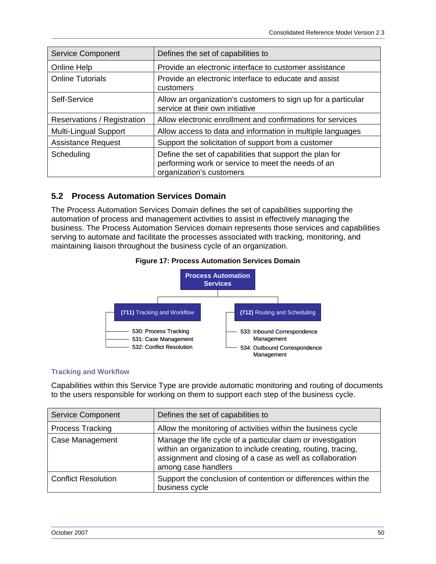| <b>Service Component</b>    | Defines the set of capabilities to                                                                                                         |
|-----------------------------|--------------------------------------------------------------------------------------------------------------------------------------------|
| Online Help                 | Provide an electronic interface to customer assistance                                                                                     |
| <b>Online Tutorials</b>     | Provide an electronic interface to educate and assist<br>customers                                                                         |
| Self-Service                | Allow an organization's customers to sign up for a particular<br>service at their own initiative                                           |
| Reservations / Registration | Allow electronic enrollment and confirmations for services                                                                                 |
| Multi-Lingual Support       | Allow access to data and information in multiple languages                                                                                 |
| <b>Assistance Request</b>   | Support the solicitation of support from a customer                                                                                        |
| Scheduling                  | Define the set of capabilities that support the plan for<br>performing work or service to meet the needs of an<br>organization's customers |

# **5.2 Process Automation Services Domain**

The Process Automation Services Domain defines the set of capabilities supporting the automation of process and management activities to assist in effectively managing the business. The Process Automation Services domain represents those services and capabilities serving to automate and facilitate the processes associated with tracking, monitoring, and maintaining liaison throughout the business cycle of an organization.





# **Tracking and Workflow**

Capabilities within this Service Type are provide automatic monitoring and routing of documents to the users responsible for working on them to support each step of the business cycle.

| <b>Service Component</b>   | Defines the set of capabilities to                                                                                                                                                                                |
|----------------------------|-------------------------------------------------------------------------------------------------------------------------------------------------------------------------------------------------------------------|
| <b>Process Tracking</b>    | Allow the monitoring of activities within the business cycle                                                                                                                                                      |
| Case Management            | Manage the life cycle of a particular claim or investigation<br>within an organization to include creating, routing, tracing,<br>assignment and closing of a case as well as collaboration<br>among case handlers |
| <b>Conflict Resolution</b> | Support the conclusion of contention or differences within the<br>business cycle                                                                                                                                  |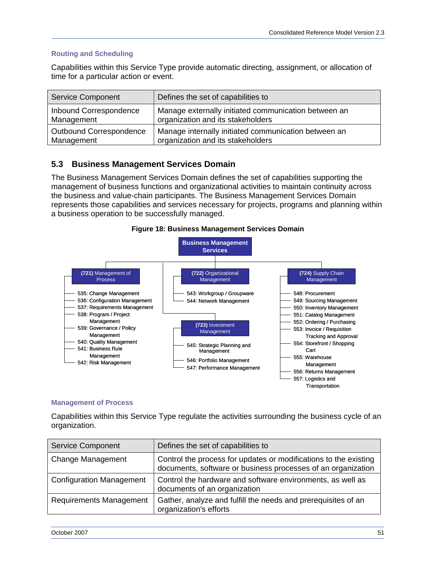## **Routing and Scheduling**

Capabilities within this Service Type provide automatic directing, assignment, or allocation of time for a particular action or event.

| <b>Service Component</b> | Defines the set of capabilities to                   |
|--------------------------|------------------------------------------------------|
| Inbound Correspondence   | Manage externally initiated communication between an |
| Management               | organization and its stakeholders                    |
| Outbound Correspondence  | Manage internally initiated communication between an |
| Management               | organization and its stakeholders                    |

# **5.3 Business Management Services Domain**

The Business Management Services Domain defines the set of capabilities supporting the management of business functions and organizational activities to maintain continuity across the business and value-chain participants. The Business Management Services Domain represents those capabilities and services necessary for projects, programs and planning within a business operation to be successfully managed.





#### **Management of Process**

Capabilities within this Service Type regulate the activities surrounding the business cycle of an organization.

| <b>Service Component</b>        | Defines the set of capabilities to                                                                                               |
|---------------------------------|----------------------------------------------------------------------------------------------------------------------------------|
| Change Management               | Control the process for updates or modifications to the existing<br>documents, software or business processes of an organization |
| <b>Configuration Management</b> | Control the hardware and software environments, as well as<br>documents of an organization                                       |
| <b>Requirements Management</b>  | Gather, analyze and fulfill the needs and prerequisites of an<br>organization's efforts                                          |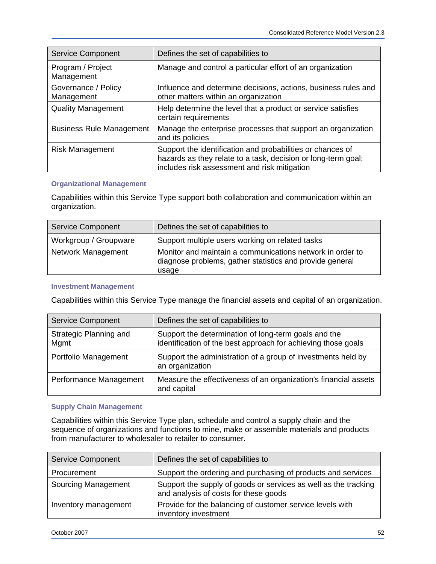| <b>Service Component</b>          | Defines the set of capabilities to                                                                                                                                          |
|-----------------------------------|-----------------------------------------------------------------------------------------------------------------------------------------------------------------------------|
| Program / Project<br>Management   | Manage and control a particular effort of an organization                                                                                                                   |
| Governance / Policy<br>Management | Influence and determine decisions, actions, business rules and<br>other matters within an organization                                                                      |
| <b>Quality Management</b>         | Help determine the level that a product or service satisfies<br>certain requirements                                                                                        |
| <b>Business Rule Management</b>   | Manage the enterprise processes that support an organization<br>and its policies                                                                                            |
| <b>Risk Management</b>            | Support the identification and probabilities or chances of<br>hazards as they relate to a task, decision or long-term goal;<br>includes risk assessment and risk mitigation |

#### **Organizational Management**

Capabilities within this Service Type support both collaboration and communication within an organization.

| <b>Service Component</b> | Defines the set of capabilities to                                                                                             |
|--------------------------|--------------------------------------------------------------------------------------------------------------------------------|
| Workgroup / Groupware    | Support multiple users working on related tasks                                                                                |
| Network Management       | Monitor and maintain a communications network in order to<br>diagnose problems, gather statistics and provide general<br>usage |

### **Investment Management**

Capabilities within this Service Type manage the financial assets and capital of an organization.

| <b>Service Component</b>       | Defines the set of capabilities to                                                                                    |
|--------------------------------|-----------------------------------------------------------------------------------------------------------------------|
| Strategic Planning and<br>Mgmt | Support the determination of long-term goals and the<br>identification of the best approach for achieving those goals |
| Portfolio Management           | Support the administration of a group of investments held by<br>an organization                                       |
| Performance Management         | Measure the effectiveness of an organization's financial assets<br>and capital                                        |

### **Supply Chain Management**

Capabilities within this Service Type plan, schedule and control a supply chain and the sequence of organizations and functions to mine, make or assemble materials and products from manufacturer to wholesaler to retailer to consumer.

| <b>Service Component</b>   | Defines the set of capabilities to                                                                       |
|----------------------------|----------------------------------------------------------------------------------------------------------|
| Procurement                | Support the ordering and purchasing of products and services                                             |
| <b>Sourcing Management</b> | Support the supply of goods or services as well as the tracking<br>and analysis of costs for these goods |
| Inventory management       | Provide for the balancing of customer service levels with<br>inventory investment                        |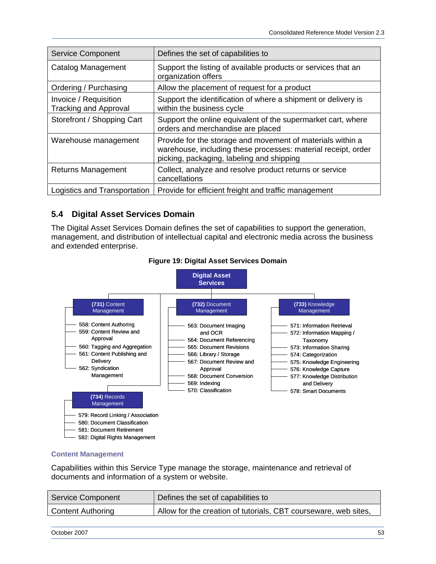| <b>Service Component</b>                              | Defines the set of capabilities to                                                                                                                                       |
|-------------------------------------------------------|--------------------------------------------------------------------------------------------------------------------------------------------------------------------------|
| Catalog Management                                    | Support the listing of available products or services that an<br>organization offers                                                                                     |
| Ordering / Purchasing                                 | Allow the placement of request for a product                                                                                                                             |
| Invoice / Requisition<br><b>Tracking and Approval</b> | Support the identification of where a shipment or delivery is<br>within the business cycle                                                                               |
| Storefront / Shopping Cart                            | Support the online equivalent of the supermarket cart, where<br>orders and merchandise are placed                                                                        |
| Warehouse management                                  | Provide for the storage and movement of materials within a<br>warehouse, including these processes: material receipt, order<br>picking, packaging, labeling and shipping |
| <b>Returns Management</b>                             | Collect, analyze and resolve product returns or service<br>cancellations                                                                                                 |
| Logistics and Transportation                          | Provide for efficient freight and traffic management                                                                                                                     |

# **5.4 Digital Asset Services Domain**

The Digital Asset Services Domain defines the set of capabilities to support the generation, management, and distribution of intellectual capital and electronic media across the business and extended enterprise.



#### **Figure 19: Digital Asset Services Domain**

#### **Content Management**

Capabilities within this Service Type manage the storage, maintenance and retrieval of documents and information of a system or website.

| <b>Service Component</b> | Defines the set of capabilities to                              |
|--------------------------|-----------------------------------------------------------------|
| Content Authoring        | Allow for the creation of tutorials, CBT courseware, web sites, |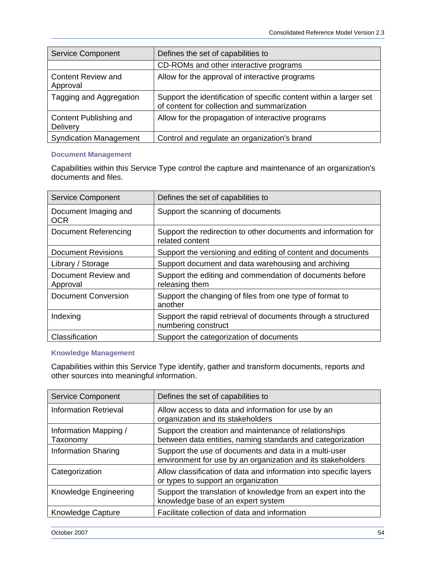| <b>Service Component</b>              | Defines the set of capabilities to                                                                                |
|---------------------------------------|-------------------------------------------------------------------------------------------------------------------|
|                                       | CD-ROMs and other interactive programs                                                                            |
| <b>Content Review and</b><br>Approval | Allow for the approval of interactive programs                                                                    |
| Tagging and Aggregation               | Support the identification of specific content within a larger set<br>of content for collection and summarization |
| Content Publishing and<br>Delivery    | Allow for the propagation of interactive programs                                                                 |
| <b>Syndication Management</b>         | Control and regulate an organization's brand                                                                      |

## **Document Management**

Capabilities within this Service Type control the capture and maintenance of an organization's documents and files.

| <b>Service Component</b>           | Defines the set of capabilities to                                                   |
|------------------------------------|--------------------------------------------------------------------------------------|
| Document Imaging and<br><b>OCR</b> | Support the scanning of documents                                                    |
| Document Referencing               | Support the redirection to other documents and information for<br>related content    |
| <b>Document Revisions</b>          | Support the versioning and editing of content and documents                          |
| Library / Storage                  | Support document and data warehousing and archiving                                  |
| Document Review and<br>Approval    | Support the editing and commendation of documents before<br>releasing them           |
| <b>Document Conversion</b>         | Support the changing of files from one type of format to<br>another                  |
| Indexing                           | Support the rapid retrieval of documents through a structured<br>numbering construct |
| Classification                     | Support the categorization of documents                                              |

# **Knowledge Management**

Capabilities within this Service Type identify, gather and transform documents, reports and other sources into meaningful information.

| <b>Service Component</b>          | Defines the set of capabilities to                                                                                   |
|-----------------------------------|----------------------------------------------------------------------------------------------------------------------|
| <b>Information Retrieval</b>      | Allow access to data and information for use by an<br>organization and its stakeholders                              |
| Information Mapping /<br>Taxonomy | Support the creation and maintenance of relationships<br>between data entities, naming standards and categorization  |
| <b>Information Sharing</b>        | Support the use of documents and data in a multi-user<br>environment for use by an organization and its stakeholders |
| Categorization                    | Allow classification of data and information into specific layers<br>or types to support an organization             |
| Knowledge Engineering             | Support the translation of knowledge from an expert into the<br>knowledge base of an expert system                   |
| Knowledge Capture                 | Facilitate collection of data and information                                                                        |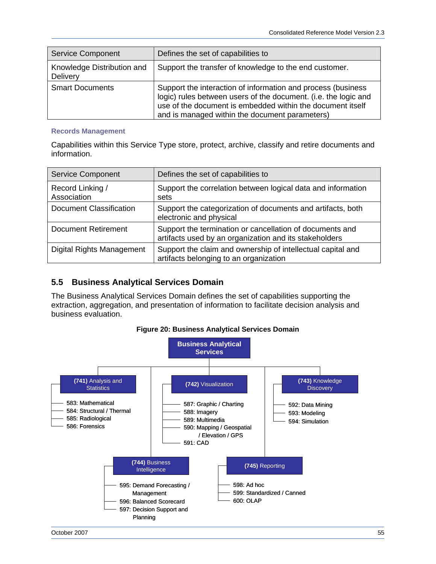| <b>Service Component</b>               | Defines the set of capabilities to                                                                                                                                                                                                              |
|----------------------------------------|-------------------------------------------------------------------------------------------------------------------------------------------------------------------------------------------------------------------------------------------------|
| Knowledge Distribution and<br>Delivery | Support the transfer of knowledge to the end customer.                                                                                                                                                                                          |
| <b>Smart Documents</b>                 | Support the interaction of information and process (business<br>logic) rules between users of the document. (i.e. the logic and<br>use of the document is embedded within the document itself<br>and is managed within the document parameters) |

#### **Records Management**

Capabilities within this Service Type store, protect, archive, classify and retire documents and information.

| <b>Service Component</b>         | Defines the set of capabilities to                                                                                 |
|----------------------------------|--------------------------------------------------------------------------------------------------------------------|
| Record Linking /<br>Association  | Support the correlation between logical data and information<br>sets                                               |
| Document Classification          | Support the categorization of documents and artifacts, both<br>electronic and physical                             |
| <b>Document Retirement</b>       | Support the termination or cancellation of documents and<br>artifacts used by an organization and its stakeholders |
| <b>Digital Rights Management</b> | Support the claim and ownership of intellectual capital and<br>artifacts belonging to an organization              |

# **5.5 Business Analytical Services Domain**

The Business Analytical Services Domain defines the set of capabilities supporting the extraction, aggregation, and presentation of information to facilitate decision analysis and business evaluation.



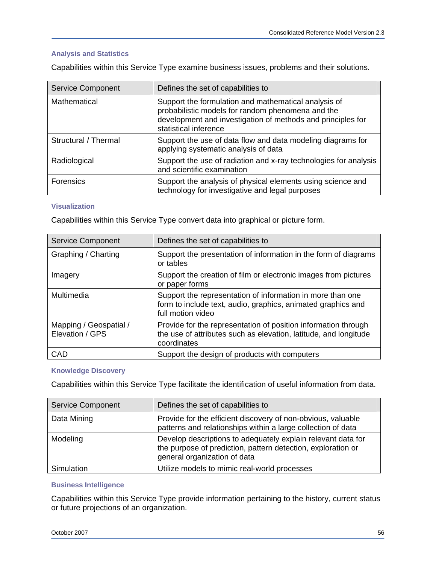# **Analysis and Statistics**

Capabilities within this Service Type examine business issues, problems and their solutions.

| <b>Service Component</b> | Defines the set of capabilities to                                                                                                                                                                |
|--------------------------|---------------------------------------------------------------------------------------------------------------------------------------------------------------------------------------------------|
| <b>Mathematical</b>      | Support the formulation and mathematical analysis of<br>probabilistic models for random phenomena and the<br>development and investigation of methods and principles for<br>statistical inference |
| Structural / Thermal     | Support the use of data flow and data modeling diagrams for<br>applying systematic analysis of data                                                                                               |
| Radiological             | Support the use of radiation and x-ray technologies for analysis<br>and scientific examination                                                                                                    |
| <b>Forensics</b>         | Support the analysis of physical elements using science and<br>technology for investigative and legal purposes                                                                                    |

## **Visualization**

Capabilities within this Service Type convert data into graphical or picture form.

| <b>Service Component</b>                  | Defines the set of capabilities to                                                                                                                |
|-------------------------------------------|---------------------------------------------------------------------------------------------------------------------------------------------------|
| Graphing / Charting                       | Support the presentation of information in the form of diagrams<br>or tables                                                                      |
| Imagery                                   | Support the creation of film or electronic images from pictures<br>or paper forms                                                                 |
| Multimedia                                | Support the representation of information in more than one<br>form to include text, audio, graphics, animated graphics and<br>full motion video   |
| Mapping / Geospatial /<br>Elevation / GPS | Provide for the representation of position information through<br>the use of attributes such as elevation, latitude, and longitude<br>coordinates |
| <b>CAD</b>                                | Support the design of products with computers                                                                                                     |

### **Knowledge Discovery**

Capabilities within this Service Type facilitate the identification of useful information from data.

| <b>Service Component</b> | Defines the set of capabilities to                                                                                                                           |
|--------------------------|--------------------------------------------------------------------------------------------------------------------------------------------------------------|
| Data Mining              | Provide for the efficient discovery of non-obvious, valuable<br>patterns and relationships within a large collection of data                                 |
| Modeling                 | Develop descriptions to adequately explain relevant data for<br>the purpose of prediction, pattern detection, exploration or<br>general organization of data |
| Simulation               | Utilize models to mimic real-world processes                                                                                                                 |

# **Business Intelligence**

Capabilities within this Service Type provide information pertaining to the history, current status or future projections of an organization.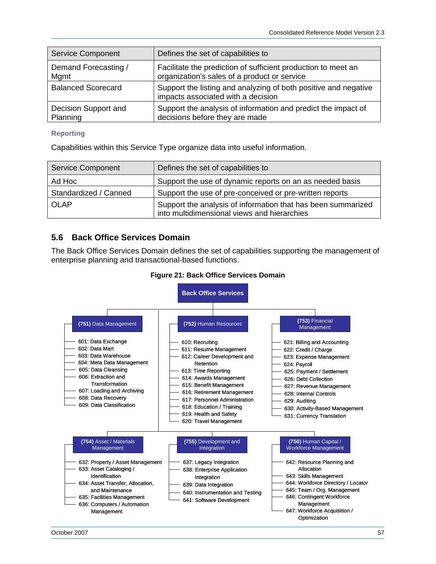| <b>Service Component</b>  | Defines the set of capabilities to                                                                    |
|---------------------------|-------------------------------------------------------------------------------------------------------|
| Demand Forecasting /      | Facilitate the prediction of sufficient production to meet an                                         |
| Mgmt                      | organization's sales of a product or service                                                          |
| <b>Balanced Scorecard</b> | Support the listing and analyzing of both positive and negative<br>impacts associated with a decision |
| Decision Support and      | Support the analysis of information and predict the impact of                                         |
| Planning                  | decisions before they are made                                                                        |

### **Reporting**

Capabilities within this Service Type organize data into useful information.

| <b>Service Component</b> | Defines the set of capabilities to                                                                          |
|--------------------------|-------------------------------------------------------------------------------------------------------------|
| Ad Hoc                   | Support the use of dynamic reports on an as needed basis                                                    |
| Standardized / Canned    | Support the use of pre-conceived or pre-written reports                                                     |
| OLAP                     | Support the analysis of information that has been summarized<br>into multidimensional views and hierarchies |

# **5.6 Back Office Services Domain**

The Back Office Services Domain defines the set of capabilities supporting the management of enterprise planning and transactional-based functions.



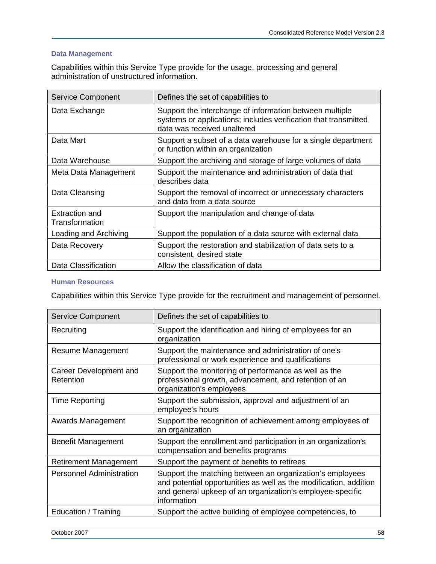### **Data Management**

Capabilities within this Service Type provide for the usage, processing and general administration of unstructured information.

| <b>Service Component</b>         | Defines the set of capabilities to                                                                                                                        |
|----------------------------------|-----------------------------------------------------------------------------------------------------------------------------------------------------------|
| Data Exchange                    | Support the interchange of information between multiple<br>systems or applications; includes verification that transmitted<br>data was received unaltered |
| Data Mart                        | Support a subset of a data warehouse for a single department<br>or function within an organization                                                        |
| Data Warehouse                   | Support the archiving and storage of large volumes of data                                                                                                |
| Meta Data Management             | Support the maintenance and administration of data that<br>describes data                                                                                 |
| Data Cleansing                   | Support the removal of incorrect or unnecessary characters<br>and data from a data source                                                                 |
| Extraction and<br>Transformation | Support the manipulation and change of data                                                                                                               |
| Loading and Archiving            | Support the population of a data source with external data                                                                                                |
| Data Recovery                    | Support the restoration and stabilization of data sets to a<br>consistent, desired state                                                                  |
| Data Classification              | Allow the classification of data                                                                                                                          |

#### **Human Resources**

Capabilities within this Service Type provide for the recruitment and management of personnel.

| <b>Service Component</b>            | Defines the set of capabilities to                                                                                                                                                                        |
|-------------------------------------|-----------------------------------------------------------------------------------------------------------------------------------------------------------------------------------------------------------|
| Recruiting                          | Support the identification and hiring of employees for an<br>organization                                                                                                                                 |
| Resume Management                   | Support the maintenance and administration of one's<br>professional or work experience and qualifications                                                                                                 |
| Career Development and<br>Retention | Support the monitoring of performance as well as the<br>professional growth, advancement, and retention of an<br>organization's employees                                                                 |
| <b>Time Reporting</b>               | Support the submission, approval and adjustment of an<br>employee's hours                                                                                                                                 |
| Awards Management                   | Support the recognition of achievement among employees of<br>an organization                                                                                                                              |
| <b>Benefit Management</b>           | Support the enrollment and participation in an organization's<br>compensation and benefits programs                                                                                                       |
| <b>Retirement Management</b>        | Support the payment of benefits to retirees                                                                                                                                                               |
| <b>Personnel Administration</b>     | Support the matching between an organization's employees<br>and potential opportunities as well as the modification, addition<br>and general upkeep of an organization's employee-specific<br>information |
| Education / Training                | Support the active building of employee competencies, to                                                                                                                                                  |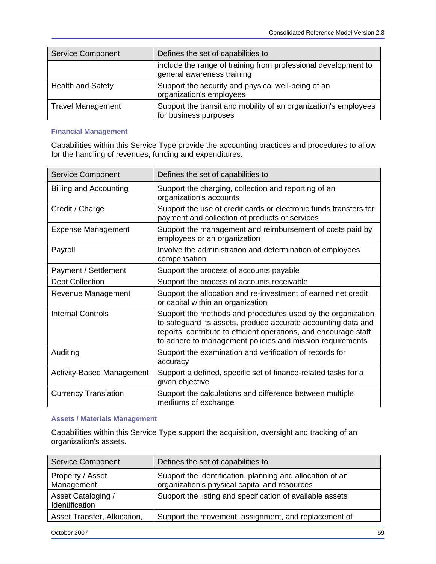| <b>Service Component</b> | Defines the set of capabilities to                                                           |
|--------------------------|----------------------------------------------------------------------------------------------|
|                          | include the range of training from professional development to<br>general awareness training |
| <b>Health and Safety</b> | Support the security and physical well-being of an<br>organization's employees               |
| <b>Travel Management</b> | Support the transit and mobility of an organization's employees<br>for business purposes     |

## **Financial Management**

Capabilities within this Service Type provide the accounting practices and procedures to allow for the handling of revenues, funding and expenditures.

| <b>Service Component</b>         | Defines the set of capabilities to                                                                                                                                                                                                                            |
|----------------------------------|---------------------------------------------------------------------------------------------------------------------------------------------------------------------------------------------------------------------------------------------------------------|
| <b>Billing and Accounting</b>    | Support the charging, collection and reporting of an<br>organization's accounts                                                                                                                                                                               |
| Credit / Charge                  | Support the use of credit cards or electronic funds transfers for<br>payment and collection of products or services                                                                                                                                           |
| <b>Expense Management</b>        | Support the management and reimbursement of costs paid by<br>employees or an organization                                                                                                                                                                     |
| Payroll                          | Involve the administration and determination of employees<br>compensation                                                                                                                                                                                     |
| Payment / Settlement             | Support the process of accounts payable                                                                                                                                                                                                                       |
| <b>Debt Collection</b>           | Support the process of accounts receivable                                                                                                                                                                                                                    |
| Revenue Management               | Support the allocation and re-investment of earned net credit<br>or capital within an organization                                                                                                                                                            |
| <b>Internal Controls</b>         | Support the methods and procedures used by the organization<br>to safeguard its assets, produce accurate accounting data and<br>reports, contribute to efficient operations, and encourage staff<br>to adhere to management policies and mission requirements |
| Auditing                         | Support the examination and verification of records for<br>accuracy                                                                                                                                                                                           |
| <b>Activity-Based Management</b> | Support a defined, specific set of finance-related tasks for a<br>given objective                                                                                                                                                                             |
| <b>Currency Translation</b>      | Support the calculations and difference between multiple<br>mediums of exchange                                                                                                                                                                               |

## **Assets / Materials Management**

Capabilities within this Service Type support the acquisition, oversight and tracking of an organization's assets.

| <b>Service Component</b>             | Defines the set of capabilities to                                                                         |
|--------------------------------------|------------------------------------------------------------------------------------------------------------|
| Property / Asset<br>Management       | Support the identification, planning and allocation of an<br>organization's physical capital and resources |
| Asset Cataloging /<br>Identification | Support the listing and specification of available assets                                                  |
| Asset Transfer, Allocation,          | Support the movement, assignment, and replacement of                                                       |
|                                      |                                                                                                            |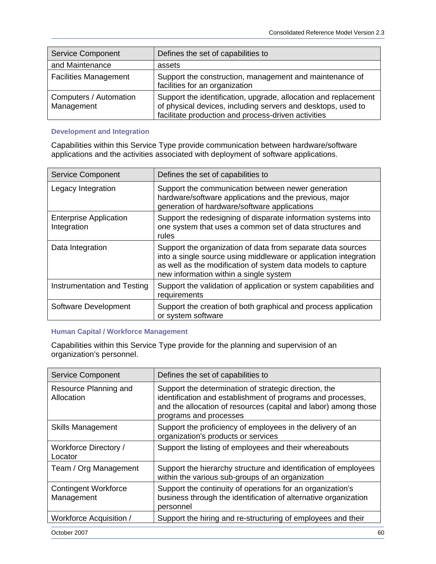| <b>Service Component</b>             | Defines the set of capabilities to                                                                                                                                                     |
|--------------------------------------|----------------------------------------------------------------------------------------------------------------------------------------------------------------------------------------|
| and Maintenance                      | assets                                                                                                                                                                                 |
| <b>Facilities Management</b>         | Support the construction, management and maintenance of<br>facilities for an organization                                                                                              |
| Computers / Automation<br>Management | Support the identification, upgrade, allocation and replacement<br>of physical devices, including servers and desktops, used to<br>facilitate production and process-driven activities |

# **Development and Integration**

Capabilities within this Service Type provide communication between hardware/software applications and the activities associated with deployment of software applications.

| <b>Service Component</b>                     | Defines the set of capabilities to                                                                                                                                                                                                        |
|----------------------------------------------|-------------------------------------------------------------------------------------------------------------------------------------------------------------------------------------------------------------------------------------------|
| Legacy Integration                           | Support the communication between newer generation<br>hardware/software applications and the previous, major<br>generation of hardware/software applications                                                                              |
| <b>Enterprise Application</b><br>Integration | Support the redesigning of disparate information systems into<br>one system that uses a common set of data structures and<br>rules                                                                                                        |
| Data Integration                             | Support the organization of data from separate data sources<br>into a single source using middleware or application integration<br>as well as the modification of system data models to capture<br>new information within a single system |
| Instrumentation and Testing                  | Support the validation of application or system capabilities and<br>requirements                                                                                                                                                          |
| Software Development                         | Support the creation of both graphical and process application<br>or system software                                                                                                                                                      |

### **Human Capital / Workforce Management**

Capabilities within this Service Type provide for the planning and supervision of an organization's personnel.

| <b>Service Component</b>                  | Defines the set of capabilities to                                                                                                                                                                                |
|-------------------------------------------|-------------------------------------------------------------------------------------------------------------------------------------------------------------------------------------------------------------------|
| Resource Planning and<br>Allocation       | Support the determination of strategic direction, the<br>identification and establishment of programs and processes,<br>and the allocation of resources (capital and labor) among those<br>programs and processes |
| <b>Skills Management</b>                  | Support the proficiency of employees in the delivery of an<br>organization's products or services                                                                                                                 |
| Workforce Directory /<br>Locator          | Support the listing of employees and their whereabouts                                                                                                                                                            |
| Team / Org Management                     | Support the hierarchy structure and identification of employees<br>within the various sub-groups of an organization                                                                                               |
| <b>Contingent Workforce</b><br>Management | Support the continuity of operations for an organization's<br>business through the identification of alternative organization<br>personnel                                                                        |
| Workforce Acquisition /                   | Support the hiring and re-structuring of employees and their                                                                                                                                                      |
| October 2007                              | 60                                                                                                                                                                                                                |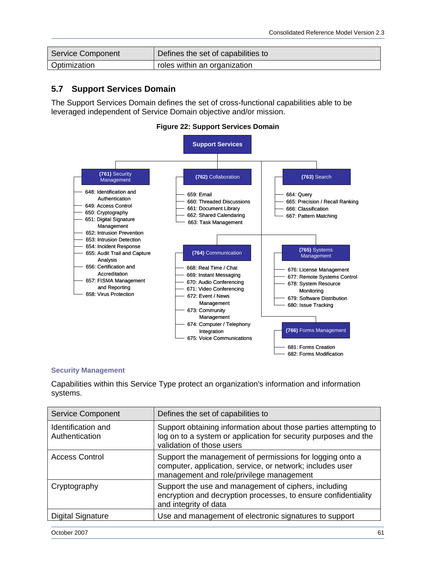| <b>Service Component</b> | Defines the set of capabilities to |
|--------------------------|------------------------------------|
| Optimization             | roles within an organization       |

## **5.7 Support Services Domain**

The Support Services Domain defines the set of cross-functional capabilities able to be leveraged independent of Service Domain objective and/or mission.





#### **Security Management**

Capabilities within this Service Type protect an organization's information and information systems.

| <b>Service Component</b>             | Defines the set of capabilities to                                                                                                                                |
|--------------------------------------|-------------------------------------------------------------------------------------------------------------------------------------------------------------------|
| Identification and<br>Authentication | Support obtaining information about those parties attempting to<br>log on to a system or application for security purposes and the<br>validation of those users   |
| <b>Access Control</b>                | Support the management of permissions for logging onto a<br>computer, application, service, or network; includes user<br>management and role/privilege management |
| Cryptography                         | Support the use and management of ciphers, including<br>encryption and decryption processes, to ensure confidentiality<br>and integrity of data                   |
| Digital Signature                    | Use and management of electronic signatures to support                                                                                                            |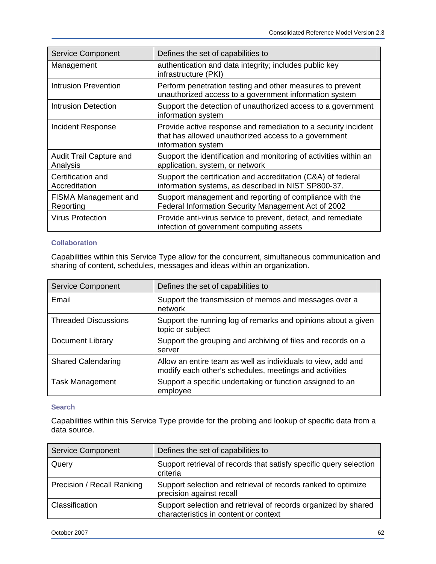| <b>Service Component</b>            | Defines the set of capabilities to                                                                                                           |
|-------------------------------------|----------------------------------------------------------------------------------------------------------------------------------------------|
| Management                          | authentication and data integrity; includes public key<br>infrastructure (PKI)                                                               |
| Intrusion Prevention                | Perform penetration testing and other measures to prevent<br>unauthorized access to a government information system                          |
| Intrusion Detection                 | Support the detection of unauthorized access to a government<br>information system                                                           |
| Incident Response                   | Provide active response and remediation to a security incident<br>that has allowed unauthorized access to a government<br>information system |
| Audit Trail Capture and<br>Analysis | Support the identification and monitoring of activities within an<br>application, system, or network                                         |
| Certification and<br>Accreditation  | Support the certification and accreditation (C&A) of federal<br>information systems, as described in NIST SP800-37.                          |
| FISMA Management and<br>Reporting   | Support management and reporting of compliance with the<br>Federal Information Security Management Act of 2002                               |
| <b>Virus Protection</b>             | Provide anti-virus service to prevent, detect, and remediate<br>infection of government computing assets                                     |

# **Collaboration**

Capabilities within this Service Type allow for the concurrent, simultaneous communication and sharing of content, schedules, messages and ideas within an organization.

| <b>Service Component</b>    | Defines the set of capabilities to                                                                                     |  |
|-----------------------------|------------------------------------------------------------------------------------------------------------------------|--|
| Email                       | Support the transmission of memos and messages over a<br>network                                                       |  |
| <b>Threaded Discussions</b> | Support the running log of remarks and opinions about a given<br>topic or subject                                      |  |
| Document Library            | Support the grouping and archiving of files and records on a<br>server                                                 |  |
| <b>Shared Calendaring</b>   | Allow an entire team as well as individuals to view, add and<br>modify each other's schedules, meetings and activities |  |
| <b>Task Management</b>      | Support a specific undertaking or function assigned to an<br>employee                                                  |  |

# **Search**

Capabilities within this Service Type provide for the probing and lookup of specific data from a data source.

| <b>Service Component</b>   | Defines the set of capabilities to                                                                      |
|----------------------------|---------------------------------------------------------------------------------------------------------|
| Query                      | Support retrieval of records that satisfy specific query selection<br>criteria                          |
| Precision / Recall Ranking | Support selection and retrieval of records ranked to optimize<br>precision against recall               |
| Classification             | Support selection and retrieval of records organized by shared<br>characteristics in content or context |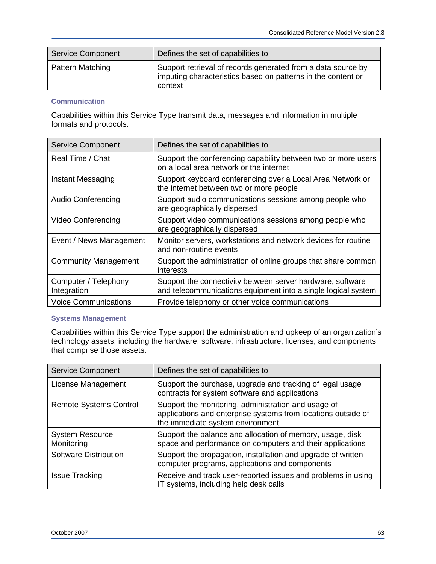| Service Component       | Defines the set of capabilities to                                                                                                      |
|-------------------------|-----------------------------------------------------------------------------------------------------------------------------------------|
| <b>Pattern Matching</b> | Support retrieval of records generated from a data source by<br>imputing characteristics based on patterns in the content or<br>context |

# **Communication**

Capabilities within this Service Type transmit data, messages and information in multiple formats and protocols.

| <b>Service Component</b>            | Defines the set of capabilities to                                                                                          |
|-------------------------------------|-----------------------------------------------------------------------------------------------------------------------------|
| Real Time / Chat                    | Support the conferencing capability between two or more users<br>on a local area network or the internet                    |
| Instant Messaging                   | Support keyboard conferencing over a Local Area Network or<br>the internet between two or more people                       |
| <b>Audio Conferencing</b>           | Support audio communications sessions among people who<br>are geographically dispersed                                      |
| <b>Video Conferencing</b>           | Support video communications sessions among people who<br>are geographically dispersed                                      |
| Event / News Management             | Monitor servers, workstations and network devices for routine<br>and non-routine events                                     |
| <b>Community Management</b>         | Support the administration of online groups that share common<br>interests                                                  |
| Computer / Telephony<br>Integration | Support the connectivity between server hardware, software<br>and telecommunications equipment into a single logical system |
| <b>Voice Communications</b>         | Provide telephony or other voice communications                                                                             |

### **Systems Management**

Capabilities within this Service Type support the administration and upkeep of an organization's technology assets, including the hardware, software, infrastructure, licenses, and components that comprise those assets.

| <b>Service Component</b>             | Defines the set of capabilities to                                                                                                                       |  |
|--------------------------------------|----------------------------------------------------------------------------------------------------------------------------------------------------------|--|
| License Management                   | Support the purchase, upgrade and tracking of legal usage<br>contracts for system software and applications                                              |  |
| <b>Remote Systems Control</b>        | Support the monitoring, administration and usage of<br>applications and enterprise systems from locations outside of<br>the immediate system environment |  |
| <b>System Resource</b><br>Monitoring | Support the balance and allocation of memory, usage, disk<br>space and performance on computers and their applications                                   |  |
| <b>Software Distribution</b>         | Support the propagation, installation and upgrade of written<br>computer programs, applications and components                                           |  |
| <b>Issue Tracking</b>                | Receive and track user-reported issues and problems in using<br>IT systems, including help desk calls                                                    |  |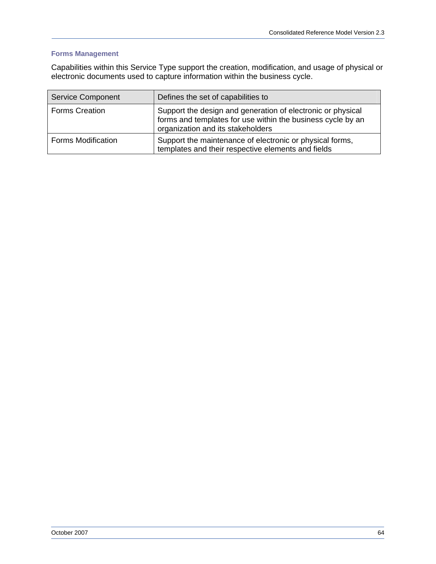### **Forms Management**

Capabilities within this Service Type support the creation, modification, and usage of physical or electronic documents used to capture information within the business cycle.

| <b>Service Component</b>  | Defines the set of capabilities to                                                                                                                              |
|---------------------------|-----------------------------------------------------------------------------------------------------------------------------------------------------------------|
| <b>Forms Creation</b>     | Support the design and generation of electronic or physical<br>forms and templates for use within the business cycle by an<br>organization and its stakeholders |
| <b>Forms Modification</b> | Support the maintenance of electronic or physical forms,<br>templates and their respective elements and fields                                                  |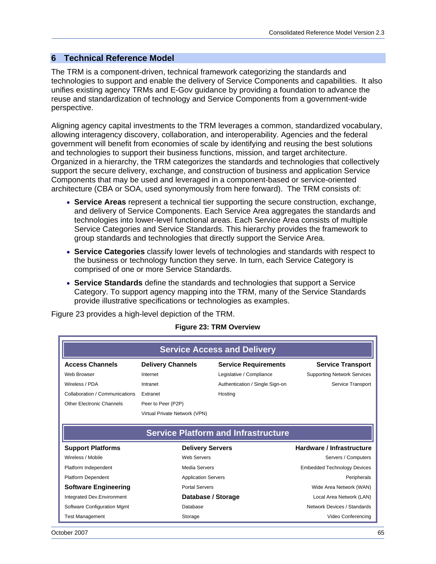# **6 Technical Reference Model**

The TRM is a component-driven, technical framework categorizing the standards and technologies to support and enable the delivery of Service Components and capabilities. It also unifies existing agency TRMs and E-Gov guidance by providing a foundation to advance the reuse and standardization of technology and Service Components from a government-wide perspective.

Aligning agency capital investments to the TRM leverages a common, standardized vocabulary, allowing interagency discovery, collaboration, and interoperability. Agencies and the federal government will benefit from economies of scale by identifying and reusing the best solutions and technologies to support their business functions, mission, and target architecture. Organized in a hierarchy, the TRM categorizes the standards and technologies that collectively support the secure delivery, exchange, and construction of business and application Service Components that may be used and leveraged in a component-based or service-oriented architecture (CBA or SOA, used synonymously from here forward). The TRM consists of:

- **Service Areas** represent a technical tier supporting the secure construction, exchange, and delivery of Service Components. Each Service Area aggregates the standards and technologies into lower-level functional areas. Each Service Area consists of multiple Service Categories and Service Standards. This hierarchy provides the framework to group standards and technologies that directly support the Service Area.
- **Service Categories** classify lower levels of technologies and standards with respect to the business or technology function they serve. In turn, each Service Category is comprised of one or more Service Standards.
- **Service Standards** define the standards and technologies that support a Service Category. To support agency mapping into the TRM, many of the Service Standards provide illustrative specifications or technologies as examples.

Figure 23 provides a high-level depiction of the TRM.

| <b>Service Access and Delivery</b>         |                                                      |                                 |                                    |  |
|--------------------------------------------|------------------------------------------------------|---------------------------------|------------------------------------|--|
| <b>Access Channels</b>                     | <b>Delivery Channels</b>                             | <b>Service Transport</b>        |                                    |  |
| Web Browser                                | Internet                                             | Legislative / Compliance        | <b>Supporting Network Services</b> |  |
| Wireless / PDA                             | Intranet                                             | Authentication / Single Sign-on | Service Transport                  |  |
| Collaboration / Communications             | Extranet                                             | Hosting                         |                                    |  |
| Other Electronic Channels                  | Peer to Peer (P2P)                                   |                                 |                                    |  |
|                                            | Virtual Private Network (VPN)                        |                                 |                                    |  |
| <b>Service Platform and Infrastructure</b> |                                                      |                                 |                                    |  |
| <b>Support Platforms</b>                   | Hardware / Infrastructure<br><b>Delivery Servers</b> |                                 |                                    |  |
| Wireless / Mobile                          | <b>Web Servers</b>                                   |                                 | Servers / Computers                |  |
| Platform Independent                       | <b>Media Servers</b>                                 |                                 | <b>Embedded Technology Devices</b> |  |
| <b>Platform Dependent</b>                  | <b>Application Servers</b>                           |                                 | Peripherals                        |  |
| Software Engineering                       | <b>Portal Servers</b>                                |                                 | Wide Area Network (WAN)            |  |
| Integrated Dev.Environment                 | Database / Storage                                   |                                 | Local Area Network (LAN)           |  |
| Software Configuration Mgmt                | Database                                             |                                 | Network Devices / Standards        |  |
| <b>Test Management</b>                     | Storage                                              |                                 | Video Conferencing                 |  |

**Figure 23: TRM Overview**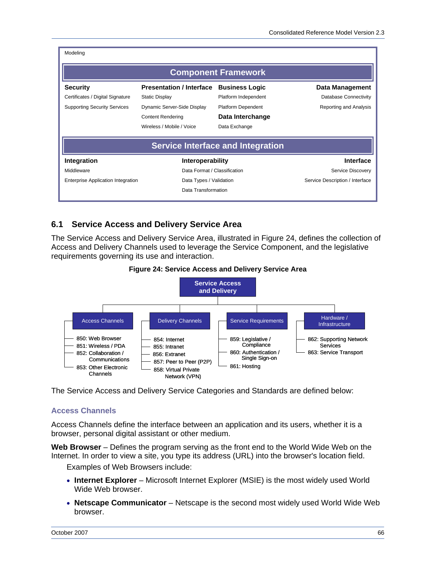| Modeling                                  |                                   |                           |                                 |  |
|-------------------------------------------|-----------------------------------|---------------------------|---------------------------------|--|
| <b>Component Framework</b>                |                                   |                           |                                 |  |
| <b>Security</b>                           | Presentation / Interface          | <b>Business Logic</b>     | Data Management                 |  |
| Certificates / Digital Signature          | Static Display                    | Platform Independent      | Database Connectivity           |  |
| <b>Supporting Security Services</b>       | Dynamic Server-Side Display       | <b>Platform Dependent</b> | Reporting and Analysis          |  |
|                                           | <b>Content Rendering</b>          | Data Interchange          |                                 |  |
|                                           | Wireless / Mobile / Voice         | Data Exchange             |                                 |  |
|                                           | Service Interface and Integration |                           |                                 |  |
| Integration                               | Interoperability                  |                           | Interface                       |  |
| Middleware                                | Data Format / Classification      |                           | Service Discovery               |  |
| <b>Enterprise Application Integration</b> | Data Types / Validation           |                           | Service Description / Interface |  |
|                                           | Data Transformation               |                           |                                 |  |

# **6.1 Service Access and Delivery Service Area**

The Service Access and Delivery Service Area, illustrated in Figure 24, defines the collection of Access and Delivery Channels used to leverage the Service Component, and the legislative requirements governing its use and interaction.





The Service Access and Delivery Service Categories and Standards are defined below:

### **Access Channels**

Access Channels define the interface between an application and its users, whether it is a browser, personal digital assistant or other medium.

**Web Browser** – Defines the program serving as the front end to the World Wide Web on the Internet. In order to view a site, you type its address (URL) into the browser's location field.

Examples of Web Browsers include:

- **Internet Explorer** Microsoft Internet Explorer (MSIE) is the most widely used World Wide Web browser.
- **Netscape Communicator** Netscape is the second most widely used World Wide Web browser.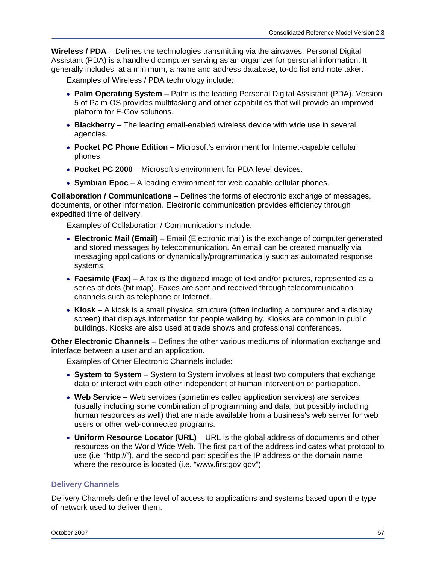**Wireless / PDA** – Defines the technologies transmitting via the airwaves. Personal Digital Assistant (PDA) is a handheld computer serving as an organizer for personal information. It generally includes, at a minimum, a name and address database, to-do list and note taker.

Examples of Wireless / PDA technology include:

- **Palm Operating System**  Palm is the leading Personal Digital Assistant (PDA). Version 5 of Palm OS provides multitasking and other capabilities that will provide an improved platform for E-Gov solutions.
- **Blackberry**  The leading email-enabled wireless device with wide use in several agencies.
- **Pocket PC Phone Edition**  Microsoft's environment for Internet-capable cellular phones.
- **Pocket PC 2000**  Microsoft's environment for PDA level devices.
- **Symbian Epoc**  A leading environment for web capable cellular phones.

**Collaboration / Communications** – Defines the forms of electronic exchange of messages, documents, or other information. Electronic communication provides efficiency through expedited time of delivery.

Examples of Collaboration / Communications include:

- **Electronic Mail (Email)** Email (Electronic mail) is the exchange of computer generated and stored messages by telecommunication. An email can be created manually via messaging applications or dynamically/programmatically such as automated response systems.
- **Facsimile (Fax)** A fax is the digitized image of text and/or pictures, represented as a series of dots (bit map). Faxes are sent and received through telecommunication channels such as telephone or Internet.
- **Kiosk** A kiosk is a small physical structure (often including a computer and a display screen) that displays information for people walking by. Kiosks are common in public buildings. Kiosks are also used at trade shows and professional conferences.

**Other Electronic Channels** – Defines the other various mediums of information exchange and interface between a user and an application.

Examples of Other Electronic Channels include:

- **System to System** System to System involves at least two computers that exchange data or interact with each other independent of human intervention or participation.
- **Web Service** Web services (sometimes called application services) are services (usually including some combination of programming and data, but possibly including human resources as well) that are made available from a business's web server for web users or other web-connected programs.
- **Uniform Resource Locator (URL)** URL is the global address of documents and other resources on the World Wide Web. The first part of the address indicates what protocol to use (i.e. "http://"), and the second part specifies the IP address or the domain name where the resource is located (i.e. "www.firstgov.gov").

# **Delivery Channels**

Delivery Channels define the level of access to applications and systems based upon the type of network used to deliver them.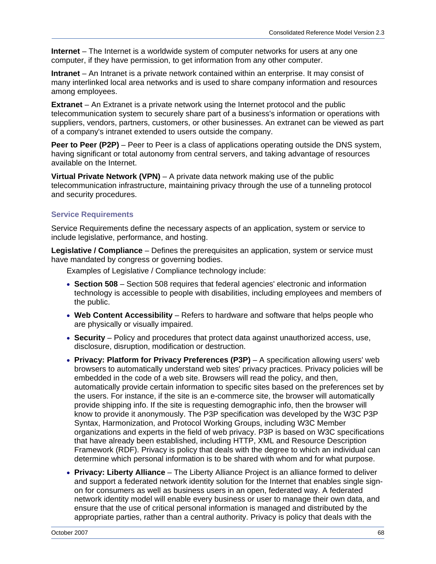**Internet** – The Internet is a worldwide system of computer networks for users at any one computer, if they have permission, to get information from any other computer.

**Intranet** – An Intranet is a private network contained within an enterprise. It may consist of many interlinked local area networks and is used to share company information and resources among employees.

**Extranet** – An Extranet is a private network using the Internet protocol and the public telecommunication system to securely share part of a business's information or operations with suppliers, vendors, partners, customers, or other businesses. An extranet can be viewed as part of a company's intranet extended to users outside the company.

**Peer to Peer (P2P)** – Peer to Peer is a class of applications operating outside the DNS system, having significant or total autonomy from central servers, and taking advantage of resources available on the Internet.

**Virtual Private Network (VPN)** – A private data network making use of the public telecommunication infrastructure, maintaining privacy through the use of a tunneling protocol and security procedures.

# **Service Requirements**

Service Requirements define the necessary aspects of an application, system or service to include legislative, performance, and hosting.

**Legislative / Compliance** – Defines the prerequisites an application, system or service must have mandated by congress or governing bodies.

Examples of Legislative / Compliance technology include:

- **Section 508** Section 508 requires that federal agencies' electronic and information technology is accessible to people with disabilities, including employees and members of the public.
- **Web Content Accessibility** Refers to hardware and software that helps people who are physically or visually impaired.
- **Security** Policy and procedures that protect data against unauthorized access, use, disclosure, disruption, modification or destruction.
- **Privacy: Platform for Privacy Preferences (P3P)** A specification allowing users' web browsers to automatically understand web sites' privacy practices. Privacy policies will be embedded in the code of a web site. Browsers will read the policy, and then, automatically provide certain information to specific sites based on the preferences set by the users. For instance, if the site is an e-commerce site, the browser will automatically provide shipping info. If the site is requesting demographic info, then the browser will know to provide it anonymously. The P3P specification was developed by the W3C P3P Syntax, Harmonization, and Protocol Working Groups, including W3C Member organizations and experts in the field of web privacy. P3P is based on W3C specifications that have already been established, including HTTP, XML and Resource Description Framework (RDF). Privacy is policy that deals with the degree to which an individual can determine which personal information is to be shared with whom and for what purpose.
- **Privacy: Liberty Alliance** The Liberty Alliance Project is an alliance formed to deliver and support a federated network identity solution for the Internet that enables single signon for consumers as well as business users in an open, federated way. A federated network identity model will enable every business or user to manage their own data, and ensure that the use of critical personal information is managed and distributed by the appropriate parties, rather than a central authority. Privacy is policy that deals with the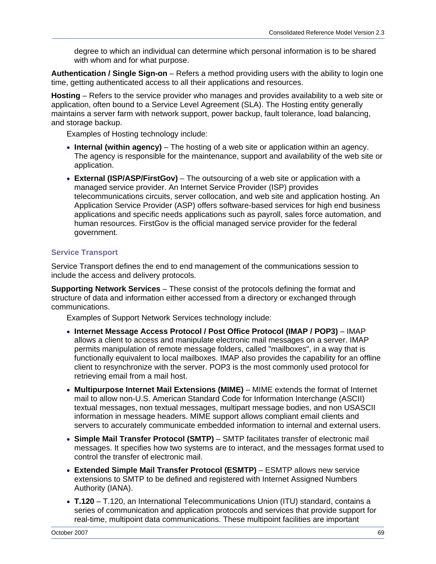degree to which an individual can determine which personal information is to be shared with whom and for what purpose.

**Authentication / Single Sign-on** – Refers a method providing users with the ability to login one time, getting authenticated access to all their applications and resources.

**Hosting** – Refers to the service provider who manages and provides availability to a web site or application, often bound to a Service Level Agreement (SLA). The Hosting entity generally maintains a server farm with network support, power backup, fault tolerance, load balancing, and storage backup.

Examples of Hosting technology include:

- **Internal (within agency)** The hosting of a web site or application within an agency. The agency is responsible for the maintenance, support and availability of the web site or application.
- **External (ISP/ASP/FirstGov)** The outsourcing of a web site or application with a managed service provider. An Internet Service Provider (ISP) provides telecommunications circuits, server collocation, and web site and application hosting. An Application Service Provider (ASP) offers software-based services for high end business applications and specific needs applications such as payroll, sales force automation, and human resources. FirstGov is the official managed service provider for the federal government.

## **Service Transport**

Service Transport defines the end to end management of the communications session to include the access and delivery protocols.

**Supporting Network Services** – These consist of the protocols defining the format and structure of data and information either accessed from a directory or exchanged through communications.

Examples of Support Network Services technology include:

- **Internet Message Access Protocol / Post Office Protocol (IMAP / POP3)** IMAP allows a client to access and manipulate electronic mail messages on a server. IMAP permits manipulation of remote message folders, called "mailboxes", in a way that is functionally equivalent to local mailboxes. IMAP also provides the capability for an offline client to resynchronize with the server. POP3 is the most commonly used protocol for retrieving email from a mail host.
- **Multipurpose Internet Mail Extensions (MIME)** MIME extends the format of Internet mail to allow non-U.S. American Standard Code for Information Interchange (ASCII) textual messages, non textual messages, multipart message bodies, and non USASCII information in message headers. MIME support allows compliant email clients and servers to accurately communicate embedded information to internal and external users.
- **Simple Mail Transfer Protocol (SMTP)** SMTP facilitates transfer of electronic mail messages. It specifies how two systems are to interact, and the messages format used to control the transfer of electronic mail.
- **Extended Simple Mail Transfer Protocol (ESMTP)** ESMTP allows new service extensions to SMTP to be defined and registered with Internet Assigned Numbers Authority (IANA).
- **T.120** T.120, an International Telecommunications Union (ITU) standard, contains a series of communication and application protocols and services that provide support for real-time, multipoint data communications. These multipoint facilities are important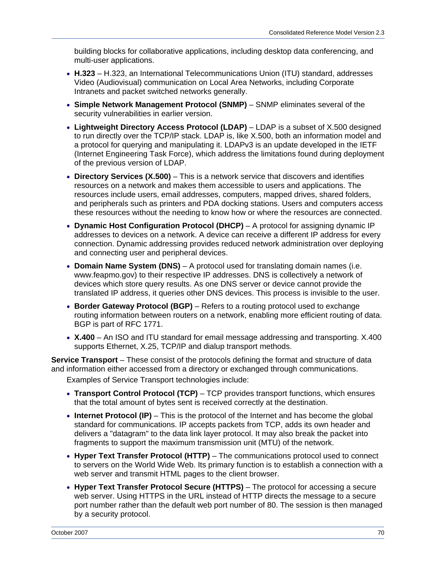building blocks for collaborative applications, including desktop data conferencing, and multi-user applications.

- **H.323** H.323, an International Telecommunications Union (ITU) standard, addresses Video (Audiovisual) communication on Local Area Networks, including Corporate Intranets and packet switched networks generally.
- **Simple Network Management Protocol (SNMP)** SNMP eliminates several of the security vulnerabilities in earlier version.
- **Lightweight Directory Access Protocol (LDAP)** LDAP is a subset of X.500 designed to run directly over the TCP/IP stack. LDAP is, like X.500, both an information model and a protocol for querying and manipulating it. LDAPv3 is an update developed in the IETF (Internet Engineering Task Force), which address the limitations found during deployment of the previous version of LDAP.
- **Directory Services (X.500)** This is a network service that discovers and identifies resources on a network and makes them accessible to users and applications. The resources include users, email addresses, computers, mapped drives, shared folders, and peripherals such as printers and PDA docking stations. Users and computers access these resources without the needing to know how or where the resources are connected.
- **Dynamic Host Configuration Protocol (DHCP)** A protocol for assigning dynamic IP addresses to devices on a network. A device can receive a different IP address for every connection. Dynamic addressing provides reduced network administration over deploying and connecting user and peripheral devices.
- **Domain Name System (DNS)** A protocol used for translating domain names (i.e. www.feapmo.gov) to their respective IP addresses. DNS is collectively a network of devices which store query results. As one DNS server or device cannot provide the translated IP address, it queries other DNS devices. This process is invisible to the user.
- **Border Gateway Protocol (BGP)** Refers to a routing protocol used to exchange routing information between routers on a network, enabling more efficient routing of data. BGP is part of RFC 1771.
- **X.400** An ISO and ITU standard for email message addressing and transporting. X.400 supports Ethernet, X.25, TCP/IP and dialup transport methods.

**Service Transport** – These consist of the protocols defining the format and structure of data and information either accessed from a directory or exchanged through communications.

Examples of Service Transport technologies include:

- **Transport Control Protocol (TCP)** TCP provides transport functions, which ensures that the total amount of bytes sent is received correctly at the destination.
- **Internet Protocol (IP)** This is the protocol of the Internet and has become the global standard for communications. IP accepts packets from TCP, adds its own header and delivers a "datagram" to the data link layer protocol. It may also break the packet into fragments to support the maximum transmission unit (MTU) of the network.
- **Hyper Text Transfer Protocol (HTTP)** The communications protocol used to connect to servers on the World Wide Web. Its primary function is to establish a connection with a web server and transmit HTML pages to the client browser.
- **Hyper Text Transfer Protocol Secure (HTTPS)** The protocol for accessing a secure web server. Using HTTPS in the URL instead of HTTP directs the message to a secure port number rather than the default web port number of 80. The session is then managed by a security protocol.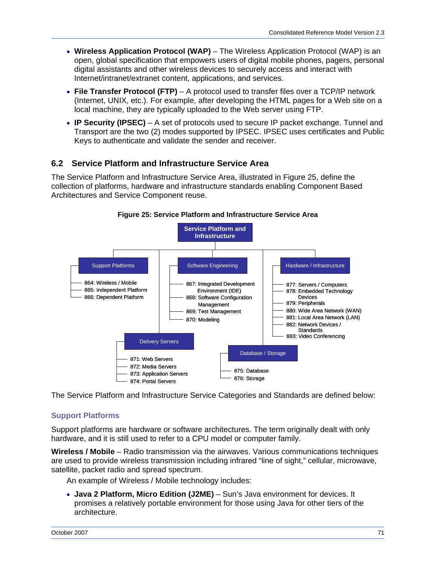- **Wireless Application Protocol (WAP)** The Wireless Application Protocol (WAP) is an open, global specification that empowers users of digital mobile phones, pagers, personal digital assistants and other wireless devices to securely access and interact with Internet/intranet/extranet content, applications, and services.
- **File Transfer Protocol (FTP)** A protocol used to transfer files over a TCP/IP network (Internet, UNIX, etc.). For example, after developing the HTML pages for a Web site on a local machine, they are typically uploaded to the Web server using FTP.
- **IP Security (IPSEC)**  A set of protocols used to secure IP packet exchange. Tunnel and Transport are the two (2) modes supported by IPSEC. IPSEC uses certificates and Public Keys to authenticate and validate the sender and receiver.

# **6.2 Service Platform and Infrastructure Service Area**

The Service Platform and Infrastructure Service Area, illustrated in Figure 25, define the collection of platforms, hardware and infrastructure standards enabling Component Based Architectures and Service Component reuse.



**Figure 25: Service Platform and Infrastructure Service Area** 

The Service Platform and Infrastructure Service Categories and Standards are defined below:

# **Support Platforms**

Support platforms are hardware or software architectures. The term originally dealt with only hardware, and it is still used to refer to a CPU model or computer family.

**Wireless / Mobile** – Radio transmission via the airwaves. Various communications techniques are used to provide wireless transmission including infrared "line of sight," cellular, microwave, satellite, packet radio and spread spectrum.

An example of Wireless / Mobile technology includes:

• **Java 2 Platform, Micro Edition (J2ME)** – Sun's Java environment for devices. It promises a relatively portable environment for those using Java for other tiers of the architecture.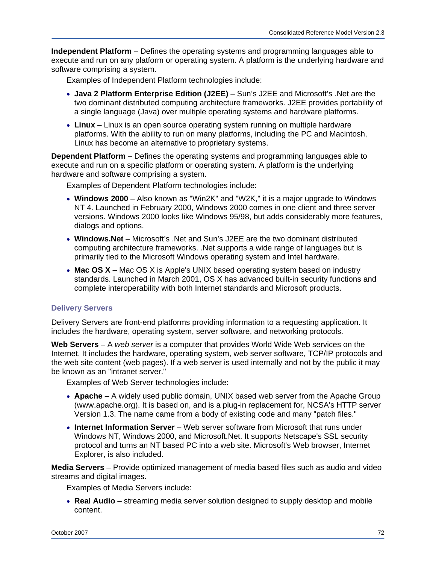**Independent Platform** – Defines the operating systems and programming languages able to execute and run on any platform or operating system. A platform is the underlying hardware and software comprising a system.

Examples of Independent Platform technologies include:

- **Java 2 Platform Enterprise Edition (J2EE)** Sun's J2EE and Microsoft's .Net are the two dominant distributed computing architecture frameworks. J2EE provides portability of a single language (Java) over multiple operating systems and hardware platforms.
- **Linux** Linux is an open source operating system running on multiple hardware platforms. With the ability to run on many platforms, including the PC and Macintosh, Linux has become an alternative to proprietary systems.

**Dependent Platform** – Defines the operating systems and programming languages able to execute and run on a specific platform or operating system. A platform is the underlying hardware and software comprising a system.

Examples of Dependent Platform technologies include:

- **Windows 2000** Also known as "Win2K" and "W2K," it is a major upgrade to Windows NT 4. Launched in February 2000, Windows 2000 comes in one client and three server versions. Windows 2000 looks like Windows 95/98, but adds considerably more features, dialogs and options.
- **Windows.Net** Microsoft's .Net and Sun's J2EE are the two dominant distributed computing architecture frameworks. .Net supports a wide range of languages but is primarily tied to the Microsoft Windows operating system and Intel hardware.
- **Mac OS X** Mac OS X is Apple's UNIX based operating system based on industry standards. Launched in March 2001, OS X has advanced built-in security functions and complete interoperability with both Internet standards and Microsoft products.

# **Delivery Servers**

Delivery Servers are front-end platforms providing information to a requesting application. It includes the hardware, operating system, server software, and networking protocols.

**Web Servers** – A *web server* is a computer that provides World Wide Web services on the Internet. It includes the hardware, operating system, web server software, TCP/IP protocols and the web site content (web pages). If a web server is used internally and not by the public it may be known as an "intranet server."

Examples of Web Server technologies include:

- **Apache** A widely used public domain, UNIX based web server from the Apache Group (www.apache.org). It is based on, and is a plug-in replacement for, NCSA's HTTP server Version 1.3. The name came from a body of existing code and many "patch files."
- **Internet Information Server** Web server software from Microsoft that runs under Windows NT, Windows 2000, and Microsoft.Net. It supports Netscape's SSL security protocol and turns an NT based PC into a web site. Microsoft's Web browser, Internet Explorer, is also included.

**Media Servers** – Provide optimized management of media based files such as audio and video streams and digital images.

Examples of Media Servers include:

• **Real Audio** – streaming media server solution designed to supply desktop and mobile content.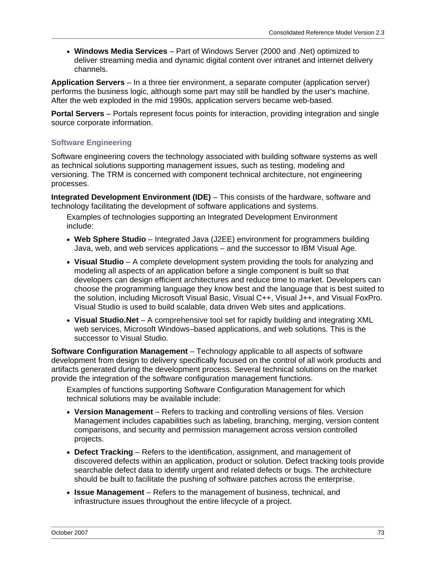• **Windows Media Services** – Part of Windows Server (2000 and .Net) optimized to deliver streaming media and dynamic digital content over intranet and internet delivery channels.

**Application Servers** – In a three tier environment, a separate computer (application server) performs the business logic, although some part may still be handled by the user's machine. After the web exploded in the mid 1990s, application servers became web-based.

**Portal Servers** – Portals represent focus points for interaction, providing integration and single source corporate information.

# **Software Engineering**

Software engineering covers the technology associated with building software systems as well as technical solutions supporting management issues, such as testing, modeling and versioning. The TRM is concerned with component technical architecture, not engineering processes.

**Integrated Development Environment (IDE)** – This consists of the hardware, software and technology facilitating the development of software applications and systems.

Examples of technologies supporting an Integrated Development Environment include:

- **Web Sphere Studio** Integrated Java (J2EE) environment for programmers building Java, web, and web services applications – and the successor to IBM Visual Age.
- **Visual Studio** A complete development system providing the tools for analyzing and modeling all aspects of an application before a single component is built so that developers can design efficient architectures and reduce time to market. Developers can choose the programming language they know best and the language that is best suited to the solution, including Microsoft Visual Basic, Visual C++, Visual J++, and Visual FoxPro. Visual Studio is used to build scalable, data driven Web sites and applications.
- **Visual Studio.Net** A comprehensive tool set for rapidly building and integrating XML web services, Microsoft Windows–based applications, and web solutions. This is the successor to Visual Studio.

**Software Configuration Management** – Technology applicable to all aspects of software development from design to delivery specifically focused on the control of all work products and artifacts generated during the development process. Several technical solutions on the market provide the integration of the software configuration management functions.

Examples of functions supporting Software Configuration Management for which technical solutions may be available include:

- **Version Management** Refers to tracking and controlling versions of files. Version Management includes capabilities such as labeling, branching, merging, version content comparisons, and security and permission management across version controlled projects.
- **Defect Tracking** Refers to the identification, assignment, and management of discovered defects within an application, product or solution. Defect tracking tools provide searchable defect data to identify urgent and related defects or bugs. The architecture should be built to facilitate the pushing of software patches across the enterprise.
- **Issue Management** Refers to the management of business, technical, and infrastructure issues throughout the entire lifecycle of a project.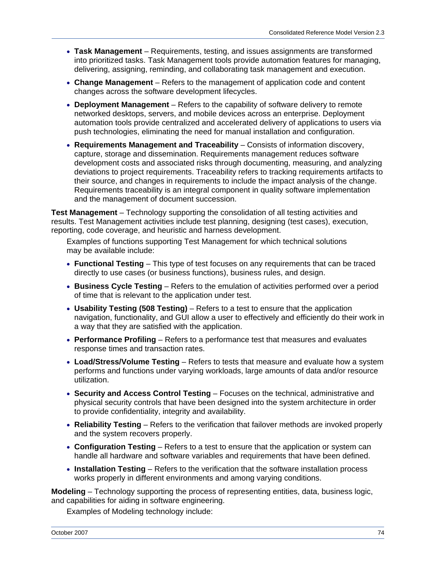- **Task Management** Requirements, testing, and issues assignments are transformed into prioritized tasks. Task Management tools provide automation features for managing, delivering, assigning, reminding, and collaborating task management and execution.
- **Change Management** Refers to the management of application code and content changes across the software development lifecycles.
- **Deployment Management** Refers to the capability of software delivery to remote networked desktops, servers, and mobile devices across an enterprise. Deployment automation tools provide centralized and accelerated delivery of applications to users via push technologies, eliminating the need for manual installation and configuration.
- **Requirements Management and Traceability** Consists of information discovery, capture, storage and dissemination. Requirements management reduces software development costs and associated risks through documenting, measuring, and analyzing deviations to project requirements. Traceability refers to tracking requirements artifacts to their source, and changes in requirements to include the impact analysis of the change. Requirements traceability is an integral component in quality software implementation and the management of document succession.

**Test Management** – Technology supporting the consolidation of all testing activities and results. Test Management activities include test planning, designing (test cases), execution, reporting, code coverage, and heuristic and harness development.

Examples of functions supporting Test Management for which technical solutions may be available include:

- **Functional Testing** This type of test focuses on any requirements that can be traced directly to use cases (or business functions), business rules, and design.
- **Business Cycle Testing** Refers to the emulation of activities performed over a period of time that is relevant to the application under test.
- **Usability Testing (508 Testing)** Refers to a test to ensure that the application navigation, functionality, and GUI allow a user to effectively and efficiently do their work in a way that they are satisfied with the application.
- **Performance Profiling** Refers to a performance test that measures and evaluates response times and transaction rates.
- **Load/Stress/Volume Testing** Refers to tests that measure and evaluate how a system performs and functions under varying workloads, large amounts of data and/or resource utilization.
- **Security and Access Control Testing** Focuses on the technical, administrative and physical security controls that have been designed into the system architecture in order to provide confidentiality, integrity and availability.
- **Reliability Testing** Refers to the verification that failover methods are invoked properly and the system recovers properly.
- **Configuration Testing** Refers to a test to ensure that the application or system can handle all hardware and software variables and requirements that have been defined.
- **Installation Testing** Refers to the verification that the software installation process works properly in different environments and among varying conditions.

**Modeling** – Technology supporting the process of representing entities, data, business logic, and capabilities for aiding in software engineering.

Examples of Modeling technology include: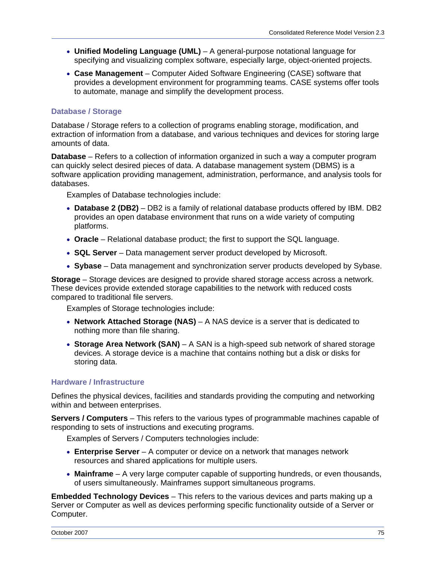- **Unified Modeling Language (UML)** A general-purpose notational language for specifying and visualizing complex software, especially large, object-oriented projects.
- **Case Management** Computer Aided Software Engineering (CASE) software that provides a development environment for programming teams. CASE systems offer tools to automate, manage and simplify the development process.

## **Database / Storage**

Database / Storage refers to a collection of programs enabling storage, modification, and extraction of information from a database, and various techniques and devices for storing large amounts of data.

**Database** – Refers to a collection of information organized in such a way a computer program can quickly select desired pieces of data. A database management system (DBMS) is a software application providing management, administration, performance, and analysis tools for databases.

Examples of Database technologies include:

- **Database 2 (DB2)** DB2 is a family of relational database products offered by IBM. DB2 provides an open database environment that runs on a wide variety of computing platforms.
- **Oracle** Relational database product; the first to support the SQL language.
- **SQL Server** Data management server product developed by Microsoft.
- **Sybase** Data management and synchronization server products developed by Sybase.

**Storage** – Storage devices are designed to provide shared storage access across a network. These devices provide extended storage capabilities to the network with reduced costs compared to traditional file servers.

Examples of Storage technologies include:

- **Network Attached Storage (NAS)** A NAS device is a server that is dedicated to nothing more than file sharing.
- **Storage Area Network (SAN)** A SAN is a high-speed sub network of shared storage devices. A storage device is a machine that contains nothing but a disk or disks for storing data.

### **Hardware / Infrastructure**

Defines the physical devices, facilities and standards providing the computing and networking within and between enterprises.

**Servers / Computers** – This refers to the various types of programmable machines capable of responding to sets of instructions and executing programs.

Examples of Servers / Computers technologies include:

- **Enterprise Server** A computer or device on a network that manages network resources and shared applications for multiple users.
- **Mainframe** A very large computer capable of supporting hundreds, or even thousands, of users simultaneously. Mainframes support simultaneous programs.

**Embedded Technology Devices** – This refers to the various devices and parts making up a Server or Computer as well as devices performing specific functionality outside of a Server or Computer.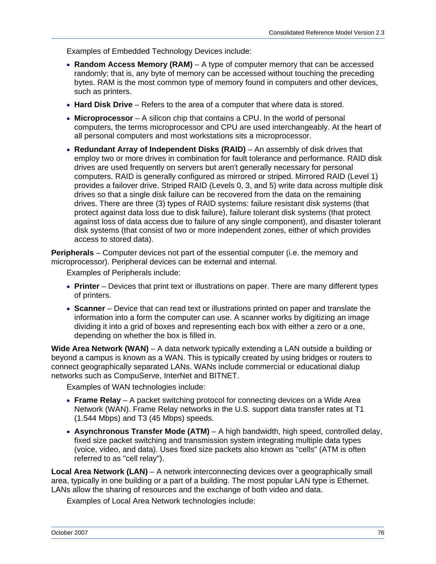Examples of Embedded Technology Devices include:

- **Random Access Memory (RAM)** A type of computer memory that can be accessed randomly; that is, any byte of memory can be accessed without touching the preceding bytes. RAM is the most common type of memory found in computers and other devices, such as printers.
- **Hard Disk Drive** Refers to the area of a computer that where data is stored.
- **Microprocessor**  A silicon chip that contains a CPU. In the world of personal computers, the terms microprocessor and CPU are used interchangeably. At the heart of all personal computers and most workstations sits a microprocessor.
- **Redundant Array of Independent Disks (RAID)** An assembly of disk drives that employ two or more drives in combination for fault tolerance and performance. RAID disk drives are used frequently on servers but aren't generally necessary for personal computers. RAID is generally configured as mirrored or striped. Mirrored RAID (Level 1) provides a failover drive. Striped RAID (Levels 0, 3, and 5) write data across multiple disk drives so that a single disk failure can be recovered from the data on the remaining drives. There are three (3) types of RAID systems: failure resistant disk systems (that protect against data loss due to disk failure), failure tolerant disk systems (that protect against loss of data access due to failure of any single component), and disaster tolerant disk systems (that consist of two or more independent zones, either of which provides access to stored data).

**Peripherals** – Computer devices not part of the essential computer (i.e. the memory and microprocessor). Peripheral devices can be external and internal.

Examples of Peripherals include:

- **Printer** Devices that print text or illustrations on paper. There are many different types of printers.
- **Scanner** Device that can read text or illustrations printed on paper and translate the information into a form the computer can use. A scanner works by digitizing an image dividing it into a grid of boxes and representing each box with either a zero or a one, depending on whether the box is filled in.

**Wide Area Network (WAN)** – A data network typically extending a LAN outside a building or beyond a campus is known as a WAN. This is typically created by using bridges or routers to connect geographically separated LANs. WANs include commercial or educational dialup networks such as CompuServe, InterNet and BITNET.

Examples of WAN technologies include:

- **Frame Relay** A packet switching protocol for connecting devices on a Wide Area Network (WAN). Frame Relay networks in the U.S. support data transfer rates at T1 (1.544 Mbps) and T3 (45 Mbps) speeds.
- **Asynchronous Transfer Mode (ATM)** A high bandwidth, high speed, controlled delay, fixed size packet switching and transmission system integrating multiple data types (voice, video, and data). Uses fixed size packets also known as "cells" (ATM is often referred to as "cell relay").

**Local Area Network (LAN)** – A network interconnecting devices over a geographically small area, typically in one building or a part of a building. The most popular LAN type is Ethernet. LANs allow the sharing of resources and the exchange of both video and data.

Examples of Local Area Network technologies include: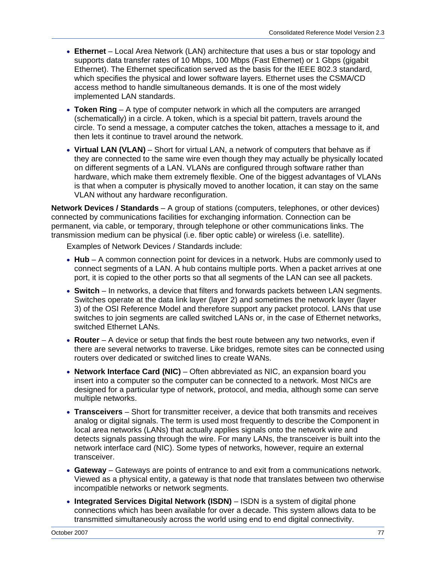- **Ethernet** Local Area Network (LAN) architecture that uses a bus or star topology and supports data transfer rates of 10 Mbps, 100 Mbps (Fast Ethernet) or 1 Gbps (gigabit Ethernet). The Ethernet specification served as the basis for the IEEE 802.3 standard, which specifies the physical and lower software layers. Ethernet uses the CSMA/CD access method to handle simultaneous demands. It is one of the most widely implemented LAN standards.
- **Token Ring** A type of computer network in which all the computers are arranged (schematically) in a circle. A token, which is a special bit pattern, travels around the circle. To send a message, a computer catches the token, attaches a message to it, and then lets it continue to travel around the network.
- **Virtual LAN (VLAN)** Short for virtual LAN, a network of computers that behave as if they are connected to the same wire even though they may actually be physically located on different segments of a LAN. VLANs are configured through software rather than hardware, which make them extremely flexible. One of the biggest advantages of VLANs is that when a computer is physically moved to another location, it can stay on the same VLAN without any hardware reconfiguration.

**Network Devices / Standards** – A group of stations (computers, telephones, or other devices) connected by communications facilities for exchanging information. Connection can be permanent, via cable, or temporary, through telephone or other communications links. The transmission medium can be physical (i.e. fiber optic cable) or wireless (i.e. satellite).

Examples of Network Devices / Standards include:

- **Hub** A common connection point for devices in a network. Hubs are commonly used to connect segments of a LAN. A hub contains multiple ports. When a packet arrives at one port, it is copied to the other ports so that all segments of the LAN can see all packets.
- **Switch** In networks, a device that filters and forwards packets between LAN segments. Switches operate at the data link layer (layer 2) and sometimes the network layer (layer 3) of the OSI Reference Model and therefore support any packet protocol. LANs that use switches to join segments are called switched LANs or, in the case of Ethernet networks, switched Ethernet LANs.
- **Router** A device or setup that finds the best route between any two networks, even if there are several networks to traverse. Like bridges, remote sites can be connected using routers over dedicated or switched lines to create WANs.
- **Network Interface Card (NIC)** Often abbreviated as NIC, an expansion board you insert into a computer so the computer can be connected to a network. Most NICs are designed for a particular type of network, protocol, and media, although some can serve multiple networks.
- **Transceivers** Short for transmitter receiver, a device that both transmits and receives analog or digital signals. The term is used most frequently to describe the Component in local area networks (LANs) that actually applies signals onto the network wire and detects signals passing through the wire. For many LANs, the transceiver is built into the network interface card (NIC). Some types of networks, however, require an external transceiver.
- **Gateway** Gateways are points of entrance to and exit from a communications network. Viewed as a physical entity, a gateway is that node that translates between two otherwise incompatible networks or network segments.
- **Integrated Services Digital Network (ISDN)** ISDN is a system of digital phone connections which has been available for over a decade. This system allows data to be transmitted simultaneously across the world using end to end digital connectivity.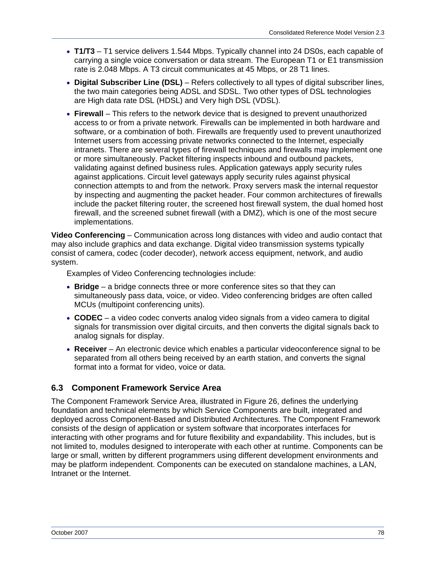- **T1/T3** T1 service delivers 1.544 Mbps. Typically channel into 24 DS0s, each capable of carrying a single voice conversation or data stream. The European T1 or E1 transmission rate is 2.048 Mbps. A T3 circuit communicates at 45 Mbps, or 28 T1 lines.
- **Digital Subscriber Line (DSL)** Refers collectively to all types of digital subscriber lines, the two main categories being ADSL and SDSL. Two other types of DSL technologies are High data rate DSL (HDSL) and Very high DSL (VDSL).
- **Firewall** This refers to the network device that is designed to prevent unauthorized access to or from a private network. Firewalls can be implemented in both hardware and software, or a combination of both. Firewalls are frequently used to prevent unauthorized Internet users from accessing private networks connected to the Internet, especially intranets. There are several types of firewall techniques and firewalls may implement one or more simultaneously. Packet filtering inspects inbound and outbound packets, validating against defined business rules. Application gateways apply security rules against applications. Circuit level gateways apply security rules against physical connection attempts to and from the network. Proxy servers mask the internal requestor by inspecting and augmenting the packet header. Four common architectures of firewalls include the packet filtering router, the screened host firewall system, the dual homed host firewall, and the screened subnet firewall (with a DMZ), which is one of the most secure implementations.

**Video Conferencing** – Communication across long distances with video and audio contact that may also include graphics and data exchange. Digital video transmission systems typically consist of camera, codec (coder decoder), network access equipment, network, and audio system.

Examples of Video Conferencing technologies include:

- **Bridge** a bridge connects three or more conference sites so that they can simultaneously pass data, voice, or video. Video conferencing bridges are often called MCUs (multipoint conferencing units).
- **CODEC** a video codec converts analog video signals from a video camera to digital signals for transmission over digital circuits, and then converts the digital signals back to analog signals for display.
- **Receiver** An electronic device which enables a particular videoconference signal to be separated from all others being received by an earth station, and converts the signal format into a format for video, voice or data.

# **6.3 Component Framework Service Area**

The Component Framework Service Area, illustrated in Figure 26, defines the underlying foundation and technical elements by which Service Components are built, integrated and deployed across Component-Based and Distributed Architectures. The Component Framework consists of the design of application or system software that incorporates interfaces for interacting with other programs and for future flexibility and expandability. This includes, but is not limited to, modules designed to interoperate with each other at runtime. Components can be large or small, written by different programmers using different development environments and may be platform independent. Components can be executed on standalone machines, a LAN, Intranet or the Internet.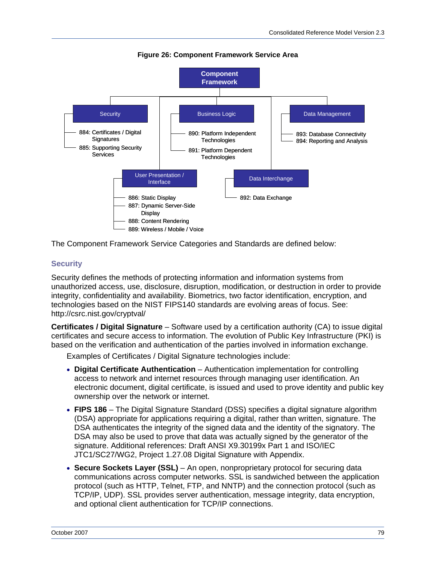

**Figure 26: Component Framework Service Area** 

The Component Framework Service Categories and Standards are defined below:

#### **Security**

Security defines the methods of protecting information and information systems from unauthorized access, use, disclosure, disruption, modification, or destruction in order to provide integrity, confidentiality and availability. Biometrics, two factor identification, encryption, and technologies based on the NIST FIPS140 standards are evolving areas of focus. See: http://csrc.nist.gov/cryptval/

**Certificates / Digital Signature** – Software used by a certification authority (CA) to issue digital certificates and secure access to information. The evolution of Public Key Infrastructure (PKI) is based on the verification and authentication of the parties involved in information exchange.

Examples of Certificates / Digital Signature technologies include:

- **Digital Certificate Authentication** Authentication implementation for controlling access to network and internet resources through managing user identification. An electronic document, digital certificate, is issued and used to prove identity and public key ownership over the network or internet.
- **FIPS 186** The Digital Signature Standard (DSS) specifies a digital signature algorithm (DSA) appropriate for applications requiring a digital, rather than written, signature. The DSA authenticates the integrity of the signed data and the identity of the signatory. The DSA may also be used to prove that data was actually signed by the generator of the signature. Additional references: Draft ANSI X9.30199x Part 1 and ISO/IEC JTC1/SC27/WG2, Project 1.27.08 Digital Signature with Appendix.
- **Secure Sockets Layer (SSL)** An open, nonproprietary protocol for securing data communications across computer networks. SSL is sandwiched between the application protocol (such as HTTP, Telnet, FTP, and NNTP) and the connection protocol (such as TCP/IP, UDP). SSL provides server authentication, message integrity, data encryption, and optional client authentication for TCP/IP connections.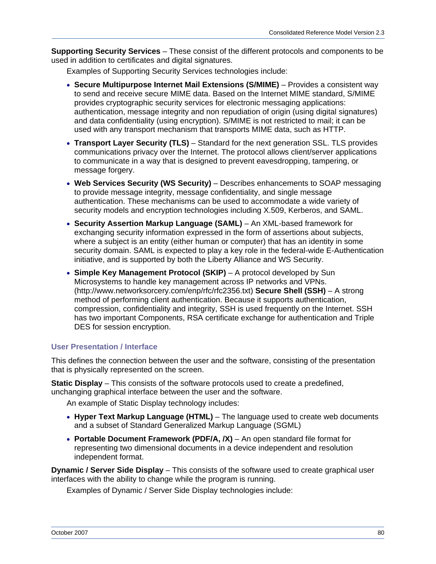**Supporting Security Services** – These consist of the different protocols and components to be used in addition to certificates and digital signatures.

Examples of Supporting Security Services technologies include:

- **Secure Multipurpose Internet Mail Extensions (S/MIME)** Provides a consistent way to send and receive secure MIME data. Based on the Internet MIME standard, S/MIME provides cryptographic security services for electronic messaging applications: authentication, message integrity and non repudiation of origin (using digital signatures) and data confidentiality (using encryption). S/MIME is not restricted to mail; it can be used with any transport mechanism that transports MIME data, such as HTTP.
- **Transport Layer Security (TLS)** Standard for the next generation SSL. TLS provides communications privacy over the Internet. The protocol allows client/server applications to communicate in a way that is designed to prevent eavesdropping, tampering, or message forgery.
- **Web Services Security (WS Security)** Describes enhancements to SOAP messaging to provide message integrity, message confidentiality, and single message authentication. These mechanisms can be used to accommodate a wide variety of security models and encryption technologies including X.509, Kerberos, and SAML.
- **Security Assertion Markup Language (SAML)** An XML-based framework for exchanging security information expressed in the form of assertions about subjects, where a subject is an entity (either human or computer) that has an identity in some security domain. SAML is expected to play a key role in the federal-wide E-Authentication initiative, and is supported by both the Liberty Alliance and WS Security.
- **Simple Key Management Protocol (SKIP)** A protocol developed by Sun Microsystems to handle key management across IP networks and VPNs. (http://www.networksorcery.com/enp/rfc/rfc2356.txt) **Secure Shell (SSH)** – A strong method of performing client authentication. Because it supports authentication, compression, confidentiality and integrity, SSH is used frequently on the Internet. SSH has two important Components, RSA certificate exchange for authentication and Triple DES for session encryption.

### **User Presentation / Interface**

This defines the connection between the user and the software, consisting of the presentation that is physically represented on the screen.

**Static Display** – This consists of the software protocols used to create a predefined, unchanging graphical interface between the user and the software.

An example of Static Display technology includes:

- **Hyper Text Markup Language (HTML)** The language used to create web documents and a subset of Standard Generalized Markup Language (SGML)
- **Portable Document Framework (PDF/A, /X)** An open standard file format for representing two dimensional documents in a device independent and resolution independent format.

**Dynamic / Server Side Display** – This consists of the software used to create graphical user interfaces with the ability to change while the program is running.

Examples of Dynamic / Server Side Display technologies include: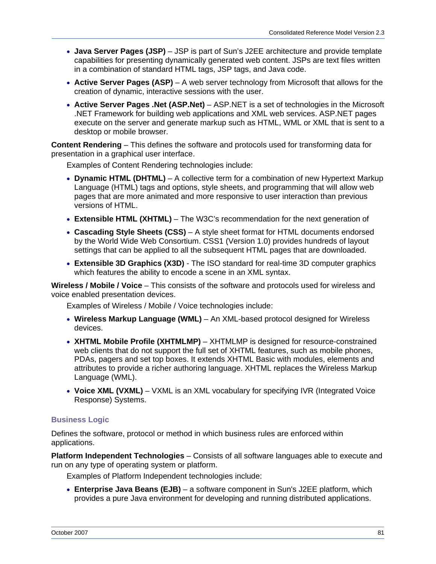- **Java Server Pages (JSP)** JSP is part of Sun's J2EE architecture and provide template capabilities for presenting dynamically generated web content. JSPs are text files written in a combination of standard HTML tags, JSP tags, and Java code.
- **Active Server Pages (ASP)** A web server technology from Microsoft that allows for the creation of dynamic, interactive sessions with the user.
- **Active Server Pages .Net (ASP.Net)** ASP.NET is a set of technologies in the Microsoft .NET Framework for building web applications and XML web services. ASP.NET pages execute on the server and generate markup such as HTML, WML or XML that is sent to a desktop or mobile browser.

**Content Rendering** – This defines the software and protocols used for transforming data for presentation in a graphical user interface.

Examples of Content Rendering technologies include:

- **Dynamic HTML (DHTML)** A collective term for a combination of new Hypertext Markup Language (HTML) tags and options, style sheets, and programming that will allow web pages that are more animated and more responsive to user interaction than previous versions of HTML.
- **Extensible HTML (XHTML)** The W3C's recommendation for the next generation of
- **Cascading Style Sheets (CSS)** A style sheet format for HTML documents endorsed by the World Wide Web Consortium. CSS1 (Version 1.0) provides hundreds of layout settings that can be applied to all the subsequent HTML pages that are downloaded.
- **Extensible 3D Graphics (X3D)**  The ISO standard for real-time 3D computer graphics which features the ability to encode a scene in an XML syntax.

**Wireless / Mobile / Voice** – This consists of the software and protocols used for wireless and voice enabled presentation devices.

Examples of Wireless / Mobile / Voice technologies include:

- **Wireless Markup Language (WML)** An XML-based protocol designed for Wireless devices.
- **XHTML Mobile Profile (XHTMLMP)** XHTMLMP is designed for resource-constrained web clients that do not support the full set of XHTML features, such as mobile phones, PDAs, pagers and set top boxes. It extends XHTML Basic with modules, elements and attributes to provide a richer authoring language. XHTML replaces the Wireless Markup Language (WML).
- **Voice XML (VXML)** VXML is an XML vocabulary for specifying IVR (Integrated Voice Response) Systems.

### **Business Logic**

Defines the software, protocol or method in which business rules are enforced within applications.

**Platform Independent Technologies** – Consists of all software languages able to execute and run on any type of operating system or platform.

Examples of Platform Independent technologies include:

• **Enterprise Java Beans (EJB)** – a software component in Sun's J2EE platform, which provides a pure Java environment for developing and running distributed applications.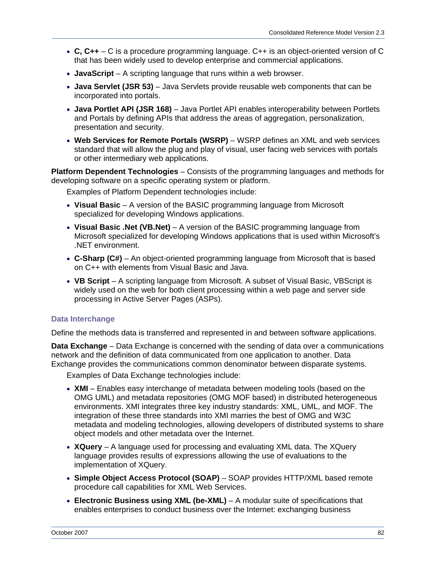- **C, C++** C is a procedure programming language. C++ is an object-oriented version of C that has been widely used to develop enterprise and commercial applications.
- **JavaScript** A scripting language that runs within a web browser.
- **Java Servlet (JSR 53)** Java Servlets provide reusable web components that can be incorporated into portals.
- **Java Portlet API (JSR 168)** Java Portlet API enables interoperability between Portlets and Portals by defining APIs that address the areas of aggregation, personalization, presentation and security.
- **Web Services for Remote Portals (WSRP)** WSRP defines an XML and web services standard that will allow the plug and play of visual, user facing web services with portals or other intermediary web applications.

**Platform Dependent Technologies** – Consists of the programming languages and methods for developing software on a specific operating system or platform.

Examples of Platform Dependent technologies include:

- **Visual Basic** A version of the BASIC programming language from Microsoft specialized for developing Windows applications.
- **Visual Basic .Net (VB.Net)** A version of the BASIC programming language from Microsoft specialized for developing Windows applications that is used within Microsoft's .NET environment.
- **C-Sharp (C#)** An object-oriented programming language from Microsoft that is based on C++ with elements from Visual Basic and Java.
- **VB Script** A scripting language from Microsoft. A subset of Visual Basic, VBScript is widely used on the web for both client processing within a web page and server side processing in Active Server Pages (ASPs).

### **Data Interchange**

Define the methods data is transferred and represented in and between software applications.

**Data Exchange** – Data Exchange is concerned with the sending of data over a communications network and the definition of data communicated from one application to another. Data Exchange provides the communications common denominator between disparate systems.

Examples of Data Exchange technologies include:

- **XMI** Enables easy interchange of metadata between modeling tools (based on the OMG UML) and metadata repositories (OMG MOF based) in distributed heterogeneous environments. XMI integrates three key industry standards: XML, UML, and MOF. The integration of these three standards into XMI marries the best of OMG and W3C metadata and modeling technologies, allowing developers of distributed systems to share object models and other metadata over the Internet.
- **XQuery**  A language used for processing and evaluating XML data. The XQuery language provides results of expressions allowing the use of evaluations to the implementation of XQuery.
- **Simple Object Access Protocol (SOAP)** SOAP provides HTTP/XML based remote procedure call capabilities for XML Web Services.
- **Electronic Business using XML (be-XML)** A modular suite of specifications that enables enterprises to conduct business over the Internet: exchanging business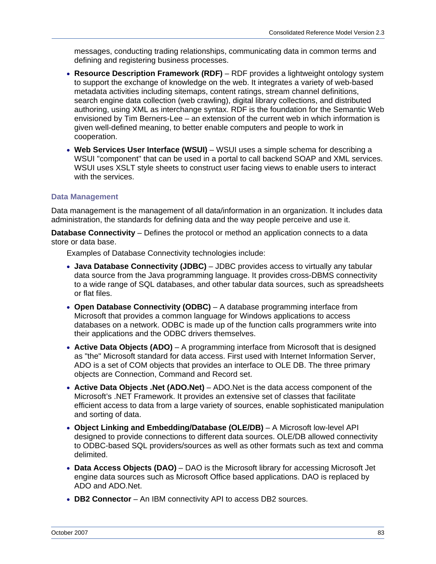messages, conducting trading relationships, communicating data in common terms and defining and registering business processes.

- **Resource Description Framework (RDF)** RDF provides a lightweight ontology system to support the exchange of knowledge on the web. It integrates a variety of web-based metadata activities including sitemaps, content ratings, stream channel definitions, search engine data collection (web crawling), digital library collections, and distributed authoring, using XML as interchange syntax. RDF is the foundation for the Semantic Web envisioned by Tim Berners-Lee – an extension of the current web in which information is given well-defined meaning, to better enable computers and people to work in cooperation.
- **Web Services User Interface (WSUI)** WSUI uses a simple schema for describing a WSUI "component" that can be used in a portal to call backend SOAP and XML services. WSUI uses XSLT style sheets to construct user facing views to enable users to interact with the services.

### **Data Management**

Data management is the management of all data/information in an organization. It includes data administration, the standards for defining data and the way people perceive and use it.

**Database Connectivity** – Defines the protocol or method an application connects to a data store or data base.

Examples of Database Connectivity technologies include:

- **Java Database Connectivity (JDBC)** JDBC provides access to virtually any tabular data source from the Java programming language. It provides cross-DBMS connectivity to a wide range of SQL databases, and other tabular data sources, such as spreadsheets or flat files.
- **Open Database Connectivity (ODBC)** A database programming interface from Microsoft that provides a common language for Windows applications to access databases on a network. ODBC is made up of the function calls programmers write into their applications and the ODBC drivers themselves.
- **Active Data Objects (ADO)** A programming interface from Microsoft that is designed as "the" Microsoft standard for data access. First used with Internet Information Server, ADO is a set of COM objects that provides an interface to OLE DB. The three primary objects are Connection, Command and Record set.
- **Active Data Objects .Net (ADO.Net)** ADO.Net is the data access component of the Microsoft's .NET Framework. It provides an extensive set of classes that facilitate efficient access to data from a large variety of sources, enable sophisticated manipulation and sorting of data.
- **Object Linking and Embedding/Database (OLE/DB)** A Microsoft low-level API designed to provide connections to different data sources. OLE/DB allowed connectivity to ODBC-based SQL providers/sources as well as other formats such as text and comma delimited.
- **Data Access Objects (DAO)** DAO is the Microsoft library for accessing Microsoft Jet engine data sources such as Microsoft Office based applications. DAO is replaced by ADO and ADO.Net.
- **DB2 Connector** An IBM connectivity API to access DB2 sources.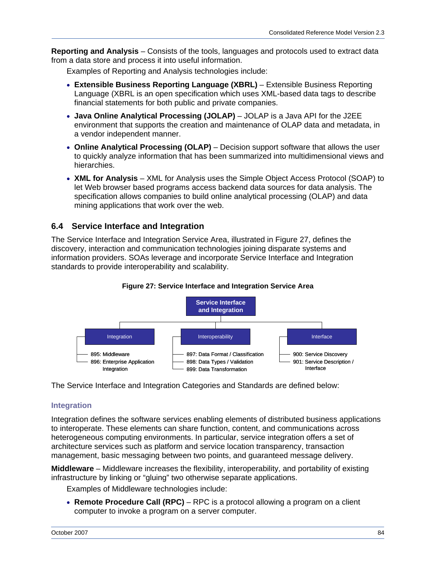**Reporting and Analysis** – Consists of the tools, languages and protocols used to extract data from a data store and process it into useful information.

Examples of Reporting and Analysis technologies include:

- **Extensible Business Reporting Language (XBRL)** Extensible Business Reporting Language (XBRL is an open specification which uses XML-based data tags to describe financial statements for both public and private companies.
- **Java Online Analytical Processing (JOLAP)**  JOLAP is a Java API for the J2EE environment that supports the creation and maintenance of OLAP data and metadata, in a vendor independent manner.
- **Online Analytical Processing (OLAP)** Decision support software that allows the user to quickly analyze information that has been summarized into multidimensional views and hierarchies.
- **XML for Analysis** XML for Analysis uses the Simple Object Access Protocol (SOAP) to let Web browser based programs access backend data sources for data analysis. The specification allows companies to build online analytical processing (OLAP) and data mining applications that work over the web.

# **6.4 Service Interface and Integration**

The Service Interface and Integration Service Area, illustrated in Figure 27, defines the discovery, interaction and communication technologies joining disparate systems and information providers. SOAs leverage and incorporate Service Interface and Integration standards to provide interoperability and scalability.





The Service Interface and Integration Categories and Standards are defined below:

### **Integration**

Integration defines the software services enabling elements of distributed business applications to interoperate. These elements can share function, content, and communications across heterogeneous computing environments. In particular, service integration offers a set of architecture services such as platform and service location transparency, transaction management, basic messaging between two points, and guaranteed message delivery.

**Middleware** – Middleware increases the flexibility, interoperability, and portability of existing infrastructure by linking or "gluing" two otherwise separate applications.

Examples of Middleware technologies include:

• **Remote Procedure Call (RPC)** – RPC is a protocol allowing a program on a client computer to invoke a program on a server computer.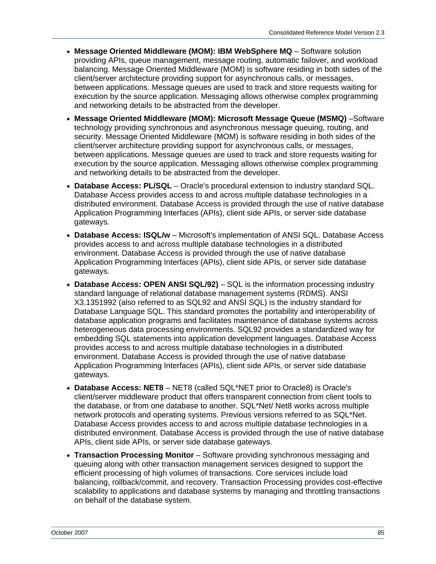- **Message Oriented Middleware (MOM): IBM WebSphere MQ** Software solution providing APIs, queue management, message routing, automatic failover, and workload balancing. Message Oriented Middleware (MOM) is software residing in both sides of the client/server architecture providing support for asynchronous calls, or messages, between applications. Message queues are used to track and store requests waiting for execution by the source application. Messaging allows otherwise complex programming and networking details to be abstracted from the developer.
- **Message Oriented Middleware (MOM): Microsoft Message Queue (MSMQ)** –Software technology providing synchronous and asynchronous message queuing, routing, and security. Message Oriented Middleware (MOM) is software residing in both sides of the client/server architecture providing support for asynchronous calls, or messages, between applications. Message queues are used to track and store requests waiting for execution by the source application. Messaging allows otherwise complex programming and networking details to be abstracted from the developer.
- **Database Access: PL/SQL** Oracle's procedural extension to industry standard SQL. Database Access provides access to and across multiple database technologies in a distributed environment. Database Access is provided through the use of native database Application Programming Interfaces (APIs), client side APIs, or server side database gateways.
- **Database Access: ISQL/w** Microsoft's implementation of ANSI SQL. Database Access provides access to and across multiple database technologies in a distributed environment. Database Access is provided through the use of native database Application Programming Interfaces (APIs), client side APIs, or server side database gateways.
- **Database Access: OPEN ANSI SQL/92)** SQL is the information processing industry standard language of relational database management systems (RDMS). ANSI X3.1351992 (also referred to as SQL92 and ANSI SQL) is the industry standard for Database Language SQL. This standard promotes the portability and interoperability of database application programs and facilitates maintenance of database systems across heterogeneous data processing environments. SQL92 provides a standardized way for embedding SQL statements into application development languages. Database Access provides access to and across multiple database technologies in a distributed environment. Database Access is provided through the use of native database Application Programming Interfaces (APIs), client side APIs, or server side database gateways.
- **Database Access: NET8** NET8 (called SQL\*NET prior to Oracle8) is Oracle's client/server middleware product that offers transparent connection from client tools to the database, or from one database to another. SQL\*Net/ Net8 works across multiple network protocols and operating systems. Previous versions referred to as SQL\*Net. Database Access provides access to and across multiple database technologies in a distributed environment. Database Access is provided through the use of native database APIs, client side APIs, or server side database gateways.
- **Transaction Processing Monitor** Software providing synchronous messaging and queuing along with other transaction management services designed to support the efficient processing of high volumes of transactions. Core services include load balancing, rollback/commit, and recovery. Transaction Processing provides cost-effective scalability to applications and database systems by managing and throttling transactions on behalf of the database system.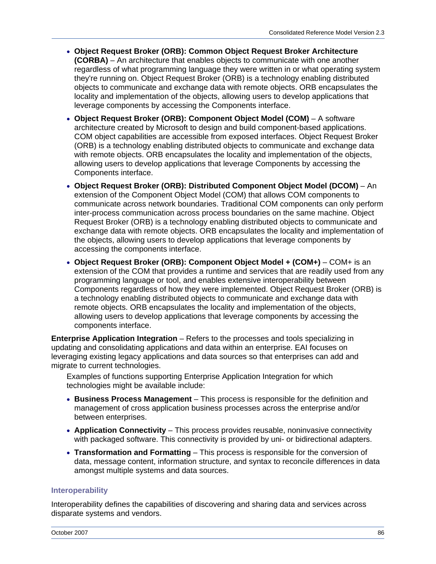- **Object Request Broker (ORB): Common Object Request Broker Architecture (CORBA)** – An architecture that enables objects to communicate with one another regardless of what programming language they were written in or what operating system they're running on. Object Request Broker (ORB) is a technology enabling distributed objects to communicate and exchange data with remote objects. ORB encapsulates the locality and implementation of the objects, allowing users to develop applications that leverage components by accessing the Components interface.
- **Object Request Broker (ORB): Component Object Model (COM)** A software architecture created by Microsoft to design and build component-based applications. COM object capabilities are accessible from exposed interfaces. Object Request Broker (ORB) is a technology enabling distributed objects to communicate and exchange data with remote objects. ORB encapsulates the locality and implementation of the objects, allowing users to develop applications that leverage Components by accessing the Components interface.
- **Object Request Broker (ORB): Distributed Component Object Model (DCOM)** An extension of the Component Object Model (COM) that allows COM components to communicate across network boundaries. Traditional COM components can only perform inter-process communication across process boundaries on the same machine. Object Request Broker (ORB) is a technology enabling distributed objects to communicate and exchange data with remote objects. ORB encapsulates the locality and implementation of the objects, allowing users to develop applications that leverage components by accessing the components interface.
- **Object Request Broker (ORB): Component Object Model + (COM+)** COM+ is an extension of the COM that provides a runtime and services that are readily used from any programming language or tool, and enables extensive interoperability between Components regardless of how they were implemented. Object Request Broker (ORB) is a technology enabling distributed objects to communicate and exchange data with remote objects. ORB encapsulates the locality and implementation of the objects, allowing users to develop applications that leverage components by accessing the components interface.

**Enterprise Application Integration** – Refers to the processes and tools specializing in updating and consolidating applications and data within an enterprise. EAI focuses on leveraging existing legacy applications and data sources so that enterprises can add and migrate to current technologies.

Examples of functions supporting Enterprise Application Integration for which technologies might be available include:

- **Business Process Management** This process is responsible for the definition and management of cross application business processes across the enterprise and/or between enterprises.
- **Application Connectivity** This process provides reusable, noninvasive connectivity with packaged software. This connectivity is provided by uni- or bidirectional adapters.
- **Transformation and Formatting** This process is responsible for the conversion of data, message content, information structure, and syntax to reconcile differences in data amongst multiple systems and data sources.

#### **Interoperability**

Interoperability defines the capabilities of discovering and sharing data and services across disparate systems and vendors.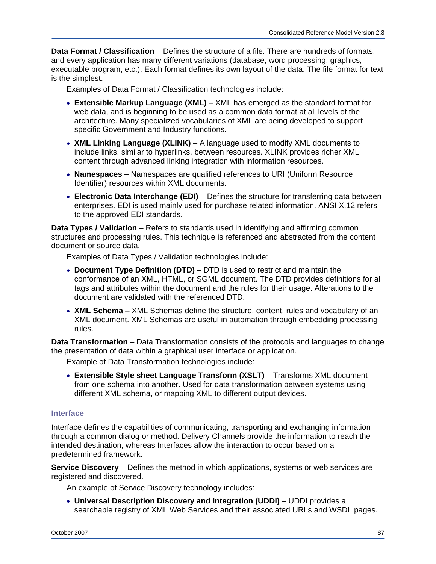**Data Format / Classification** – Defines the structure of a file. There are hundreds of formats, and every application has many different variations (database, word processing, graphics, executable program, etc.). Each format defines its own layout of the data. The file format for text is the simplest.

Examples of Data Format / Classification technologies include:

- **Extensible Markup Language (XML)** XML has emerged as the standard format for web data, and is beginning to be used as a common data format at all levels of the architecture. Many specialized vocabularies of XML are being developed to support specific Government and Industry functions.
- **XML Linking Language (XLINK)** A language used to modify XML documents to include links, similar to hyperlinks, between resources. XLINK provides richer XML content through advanced linking integration with information resources.
- **Namespaces** Namespaces are qualified references to URI (Uniform Resource Identifier) resources within XML documents.
- **Electronic Data Interchange (EDI)** Defines the structure for transferring data between enterprises. EDI is used mainly used for purchase related information. ANSI X.12 refers to the approved EDI standards.

**Data Types / Validation** – Refers to standards used in identifying and affirming common structures and processing rules. This technique is referenced and abstracted from the content document or source data.

Examples of Data Types / Validation technologies include:

- **Document Type Definition (DTD)** DTD is used to restrict and maintain the conformance of an XML, HTML, or SGML document. The DTD provides definitions for all tags and attributes within the document and the rules for their usage. Alterations to the document are validated with the referenced DTD.
- **XML Schema** XML Schemas define the structure, content, rules and vocabulary of an XML document. XML Schemas are useful in automation through embedding processing rules.

**Data Transformation** – Data Transformation consists of the protocols and languages to change the presentation of data within a graphical user interface or application.

Example of Data Transformation technologies include:

• **Extensible Style sheet Language Transform (XSLT)** – Transforms XML document from one schema into another. Used for data transformation between systems using different XML schema, or mapping XML to different output devices.

### **Interface**

Interface defines the capabilities of communicating, transporting and exchanging information through a common dialog or method. Delivery Channels provide the information to reach the intended destination, whereas Interfaces allow the interaction to occur based on a predetermined framework.

**Service Discovery** – Defines the method in which applications, systems or web services are registered and discovered.

An example of Service Discovery technology includes:

• **Universal Description Discovery and Integration (UDDI)** – UDDI provides a searchable registry of XML Web Services and their associated URLs and WSDL pages.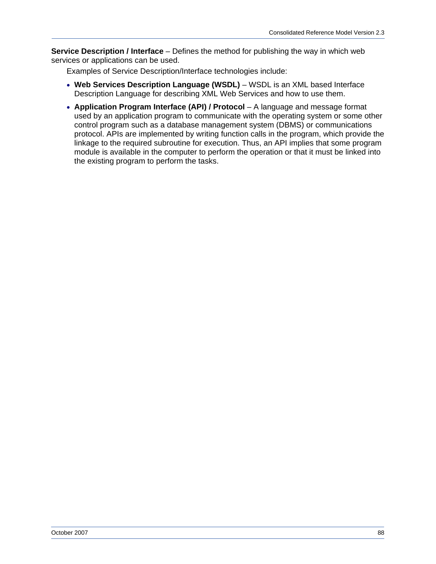**Service Description / Interface** – Defines the method for publishing the way in which web services or applications can be used.

Examples of Service Description/Interface technologies include:

- **Web Services Description Language (WSDL)** WSDL is an XML based Interface Description Language for describing XML Web Services and how to use them.
- **Application Program Interface (API) / Protocol** A language and message format used by an application program to communicate with the operating system or some other control program such as a database management system (DBMS) or communications protocol. APIs are implemented by writing function calls in the program, which provide the linkage to the required subroutine for execution. Thus, an API implies that some program module is available in the computer to perform the operation or that it must be linked into the existing program to perform the tasks.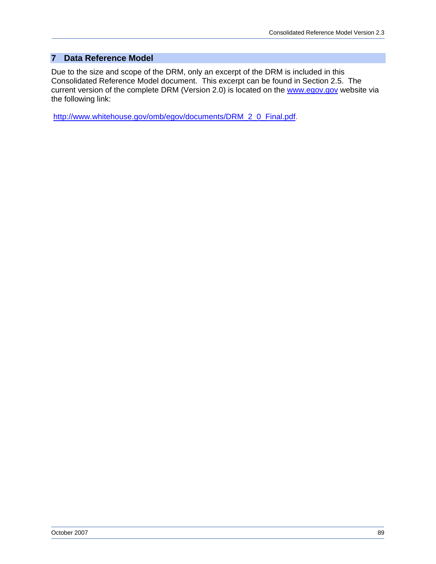# **7 Data Reference Model**

Due to the size and scope of the DRM, only an excerpt of the DRM is included in this Consolidated Reference Model document. This excerpt can be found in Section 2.5. The current version of the complete DRM (Version 2.0) is located on the www.egov.gov website via the following link:

http://www.whitehouse.gov/omb/egov/documents/DRM\_2\_0\_Final.pdf.